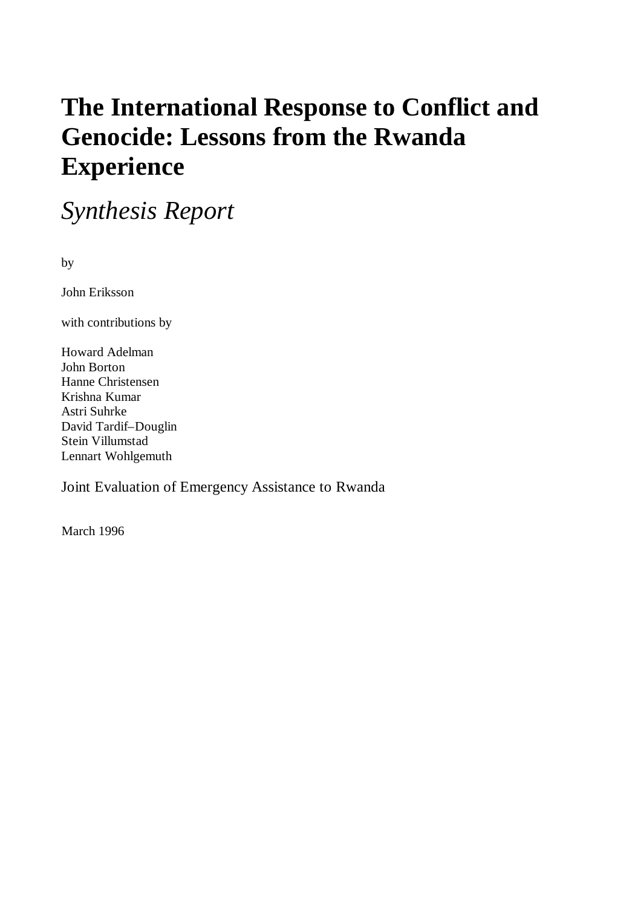# **The International Response to Conflict and Genocide: Lessons from the Rwanda Experience**

*Synthesis Report*

by

John Eriksson

with contributions by

Howard Adelman John Borton Hanne Christensen Krishna Kumar Astri Suhrke David Tardif–Douglin Stein Villumstad Lennart Wohlgemuth

Joint Evaluation of Emergency Assistance to Rwanda

March 1996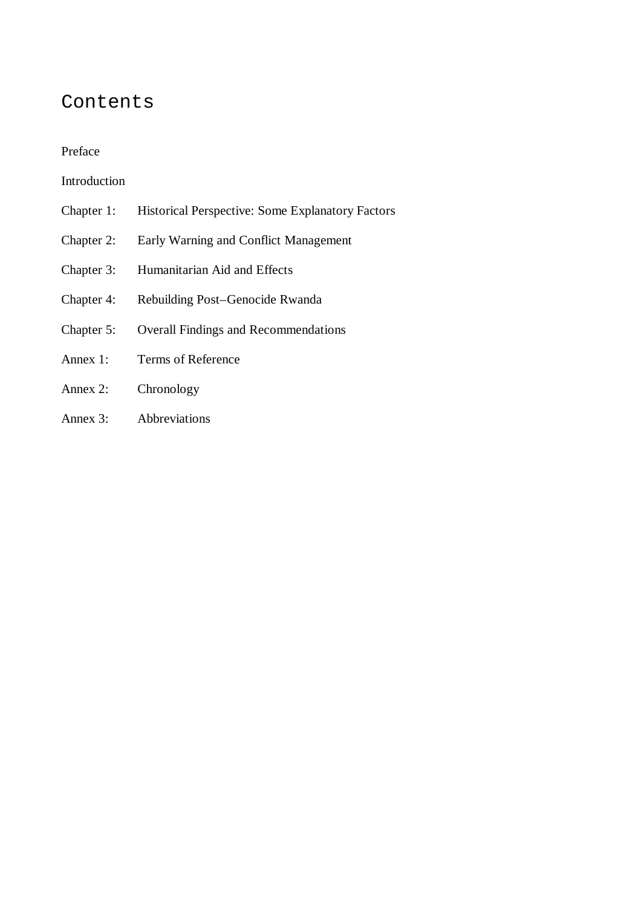### Contents

#### Preface

#### Introduction

- Chapter 1: Historical Perspective: Some Explanatory Factors
- Chapter 2: Early Warning and Conflict Management
- Chapter 3: Humanitarian Aid and Effects
- Chapter 4: Rebuilding Post–Genocide Rwanda
- Chapter 5: Overall Findings and Recommendations
- Annex 1: Terms of Reference
- Annex 2: Chronology
- Annex 3: Abbreviations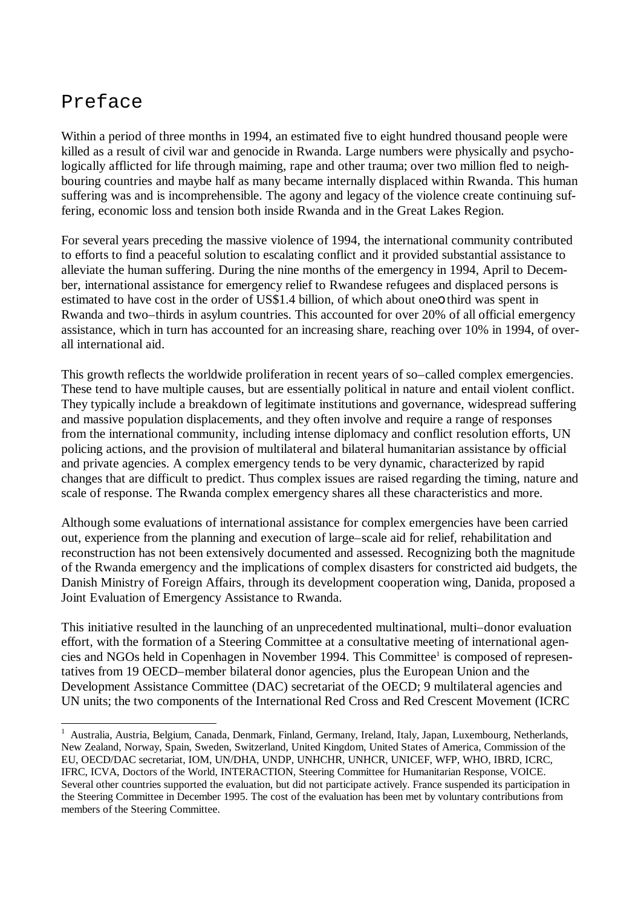### Preface

l

Within a period of three months in 1994, an estimated five to eight hundred thousand people were killed as a result of civil war and genocide in Rwanda. Large numbers were physically and psychologically afflicted for life through maiming, rape and other trauma; over two million fled to neighbouring countries and maybe half as many became internally displaced within Rwanda. This human suffering was and is incomprehensible. The agony and legacy of the violence create continuing suffering, economic loss and tension both inside Rwanda and in the Great Lakes Region.

For several years preceding the massive violence of 1994, the international community contributed to efforts to find a peaceful solution to escalating conflict and it provided substantial assistance to alleviate the human suffering. During the nine months of the emergency in 1994, April to December, international assistance for emergency relief to Rwandese refugees and displaced persons is estimated to have cost in the order of US\$1.4 billion, of which about oneo third was spent in Rwanda and two–thirds in asylum countries. This accounted for over 20% of all official emergency assistance, which in turn has accounted for an increasing share, reaching over 10% in 1994, of overall international aid.

This growth reflects the worldwide proliferation in recent years of so–called complex emergencies. These tend to have multiple causes, but are essentially political in nature and entail violent conflict. They typically include a breakdown of legitimate institutions and governance, widespread suffering and massive population displacements, and they often involve and require a range of responses from the international community, including intense diplomacy and conflict resolution efforts, UN policing actions, and the provision of multilateral and bilateral humanitarian assistance by official and private agencies. A complex emergency tends to be very dynamic, characterized by rapid changes that are difficult to predict. Thus complex issues are raised regarding the timing, nature and scale of response. The Rwanda complex emergency shares all these characteristics and more.

Although some evaluations of international assistance for complex emergencies have been carried out, experience from the planning and execution of large–scale aid for relief, rehabilitation and reconstruction has not been extensively documented and assessed. Recognizing both the magnitude of the Rwanda emergency and the implications of complex disasters for constricted aid budgets, the Danish Ministry of Foreign Affairs, through its development cooperation wing, Danida, proposed a Joint Evaluation of Emergency Assistance to Rwanda.

This initiative resulted in the launching of an unprecedented multinational, multi–donor evaluation effort, with the formation of a Steering Committee at a consultative meeting of international agencies and NGOs held in Copenhagen in November 1994. This Committee<sup>1</sup> is composed of representatives from 19 OECD–member bilateral donor agencies, plus the European Union and the Development Assistance Committee (DAC) secretariat of the OECD; 9 multilateral agencies and UN units; the two components of the International Red Cross and Red Crescent Movement (ICRC

<sup>&</sup>lt;sup>1</sup> Australia, Austria, Belgium, Canada, Denmark, Finland, Germany, Ireland, Italy, Japan, Luxembourg, Netherlands, New Zealand, Norway, Spain, Sweden, Switzerland, United Kingdom, United States of America, Commission of the EU, OECD/DAC secretariat, IOM, UN/DHA, UNDP, UNHCHR, UNHCR, UNICEF, WFP, WHO, IBRD, ICRC, IFRC, ICVA, Doctors of the World, INTERACTION, Steering Committee for Humanitarian Response, VOICE. Several other countries supported the evaluation, but did not participate actively. France suspended its participation in the Steering Committee in December 1995. The cost of the evaluation has been met by voluntary contributions from members of the Steering Committee.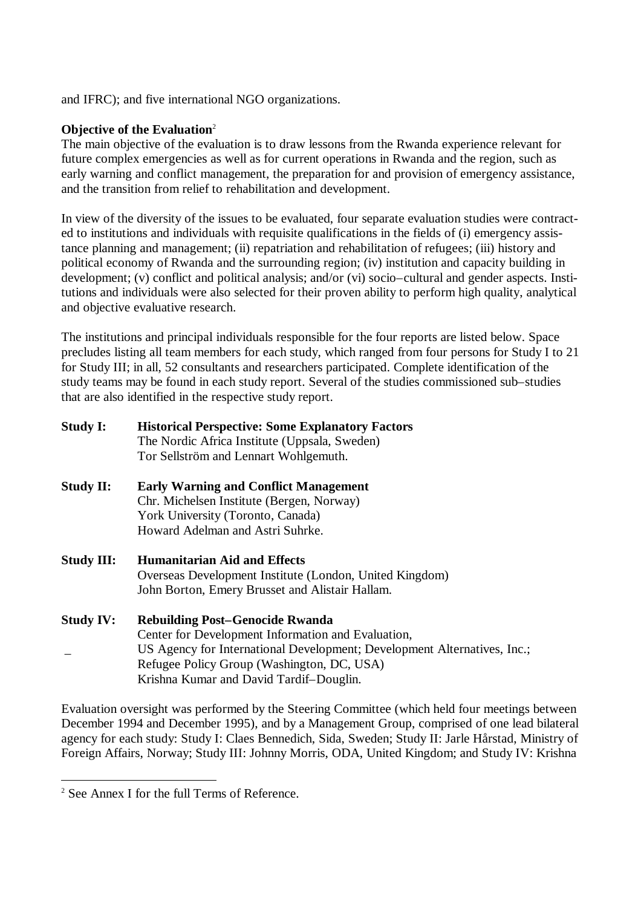and IFRC); and five international NGO organizations.

#### **Objective of the Evaluation**<sup>2</sup>

The main objective of the evaluation is to draw lessons from the Rwanda experience relevant for future complex emergencies as well as for current operations in Rwanda and the region, such as early warning and conflict management, the preparation for and provision of emergency assistance, and the transition from relief to rehabilitation and development.

In view of the diversity of the issues to be evaluated, four separate evaluation studies were contracted to institutions and individuals with requisite qualifications in the fields of (i) emergency assistance planning and management; (ii) repatriation and rehabilitation of refugees; (iii) history and political economy of Rwanda and the surrounding region; (iv) institution and capacity building in development; (v) conflict and political analysis; and/or (vi) socio–cultural and gender aspects. Institutions and individuals were also selected for their proven ability to perform high quality, analytical and objective evaluative research.

The institutions and principal individuals responsible for the four reports are listed below. Space precludes listing all team members for each study, which ranged from four persons for Study I to 21 for Study III; in all, 52 consultants and researchers participated. Complete identification of the study teams may be found in each study report. Several of the studies commissioned sub–studies that are also identified in the respective study report.

| <b>Study I:</b>   | <b>Historical Perspective: Some Explanatory Factors</b><br>The Nordic Africa Institute (Uppsala, Sweden) |
|-------------------|----------------------------------------------------------------------------------------------------------|
|                   | Tor Sellström and Lennart Wohlgemuth.                                                                    |
| <b>Study II:</b>  | <b>Early Warning and Conflict Management</b>                                                             |
|                   | Chr. Michelsen Institute (Bergen, Norway)                                                                |
|                   | York University (Toronto, Canada)                                                                        |
|                   | Howard Adelman and Astri Suhrke.                                                                         |
| <b>Study III:</b> | <b>Humanitarian Aid and Effects</b>                                                                      |
|                   | Overseas Development Institute (London, United Kingdom)                                                  |
|                   | John Borton, Emery Brusset and Alistair Hallam.                                                          |
| <b>Study IV:</b>  | <b>Rebuilding Post-Genocide Rwanda</b>                                                                   |
|                   | Center for Development Information and Evaluation,                                                       |
|                   | US Agency for International Development; Development Alternatives, Inc.;                                 |
|                   | Refugee Policy Group (Washington, DC, USA)                                                               |

Krishna Kumar and David Tardif–Douglin.

Evaluation oversight was performed by the Steering Committee (which held four meetings between December 1994 and December 1995), and by a Management Group, comprised of one lead bilateral agency for each study: Study I: Claes Bennedich, Sida, Sweden; Study II: Jarle Hårstad, Ministry of Foreign Affairs, Norway; Study III: Johnny Morris, ODA, United Kingdom; and Study IV: Krishna

l

<sup>2</sup> See Annex I for the full Terms of Reference.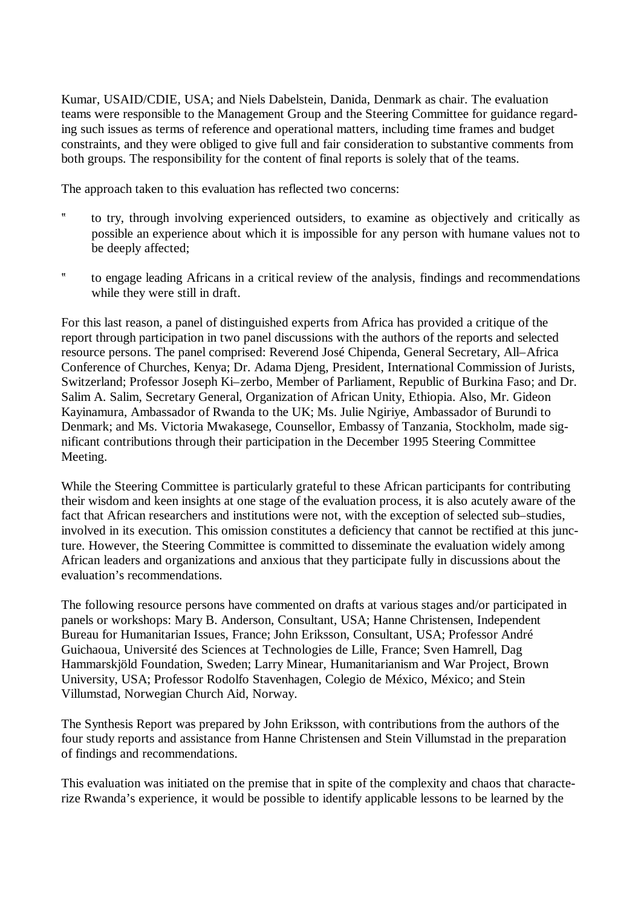Kumar, USAID/CDIE, USA; and Niels Dabelstein, Danida, Denmark as chair. The evaluation teams were responsible to the Management Group and the Steering Committee for guidance regarding such issues as terms of reference and operational matters, including time frames and budget constraints, and they were obliged to give full and fair consideration to substantive comments from both groups. The responsibility for the content of final reports is solely that of the teams.

The approach taken to this evaluation has reflected two concerns:

- ? to try, through involving experienced outsiders, to examine as objectively and critically as possible an experience about which it is impossible for any person with humane values not to be deeply affected;
- ? to engage leading Africans in a critical review of the analysis, findings and recommendations while they were still in draft.

For this last reason, a panel of distinguished experts from Africa has provided a critique of the report through participation in two panel discussions with the authors of the reports and selected resource persons. The panel comprised: Reverend José Chipenda, General Secretary, All–Africa Conference of Churches, Kenya; Dr. Adama Djeng, President, International Commission of Jurists, Switzerland; Professor Joseph Ki–zerbo, Member of Parliament, Republic of Burkina Faso; and Dr. Salim A. Salim, Secretary General, Organization of African Unity, Ethiopia. Also, Mr. Gideon Kayinamura, Ambassador of Rwanda to the UK; Ms. Julie Ngiriye, Ambassador of Burundi to Denmark; and Ms. Victoria Mwakasege, Counsellor, Embassy of Tanzania, Stockholm, made significant contributions through their participation in the December 1995 Steering Committee Meeting.

While the Steering Committee is particularly grateful to these African participants for contributing their wisdom and keen insights at one stage of the evaluation process, it is also acutely aware of the fact that African researchers and institutions were not, with the exception of selected sub–studies, involved in its execution. This omission constitutes a deficiency that cannot be rectified at this juncture. However, the Steering Committee is committed to disseminate the evaluation widely among African leaders and organizations and anxious that they participate fully in discussions about the evaluation's recommendations.

The following resource persons have commented on drafts at various stages and/or participated in panels or workshops: Mary B. Anderson, Consultant, USA; Hanne Christensen, Independent Bureau for Humanitarian Issues, France; John Eriksson, Consultant, USA; Professor André Guichaoua, Université des Sciences at Technologies de Lille, France; Sven Hamrell, Dag Hammarskjöld Foundation, Sweden; Larry Minear, Humanitarianism and War Project, Brown University, USA; Professor Rodolfo Stavenhagen, Colegio de México, México; and Stein Villumstad, Norwegian Church Aid, Norway.

The Synthesis Report was prepared by John Eriksson, with contributions from the authors of the four study reports and assistance from Hanne Christensen and Stein Villumstad in the preparation of findings and recommendations.

This evaluation was initiated on the premise that in spite of the complexity and chaos that characterize Rwanda's experience, it would be possible to identify applicable lessons to be learned by the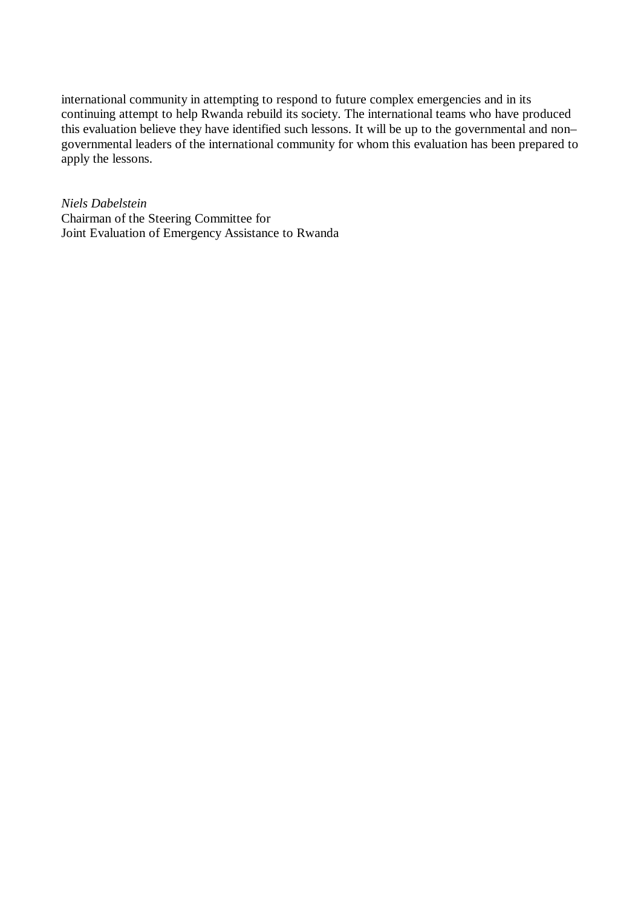international community in attempting to respond to future complex emergencies and in its continuing attempt to help Rwanda rebuild its society. The international teams who have produced this evaluation believe they have identified such lessons. It will be up to the governmental and non– governmental leaders of the international community for whom this evaluation has been prepared to apply the lessons.

*Niels Dabelstein* Chairman of the Steering Committee for Joint Evaluation of Emergency Assistance to Rwanda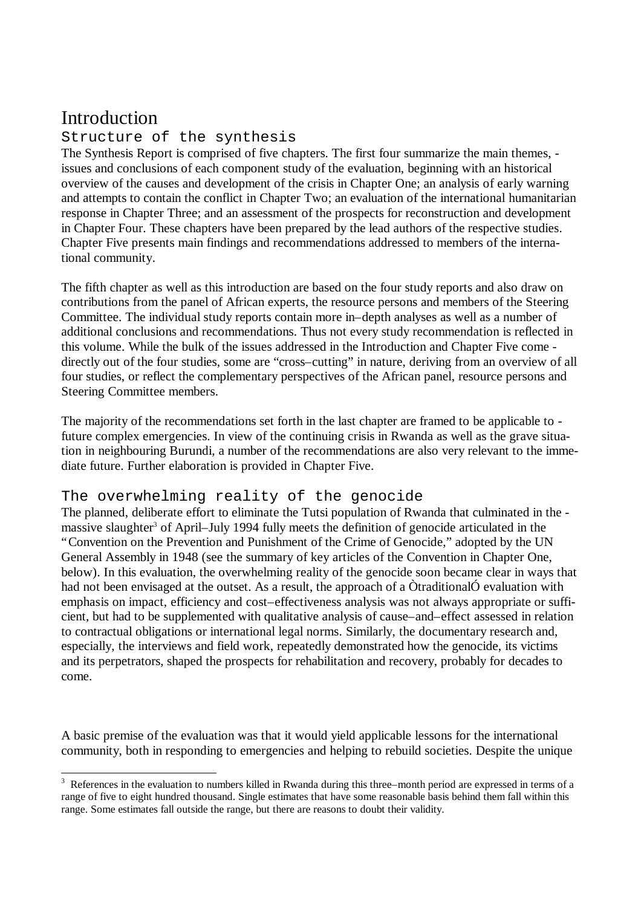## Introduction

-

#### Structure of the synthesis

The Synthesis Report is comprised of five chapters. The first four summarize the main themes, issues and conclusions of each component study of the evaluation, beginning with an historical overview of the causes and development of the crisis in Chapter One; an analysis of early warning and attempts to contain the conflict in Chapter Two; an evaluation of the international humanitarian response in Chapter Three; and an assessment of the prospects for reconstruction and development in Chapter Four. These chapters have been prepared by the lead authors of the respective studies. Chapter Five presents main findings and recommendations addressed to members of the international community.

The fifth chapter as well as this introduction are based on the four study reports and also draw on contributions from the panel of African experts, the resource persons and members of the Steering Committee. The individual study reports contain more in–depth analyses as well as a number of additional conclusions and recommendations. Thus not every study recommendation is reflected in this volume. While the bulk of the issues addressed in the Introduction and Chapter Five come directly out of the four studies, some are "cross–cutting" in nature, deriving from an overview of all four studies, or reflect the complementary perspectives of the African panel, resource persons and Steering Committee members.

The majority of the recommendations set forth in the last chapter are framed to be applicable to future complex emergencies. In view of the continuing crisis in Rwanda as well as the grave situation in neighbouring Burundi, a number of the recommendations are also very relevant to the immediate future. Further elaboration is provided in Chapter Five.

#### The overwhelming reality of the genocide

The planned, deliberate effort to eliminate the Tutsi population of Rwanda that culminated in the massive slaughter<sup>3</sup> of April–July 1994 fully meets the definition of genocide articulated in the "Convention on the Prevention and Punishment of the Crime of Genocide," adopted by the UN General Assembly in 1948 (see the summary of key articles of the Convention in Chapter One, below). In this evaluation, the overwhelming reality of the genocide soon became clear in ways that had not been envisaged at the outset. As a result, the approach of a ÒtraditionalÓ evaluation with emphasis on impact, efficiency and cost–effectiveness analysis was not always appropriate or sufficient, but had to be supplemented with qualitative analysis of cause–and–effect assessed in relation to contractual obligations or international legal norms. Similarly, the documentary research and, especially, the interviews and field work, repeatedly demonstrated how the genocide, its victims and its perpetrators, shaped the prospects for rehabilitation and recovery, probably for decades to come.

A basic premise of the evaluation was that it would yield applicable lessons for the international community, both in responding to emergencies and helping to rebuild societies. Despite the unique

 $3$  References in the evaluation to numbers killed in Rwanda during this three–month period are expressed in terms of a range of five to eight hundred thousand. Single estimates that have some reasonable basis behind them fall within this range. Some estimates fall outside the range, but there are reasons to doubt their validity.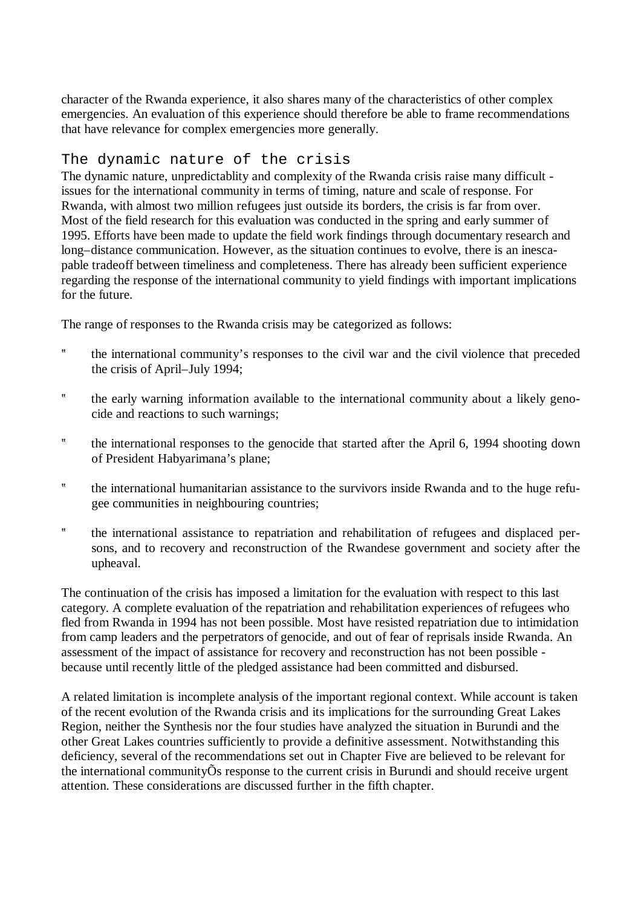character of the Rwanda experience, it also shares many of the characteristics of other complex emergencies. An evaluation of this experience should therefore be able to frame recommendations that have relevance for complex emergencies more generally.

#### The dynamic nature of the crisis

The dynamic nature, unpredictablity and complexity of the Rwanda crisis raise many difficult issues for the international community in terms of timing, nature and scale of response. For Rwanda, with almost two million refugees just outside its borders, the crisis is far from over. Most of the field research for this evaluation was conducted in the spring and early summer of 1995. Efforts have been made to update the field work findings through documentary research and long–distance communication. However, as the situation continues to evolve, there is an inescapable tradeoff between timeliness and completeness. There has already been sufficient experience regarding the response of the international community to yield findings with important implications for the future.

The range of responses to the Rwanda crisis may be categorized as follows:

- ? the international community's responses to the civil war and the civil violence that preceded the crisis of April–July 1994;
- ? the early warning information available to the international community about a likely genocide and reactions to such warnings;
- ? the international responses to the genocide that started after the April 6, 1994 shooting down of President Habyarimana's plane;
- ? the international humanitarian assistance to the survivors inside Rwanda and to the huge refugee communities in neighbouring countries;
- ? the international assistance to repatriation and rehabilitation of refugees and displaced persons, and to recovery and reconstruction of the Rwandese government and society after the upheaval.

The continuation of the crisis has imposed a limitation for the evaluation with respect to this last category. A complete evaluation of the repatriation and rehabilitation experiences of refugees who fled from Rwanda in 1994 has not been possible. Most have resisted repatriation due to intimidation from camp leaders and the perpetrators of genocide, and out of fear of reprisals inside Rwanda. An assessment of the impact of assistance for recovery and reconstruction has not been possible because until recently little of the pledged assistance had been committed and disbursed.

A related limitation is incomplete analysis of the important regional context. While account is taken of the recent evolution of the Rwanda crisis and its implications for the surrounding Great Lakes Region, neither the Synthesis nor the four studies have analyzed the situation in Burundi and the other Great Lakes countries sufficiently to provide a definitive assessment. Notwithstanding this deficiency, several of the recommendations set out in Chapter Five are believed to be relevant for the international communityÕs response to the current crisis in Burundi and should receive urgent attention. These considerations are discussed further in the fifth chapter.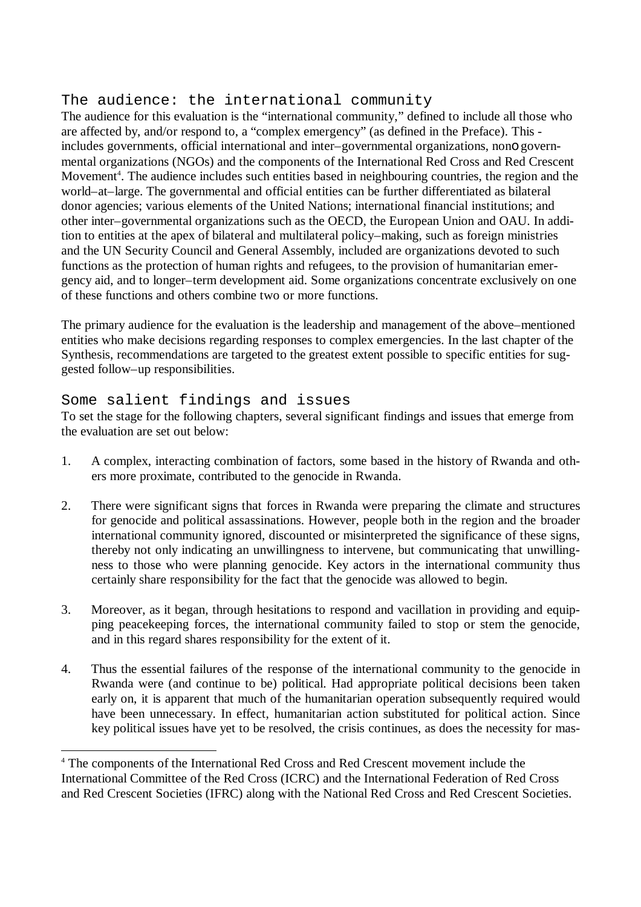#### The audience: the international community

The audience for this evaluation is the "international community," defined to include all those who are affected by, and/or respond to, a "complex emergency" (as defined in the Preface). This includes governments, official international and inter–governmental organizations, nono governmental organizations (NGOs) and the components of the International Red Cross and Red Crescent Movement<sup>4</sup>. The audience includes such entities based in neighbouring countries, the region and the world–at–large. The governmental and official entities can be further differentiated as bilateral donor agencies; various elements of the United Nations; international financial institutions; and other inter–governmental organizations such as the OECD, the European Union and OAU. In addition to entities at the apex of bilateral and multilateral policy–making, such as foreign ministries and the UN Security Council and General Assembly, included are organizations devoted to such functions as the protection of human rights and refugees, to the provision of humanitarian emergency aid, and to longer–term development aid. Some organizations concentrate exclusively on one of these functions and others combine two or more functions.

The primary audience for the evaluation is the leadership and management of the above–mentioned entities who make decisions regarding responses to complex emergencies. In the last chapter of the Synthesis, recommendations are targeted to the greatest extent possible to specific entities for suggested follow–up responsibilities.

#### Some salient findings and issues

l

To set the stage for the following chapters, several significant findings and issues that emerge from the evaluation are set out below:

- 1. A complex, interacting combination of factors, some based in the history of Rwanda and others more proximate, contributed to the genocide in Rwanda.
- 2. There were significant signs that forces in Rwanda were preparing the climate and structures for genocide and political assassinations. However, people both in the region and the broader international community ignored, discounted or misinterpreted the significance of these signs, thereby not only indicating an unwillingness to intervene, but communicating that unwillingness to those who were planning genocide. Key actors in the international community thus certainly share responsibility for the fact that the genocide was allowed to begin.
- 3. Moreover, as it began, through hesitations to respond and vacillation in providing and equipping peacekeeping forces, the international community failed to stop or stem the genocide, and in this regard shares responsibility for the extent of it.
- 4. Thus the essential failures of the response of the international community to the genocide in Rwanda were (and continue to be) political. Had appropriate political decisions been taken early on, it is apparent that much of the humanitarian operation subsequently required would have been unnecessary. In effect, humanitarian action substituted for political action. Since key political issues have yet to be resolved, the crisis continues, as does the necessity for mas-

<sup>&</sup>lt;sup>4</sup> The components of the International Red Cross and Red Crescent movement include the International Committee of the Red Cross (ICRC) and the International Federation of Red Cross and Red Crescent Societies (IFRC) along with the National Red Cross and Red Crescent Societies.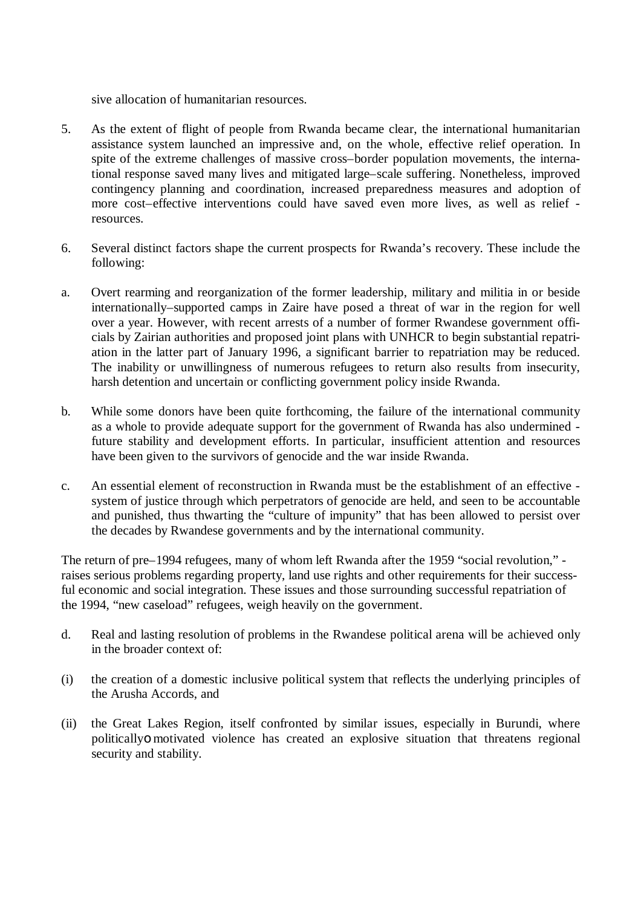sive allocation of humanitarian resources.

- 5. As the extent of flight of people from Rwanda became clear, the international humanitarian assistance system launched an impressive and, on the whole, effective relief operation. In spite of the extreme challenges of massive cross–border population movements, the international response saved many lives and mitigated large–scale suffering. Nonetheless, improved contingency planning and coordination, increased preparedness measures and adoption of more cost–effective interventions could have saved even more lives, as well as relief resources.
- 6. Several distinct factors shape the current prospects for Rwanda's recovery. These include the following:
- a. Overt rearming and reorganization of the former leadership, military and militia in or beside internationally–supported camps in Zaire have posed a threat of war in the region for well over a year. However, with recent arrests of a number of former Rwandese government officials by Zairian authorities and proposed joint plans with UNHCR to begin substantial repatriation in the latter part of January 1996, a significant barrier to repatriation may be reduced. The inability or unwillingness of numerous refugees to return also results from insecurity, harsh detention and uncertain or conflicting government policy inside Rwanda.
- b. While some donors have been quite forthcoming, the failure of the international community as a whole to provide adequate support for the government of Rwanda has also undermined future stability and development efforts. In particular, insufficient attention and resources have been given to the survivors of genocide and the war inside Rwanda.
- c. An essential element of reconstruction in Rwanda must be the establishment of an effective system of justice through which perpetrators of genocide are held, and seen to be accountable and punished, thus thwarting the "culture of impunity" that has been allowed to persist over the decades by Rwandese governments and by the international community.

The return of pre–1994 refugees, many of whom left Rwanda after the 1959 "social revolution," raises serious problems regarding property, land use rights and other requirements for their successful economic and social integration. These issues and those surrounding successful repatriation of the 1994, "new caseload" refugees, weigh heavily on the government.

- d. Real and lasting resolution of problems in the Rwandese political arena will be achieved only in the broader context of:
- (i) the creation of a domestic inclusive political system that reflects the underlying principles of the Arusha Accords, and
- (ii) the Great Lakes Region, itself confronted by similar issues, especially in Burundi, where politicallyo motivated violence has created an explosive situation that threatens regional security and stability.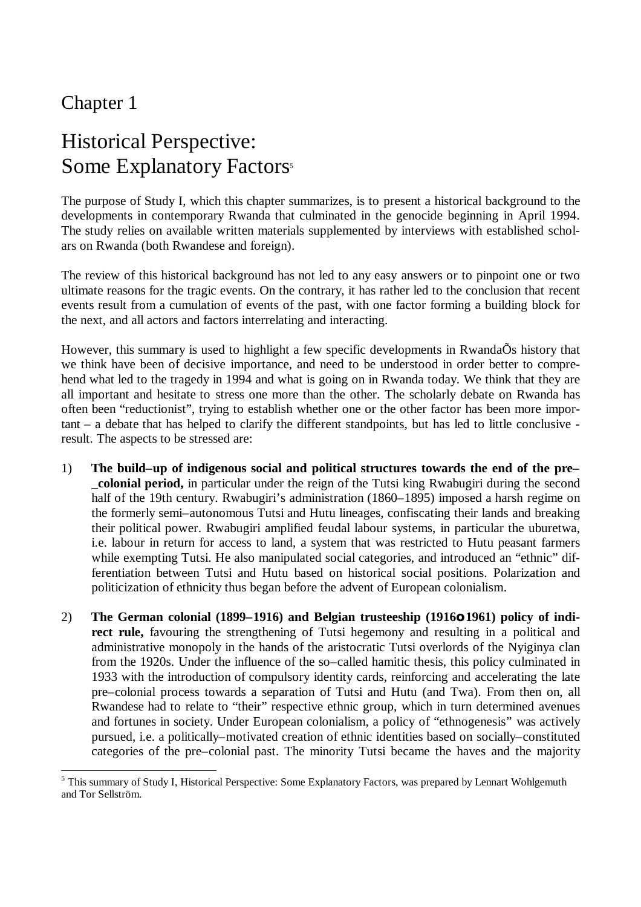### Chapter 1

l

# Historical Perspective: Some Explanatory Factors<sup>5</sup>

The purpose of Study I, which this chapter summarizes, is to present a historical background to the developments in contemporary Rwanda that culminated in the genocide beginning in April 1994. The study relies on available written materials supplemented by interviews with established scholars on Rwanda (both Rwandese and foreign).

The review of this historical background has not led to any easy answers or to pinpoint one or two ultimate reasons for the tragic events. On the contrary, it has rather led to the conclusion that recent events result from a cumulation of events of the past, with one factor forming a building block for the next, and all actors and factors interrelating and interacting.

However, this summary is used to highlight a few specific developments in RwandaÕs history that we think have been of decisive importance, and need to be understood in order better to comprehend what led to the tragedy in 1994 and what is going on in Rwanda today. We think that they are all important and hesitate to stress one more than the other. The scholarly debate on Rwanda has often been "reductionist", trying to establish whether one or the other factor has been more important – a debate that has helped to clarify the different standpoints, but has led to little conclusive result. The aspects to be stressed are:

- 1) **The build–up of indigenous social and political structures towards the end of the pre– \_colonial period,** in particular under the reign of the Tutsi king Rwabugiri during the second half of the 19th century. Rwabugiri's administration (1860–1895) imposed a harsh regime on the formerly semi–autonomous Tutsi and Hutu lineages, confiscating their lands and breaking their political power. Rwabugiri amplified feudal labour systems, in particular the uburetwa, i.e. labour in return for access to land, a system that was restricted to Hutu peasant farmers while exempting Tutsi. He also manipulated social categories, and introduced an "ethnic" differentiation between Tutsi and Hutu based on historical social positions. Polarization and politicization of ethnicity thus began before the advent of European colonialism.
- 2) **The German colonial (1899–1916) and Belgian trusteeship (1916o 1961) policy of indirect rule,** favouring the strengthening of Tutsi hegemony and resulting in a political and administrative monopoly in the hands of the aristocratic Tutsi overlords of the Nyiginya clan from the 1920s. Under the influence of the so–called hamitic thesis, this policy culminated in 1933 with the introduction of compulsory identity cards, reinforcing and accelerating the late pre–colonial process towards a separation of Tutsi and Hutu (and Twa). From then on, all Rwandese had to relate to "their" respective ethnic group, which in turn determined avenues and fortunes in society. Under European colonialism, a policy of "ethnogenesis" was actively pursued, i.e. a politically–motivated creation of ethnic identities based on socially–constituted categories of the pre–colonial past. The minority Tutsi became the haves and the majority

<sup>&</sup>lt;sup>5</sup> This summary of Study I, Historical Perspective: Some Explanatory Factors, was prepared by Lennart Wohlgemuth and Tor Sellström.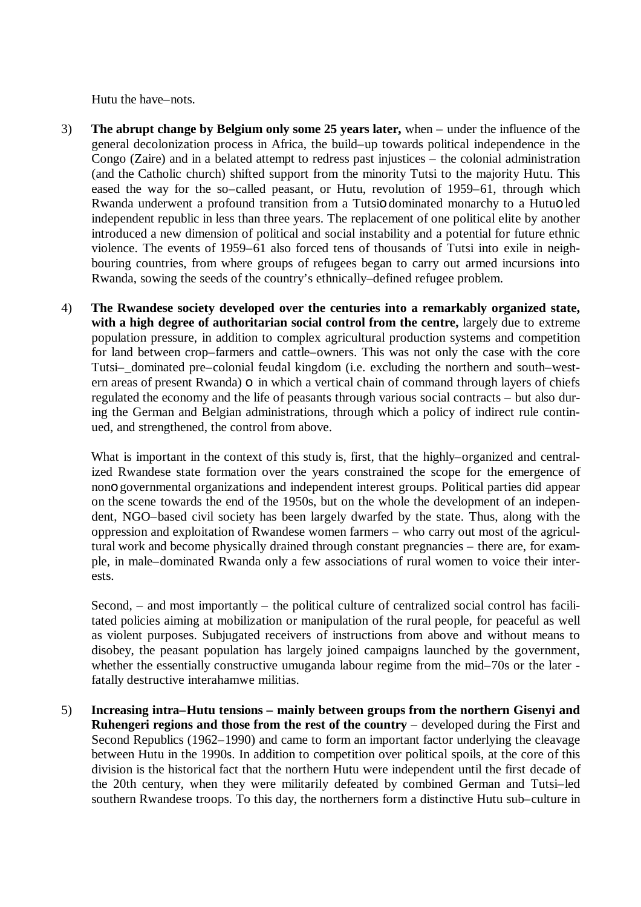Hutu the have–nots.

- 3) **The abrupt change by Belgium only some 25 years later,** when under the influence of the general decolonization process in Africa, the build–up towards political independence in the Congo (Zaire) and in a belated attempt to redress past injustices – the colonial administration (and the Catholic church) shifted support from the minority Tutsi to the majority Hutu. This eased the way for the so–called peasant, or Hutu, revolution of 1959–61, through which Rwanda underwent a profound transition from a Tutsio dominated monarchy to a Hutuo led independent republic in less than three years. The replacement of one political elite by another introduced a new dimension of political and social instability and a potential for future ethnic violence. The events of 1959–61 also forced tens of thousands of Tutsi into exile in neighbouring countries, from where groups of refugees began to carry out armed incursions into Rwanda, sowing the seeds of the country's ethnically–defined refugee problem.
- 4) **The Rwandese society developed over the centuries into a remarkably organized state, with a high degree of authoritarian social control from the centre,** largely due to extreme population pressure, in addition to complex agricultural production systems and competition for land between crop–farmers and cattle–owners. This was not only the case with the core Tutsi–\_dominated pre–colonial feudal kingdom (i.e. excluding the northern and south–western areas of present Rwanda) o in which a vertical chain of command through layers of chiefs regulated the economy and the life of peasants through various social contracts – but also during the German and Belgian administrations, through which a policy of indirect rule continued, and strengthened, the control from above.

What is important in the context of this study is, first, that the highly–organized and centralized Rwandese state formation over the years constrained the scope for the emergence of nono governmental organizations and independent interest groups. Political parties did appear on the scene towards the end of the 1950s, but on the whole the development of an independent, NGO–based civil society has been largely dwarfed by the state. Thus, along with the oppression and exploitation of Rwandese women farmers – who carry out most of the agricultural work and become physically drained through constant pregnancies – there are, for example, in male–dominated Rwanda only a few associations of rural women to voice their interests.

Second, – and most importantly – the political culture of centralized social control has facilitated policies aiming at mobilization or manipulation of the rural people, for peaceful as well as violent purposes. Subjugated receivers of instructions from above and without means to disobey, the peasant population has largely joined campaigns launched by the government, whether the essentially constructive umuganda labour regime from the mid–70s or the later fatally destructive interahamwe militias.

5) **Increasing intra–Hutu tensions – mainly between groups from the northern Gisenyi and Ruhengeri regions and those from the rest of the country** – developed during the First and Second Republics (1962–1990) and came to form an important factor underlying the cleavage between Hutu in the 1990s. In addition to competition over political spoils, at the core of this division is the historical fact that the northern Hutu were independent until the first decade of the 20th century, when they were militarily defeated by combined German and Tutsi–led southern Rwandese troops. To this day, the northerners form a distinctive Hutu sub–culture in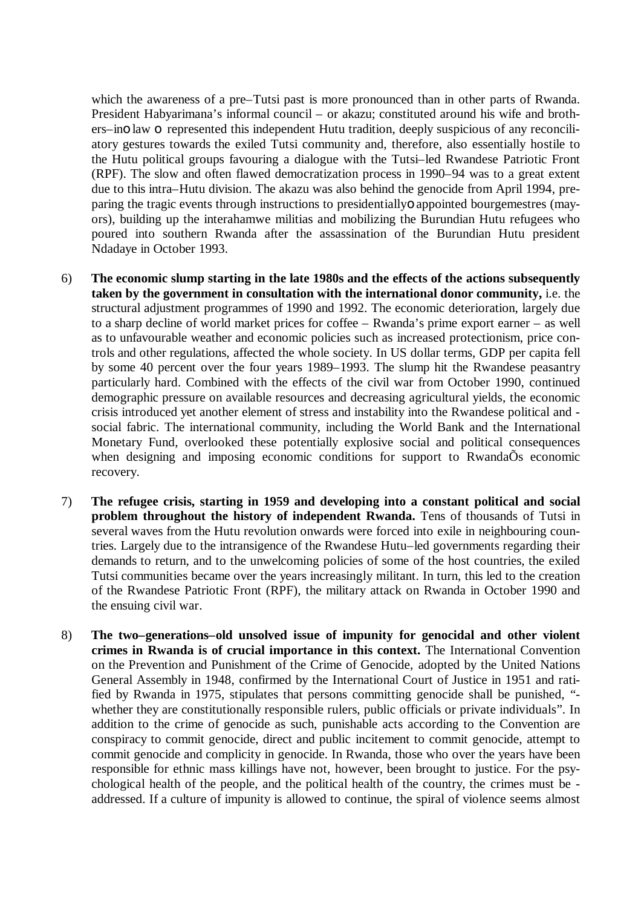which the awareness of a pre–Tutsi past is more pronounced than in other parts of Rwanda. President Habyarimana's informal council – or akazu; constituted around his wife and brothers–ino law o represented this independent Hutu tradition, deeply suspicious of any reconciliatory gestures towards the exiled Tutsi community and, therefore, also essentially hostile to the Hutu political groups favouring a dialogue with the Tutsi–led Rwandese Patriotic Front (RPF). The slow and often flawed democratization process in 1990–94 was to a great extent due to this intra–Hutu division. The akazu was also behind the genocide from April 1994, preparing the tragic events through instructions to presidentiallyo appointed bourgemestres (mayors), building up the interahamwe militias and mobilizing the Burundian Hutu refugees who poured into southern Rwanda after the assassination of the Burundian Hutu president Ndadaye in October 1993.

- 6) **The economic slump starting in the late 1980s and the effects of the actions subsequently taken by the government in consultation with the international donor community,** i.e. the structural adjustment programmes of 1990 and 1992. The economic deterioration, largely due to a sharp decline of world market prices for coffee – Rwanda's prime export earner – as well as to unfavourable weather and economic policies such as increased protectionism, price controls and other regulations, affected the whole society. In US dollar terms, GDP per capita fell by some 40 percent over the four years 1989–1993. The slump hit the Rwandese peasantry particularly hard. Combined with the effects of the civil war from October 1990, continued demographic pressure on available resources and decreasing agricultural yields, the economic crisis introduced yet another element of stress and instability into the Rwandese political and social fabric. The international community, including the World Bank and the International Monetary Fund, overlooked these potentially explosive social and political consequences when designing and imposing economic conditions for support to Rwanda $\tilde{O}$ s economic recovery.
- 7) **The refugee crisis, starting in 1959 and developing into a constant political and social problem throughout the history of independent Rwanda.** Tens of thousands of Tutsi in several waves from the Hutu revolution onwards were forced into exile in neighbouring countries. Largely due to the intransigence of the Rwandese Hutu–led governments regarding their demands to return, and to the unwelcoming policies of some of the host countries, the exiled Tutsi communities became over the years increasingly militant. In turn, this led to the creation of the Rwandese Patriotic Front (RPF), the military attack on Rwanda in October 1990 and the ensuing civil war.
- 8) **The two–generations–old unsolved issue of impunity for genocidal and other violent crimes in Rwanda is of crucial importance in this context.** The International Convention on the Prevention and Punishment of the Crime of Genocide, adopted by the United Nations General Assembly in 1948, confirmed by the International Court of Justice in 1951 and ratified by Rwanda in 1975, stipulates that persons committing genocide shall be punished, " whether they are constitutionally responsible rulers, public officials or private individuals". In addition to the crime of genocide as such, punishable acts according to the Convention are conspiracy to commit genocide, direct and public incitement to commit genocide, attempt to commit genocide and complicity in genocide. In Rwanda, those who over the years have been responsible for ethnic mass killings have not, however, been brought to justice. For the psychological health of the people, and the political health of the country, the crimes must be addressed. If a culture of impunity is allowed to continue, the spiral of violence seems almost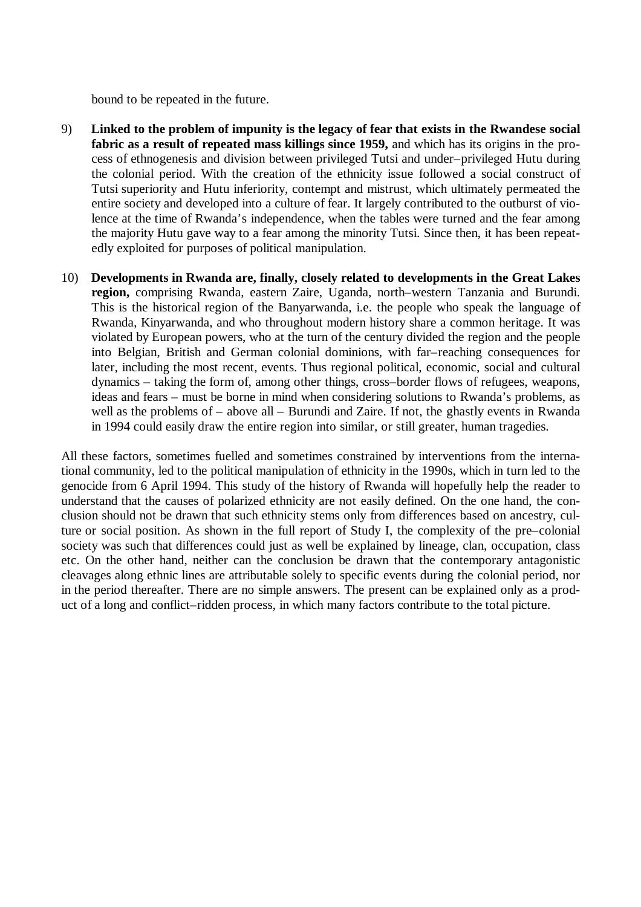bound to be repeated in the future.

- 9) **Linked to the problem of impunity is the legacy of fear that exists in the Rwandese social fabric as a result of repeated mass killings since 1959,** and which has its origins in the process of ethnogenesis and division between privileged Tutsi and under–privileged Hutu during the colonial period. With the creation of the ethnicity issue followed a social construct of Tutsi superiority and Hutu inferiority, contempt and mistrust, which ultimately permeated the entire society and developed into a culture of fear. It largely contributed to the outburst of violence at the time of Rwanda's independence, when the tables were turned and the fear among the majority Hutu gave way to a fear among the minority Tutsi. Since then, it has been repeatedly exploited for purposes of political manipulation.
- 10) **Developments in Rwanda are, finally, closely related to developments in the Great Lakes region,** comprising Rwanda, eastern Zaire, Uganda, north–western Tanzania and Burundi. This is the historical region of the Banyarwanda, i.e. the people who speak the language of Rwanda, Kinyarwanda, and who throughout modern history share a common heritage. It was violated by European powers, who at the turn of the century divided the region and the people into Belgian, British and German colonial dominions, with far–reaching consequences for later, including the most recent, events. Thus regional political, economic, social and cultural dynamics – taking the form of, among other things, cross–border flows of refugees, weapons, ideas and fears – must be borne in mind when considering solutions to Rwanda's problems, as well as the problems of – above all – Burundi and Zaire. If not, the ghastly events in Rwanda in 1994 could easily draw the entire region into similar, or still greater, human tragedies.

All these factors, sometimes fuelled and sometimes constrained by interventions from the international community, led to the political manipulation of ethnicity in the 1990s, which in turn led to the genocide from 6 April 1994. This study of the history of Rwanda will hopefully help the reader to understand that the causes of polarized ethnicity are not easily defined. On the one hand, the conclusion should not be drawn that such ethnicity stems only from differences based on ancestry, culture or social position. As shown in the full report of Study I, the complexity of the pre–colonial society was such that differences could just as well be explained by lineage, clan, occupation, class etc. On the other hand, neither can the conclusion be drawn that the contemporary antagonistic cleavages along ethnic lines are attributable solely to specific events during the colonial period, nor in the period thereafter. There are no simple answers. The present can be explained only as a product of a long and conflict–ridden process, in which many factors contribute to the total picture.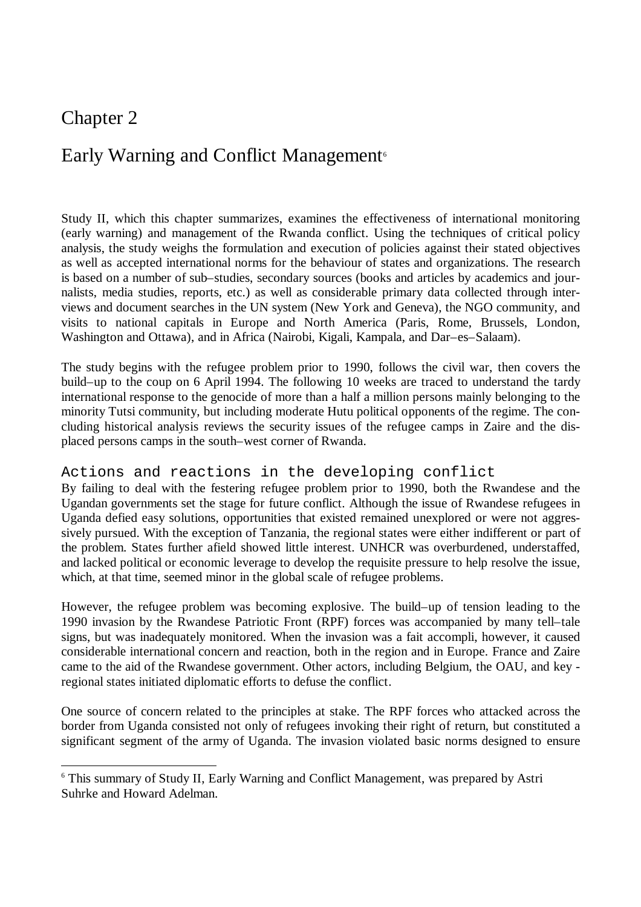### Chapter 2

-

### Early Warning and Conflict Management<sup>6</sup>

Study II, which this chapter summarizes, examines the effectiveness of international monitoring (early warning) and management of the Rwanda conflict. Using the techniques of critical policy analysis, the study weighs the formulation and execution of policies against their stated objectives as well as accepted international norms for the behaviour of states and organizations. The research is based on a number of sub–studies, secondary sources (books and articles by academics and journalists, media studies, reports, etc.) as well as considerable primary data collected through interviews and document searches in the UN system (New York and Geneva), the NGO community, and visits to national capitals in Europe and North America (Paris, Rome, Brussels, London, Washington and Ottawa), and in Africa (Nairobi, Kigali, Kampala, and Dar–es–Salaam).

The study begins with the refugee problem prior to 1990, follows the civil war, then covers the build–up to the coup on 6 April 1994. The following 10 weeks are traced to understand the tardy international response to the genocide of more than a half a million persons mainly belonging to the minority Tutsi community, but including moderate Hutu political opponents of the regime. The concluding historical analysis reviews the security issues of the refugee camps in Zaire and the displaced persons camps in the south–west corner of Rwanda.

#### Actions and reactions in the developing conflict

By failing to deal with the festering refugee problem prior to 1990, both the Rwandese and the Ugandan governments set the stage for future conflict. Although the issue of Rwandese refugees in Uganda defied easy solutions, opportunities that existed remained unexplored or were not aggressively pursued. With the exception of Tanzania, the regional states were either indifferent or part of the problem. States further afield showed little interest. UNHCR was overburdened, understaffed, and lacked political or economic leverage to develop the requisite pressure to help resolve the issue, which, at that time, seemed minor in the global scale of refugee problems.

However, the refugee problem was becoming explosive. The build–up of tension leading to the 1990 invasion by the Rwandese Patriotic Front (RPF) forces was accompanied by many tell–tale signs, but was inadequately monitored. When the invasion was a fait accompli, however, it caused considerable international concern and reaction, both in the region and in Europe. France and Zaire came to the aid of the Rwandese government. Other actors, including Belgium, the OAU, and key regional states initiated diplomatic efforts to defuse the conflict.

One source of concern related to the principles at stake. The RPF forces who attacked across the border from Uganda consisted not only of refugees invoking their right of return, but constituted a significant segment of the army of Uganda. The invasion violated basic norms designed to ensure

<sup>&</sup>lt;sup>6</sup> This summary of Study II, Early Warning and Conflict Management, was prepared by Astri Suhrke and Howard Adelman.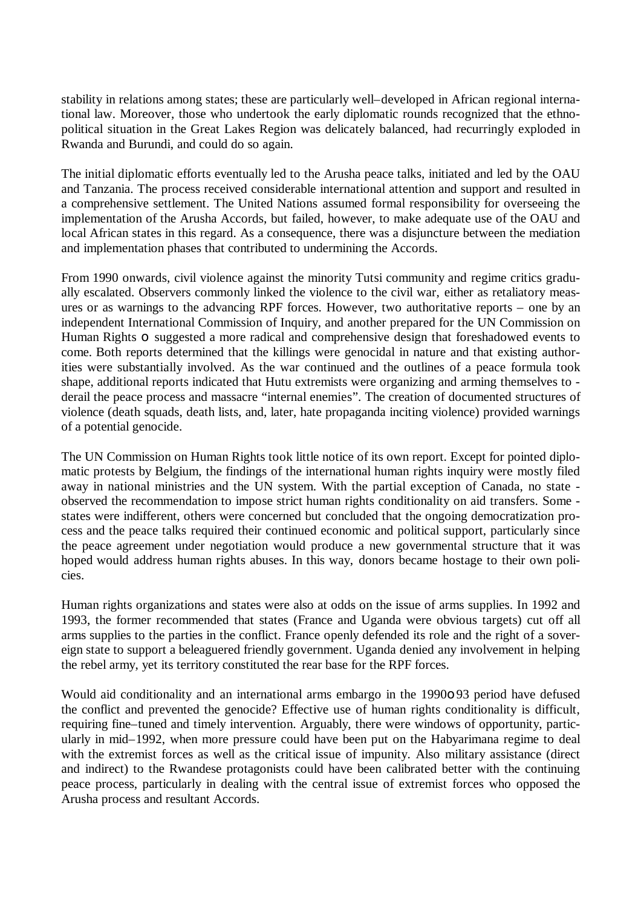stability in relations among states; these are particularly well–developed in African regional international law. Moreover, those who undertook the early diplomatic rounds recognized that the ethnopolitical situation in the Great Lakes Region was delicately balanced, had recurringly exploded in Rwanda and Burundi, and could do so again.

The initial diplomatic efforts eventually led to the Arusha peace talks, initiated and led by the OAU and Tanzania. The process received considerable international attention and support and resulted in a comprehensive settlement. The United Nations assumed formal responsibility for overseeing the implementation of the Arusha Accords, but failed, however, to make adequate use of the OAU and local African states in this regard. As a consequence, there was a disjuncture between the mediation and implementation phases that contributed to undermining the Accords.

From 1990 onwards, civil violence against the minority Tutsi community and regime critics gradually escalated. Observers commonly linked the violence to the civil war, either as retaliatory measures or as warnings to the advancing RPF forces. However, two authoritative reports – one by an independent International Commission of Inquiry, and another prepared for the UN Commission on Human Rights **o** suggested a more radical and comprehensive design that foreshadowed events to come. Both reports determined that the killings were genocidal in nature and that existing authorities were substantially involved. As the war continued and the outlines of a peace formula took shape, additional reports indicated that Hutu extremists were organizing and arming themselves to derail the peace process and massacre "internal enemies". The creation of documented structures of violence (death squads, death lists, and, later, hate propaganda inciting violence) provided warnings of a potential genocide.

The UN Commission on Human Rights took little notice of its own report. Except for pointed diplomatic protests by Belgium, the findings of the international human rights inquiry were mostly filed away in national ministries and the UN system. With the partial exception of Canada, no state observed the recommendation to impose strict human rights conditionality on aid transfers. Some states were indifferent, others were concerned but concluded that the ongoing democratization process and the peace talks required their continued economic and political support, particularly since the peace agreement under negotiation would produce a new governmental structure that it was hoped would address human rights abuses. In this way, donors became hostage to their own policies.

Human rights organizations and states were also at odds on the issue of arms supplies. In 1992 and 1993, the former recommended that states (France and Uganda were obvious targets) cut off all arms supplies to the parties in the conflict. France openly defended its role and the right of a sovereign state to support a beleaguered friendly government. Uganda denied any involvement in helping the rebel army, yet its territory constituted the rear base for the RPF forces.

Would aid conditionality and an international arms embargo in the 1990o 93 period have defused the conflict and prevented the genocide? Effective use of human rights conditionality is difficult, requiring fine–tuned and timely intervention. Arguably, there were windows of opportunity, particularly in mid–1992, when more pressure could have been put on the Habyarimana regime to deal with the extremist forces as well as the critical issue of impunity. Also military assistance (direct and indirect) to the Rwandese protagonists could have been calibrated better with the continuing peace process, particularly in dealing with the central issue of extremist forces who opposed the Arusha process and resultant Accords.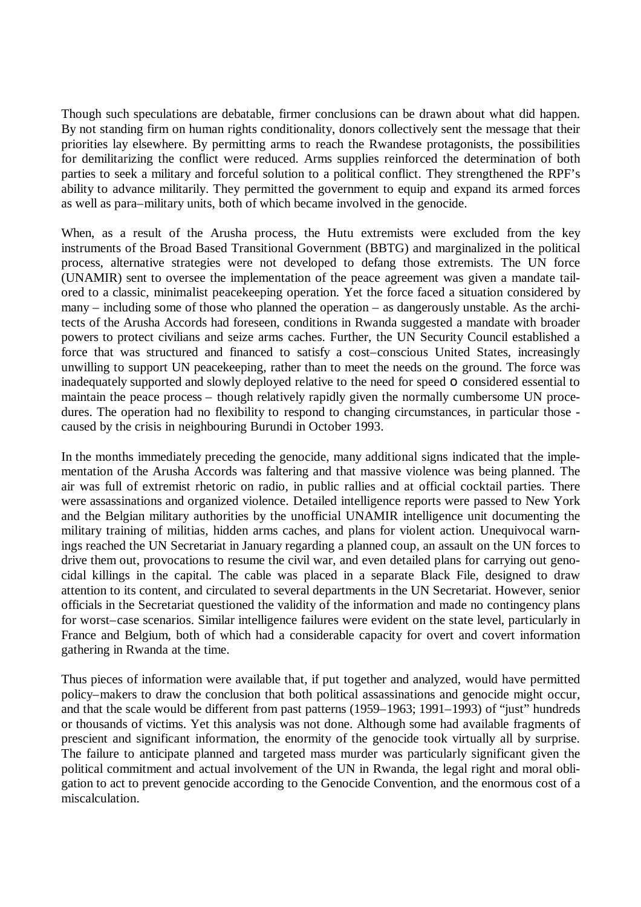Though such speculations are debatable, firmer conclusions can be drawn about what did happen. By not standing firm on human rights conditionality, donors collectively sent the message that their priorities lay elsewhere. By permitting arms to reach the Rwandese protagonists, the possibilities for demilitarizing the conflict were reduced. Arms supplies reinforced the determination of both parties to seek a military and forceful solution to a political conflict. They strengthened the RPF's ability to advance militarily. They permitted the government to equip and expand its armed forces as well as para–military units, both of which became involved in the genocide.

When, as a result of the Arusha process, the Hutu extremists were excluded from the key instruments of the Broad Based Transitional Government (BBTG) and marginalized in the political process, alternative strategies were not developed to defang those extremists. The UN force (UNAMIR) sent to oversee the implementation of the peace agreement was given a mandate tailored to a classic, minimalist peacekeeping operation. Yet the force faced a situation considered by many – including some of those who planned the operation – as dangerously unstable. As the architects of the Arusha Accords had foreseen, conditions in Rwanda suggested a mandate with broader powers to protect civilians and seize arms caches. Further, the UN Security Council established a force that was structured and financed to satisfy a cost–conscious United States, increasingly unwilling to support UN peacekeeping, rather than to meet the needs on the ground. The force was inadequately supported and slowly deployed relative to the need for speed o considered essential to maintain the peace process – though relatively rapidly given the normally cumbersome UN procedures. The operation had no flexibility to respond to changing circumstances, in particular those caused by the crisis in neighbouring Burundi in October 1993.

In the months immediately preceding the genocide, many additional signs indicated that the implementation of the Arusha Accords was faltering and that massive violence was being planned. The air was full of extremist rhetoric on radio, in public rallies and at official cocktail parties. There were assassinations and organized violence. Detailed intelligence reports were passed to New York and the Belgian military authorities by the unofficial UNAMIR intelligence unit documenting the military training of militias, hidden arms caches, and plans for violent action. Unequivocal warnings reached the UN Secretariat in January regarding a planned coup, an assault on the UN forces to drive them out, provocations to resume the civil war, and even detailed plans for carrying out genocidal killings in the capital. The cable was placed in a separate Black File, designed to draw attention to its content, and circulated to several departments in the UN Secretariat. However, senior officials in the Secretariat questioned the validity of the information and made no contingency plans for worst–case scenarios. Similar intelligence failures were evident on the state level, particularly in France and Belgium, both of which had a considerable capacity for overt and covert information gathering in Rwanda at the time.

Thus pieces of information were available that, if put together and analyzed, would have permitted policy–makers to draw the conclusion that both political assassinations and genocide might occur, and that the scale would be different from past patterns (1959–1963; 1991–1993) of "just" hundreds or thousands of victims. Yet this analysis was not done. Although some had available fragments of prescient and significant information, the enormity of the genocide took virtually all by surprise. The failure to anticipate planned and targeted mass murder was particularly significant given the political commitment and actual involvement of the UN in Rwanda, the legal right and moral obligation to act to prevent genocide according to the Genocide Convention, and the enormous cost of a miscalculation.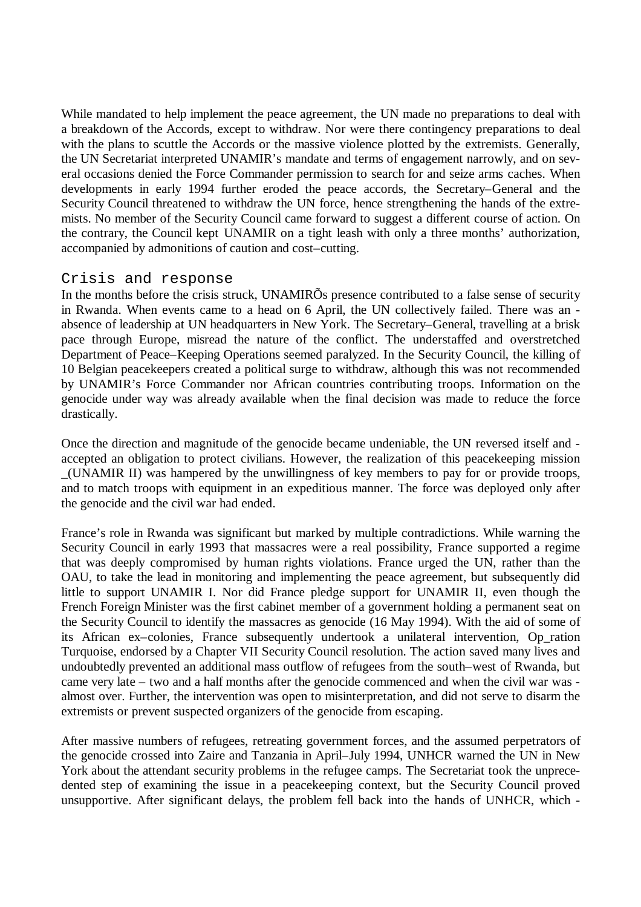While mandated to help implement the peace agreement, the UN made no preparations to deal with a breakdown of the Accords, except to withdraw. Nor were there contingency preparations to deal with the plans to scuttle the Accords or the massive violence plotted by the extremists. Generally, the UN Secretariat interpreted UNAMIR's mandate and terms of engagement narrowly, and on several occasions denied the Force Commander permission to search for and seize arms caches. When developments in early 1994 further eroded the peace accords, the Secretary–General and the Security Council threatened to withdraw the UN force, hence strengthening the hands of the extremists. No member of the Security Council came forward to suggest a different course of action. On the contrary, the Council kept UNAMIR on a tight leash with only a three months' authorization, accompanied by admonitions of caution and cost–cutting.

#### Crisis and response

In the months before the crisis struck, UNAMIRÕs presence contributed to a false sense of security in Rwanda. When events came to a head on 6 April, the UN collectively failed. There was an absence of leadership at UN headquarters in New York. The Secretary–General, travelling at a brisk pace through Europe, misread the nature of the conflict. The understaffed and overstretched Department of Peace–Keeping Operations seemed paralyzed. In the Security Council, the killing of 10 Belgian peacekeepers created a political surge to withdraw, although this was not recommended by UNAMIR's Force Commander nor African countries contributing troops. Information on the genocide under way was already available when the final decision was made to reduce the force drastically.

Once the direction and magnitude of the genocide became undeniable, the UN reversed itself and accepted an obligation to protect civilians. However, the realization of this peacekeeping mission \_(UNAMIR II) was hampered by the unwillingness of key members to pay for or provide troops, and to match troops with equipment in an expeditious manner. The force was deployed only after the genocide and the civil war had ended.

France's role in Rwanda was significant but marked by multiple contradictions. While warning the Security Council in early 1993 that massacres were a real possibility, France supported a regime that was deeply compromised by human rights violations. France urged the UN, rather than the OAU, to take the lead in monitoring and implementing the peace agreement, but subsequently did little to support UNAMIR I. Nor did France pledge support for UNAMIR II, even though the French Foreign Minister was the first cabinet member of a government holding a permanent seat on the Security Council to identify the massacres as genocide (16 May 1994). With the aid of some of its African ex–colonies, France subsequently undertook a unilateral intervention, Op\_ration Turquoise, endorsed by a Chapter VII Security Council resolution. The action saved many lives and undoubtedly prevented an additional mass outflow of refugees from the south–west of Rwanda, but came very late – two and a half months after the genocide commenced and when the civil war was almost over. Further, the intervention was open to misinterpretation, and did not serve to disarm the extremists or prevent suspected organizers of the genocide from escaping.

After massive numbers of refugees, retreating government forces, and the assumed perpetrators of the genocide crossed into Zaire and Tanzania in April–July 1994, UNHCR warned the UN in New York about the attendant security problems in the refugee camps. The Secretariat took the unprecedented step of examining the issue in a peacekeeping context, but the Security Council proved unsupportive. After significant delays, the problem fell back into the hands of UNHCR, which -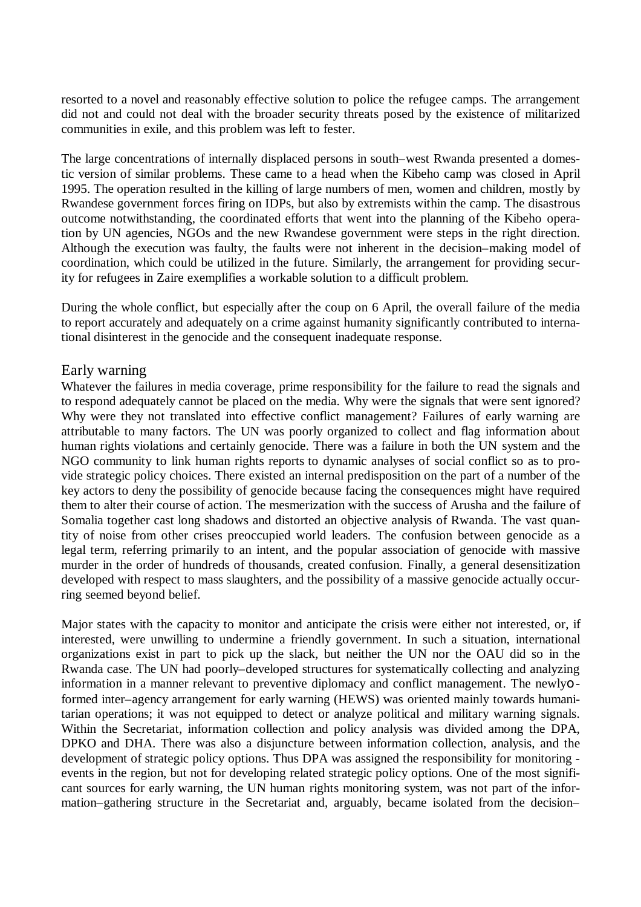resorted to a novel and reasonably effective solution to police the refugee camps. The arrangement did not and could not deal with the broader security threats posed by the existence of militarized communities in exile, and this problem was left to fester.

The large concentrations of internally displaced persons in south–west Rwanda presented a domestic version of similar problems. These came to a head when the Kibeho camp was closed in April 1995. The operation resulted in the killing of large numbers of men, women and children, mostly by Rwandese government forces firing on IDPs, but also by extremists within the camp. The disastrous outcome notwithstanding, the coordinated efforts that went into the planning of the Kibeho operation by UN agencies, NGOs and the new Rwandese government were steps in the right direction. Although the execution was faulty, the faults were not inherent in the decision–making model of coordination, which could be utilized in the future. Similarly, the arrangement for providing security for refugees in Zaire exemplifies a workable solution to a difficult problem.

During the whole conflict, but especially after the coup on 6 April, the overall failure of the media to report accurately and adequately on a crime against humanity significantly contributed to international disinterest in the genocide and the consequent inadequate response.

#### Early warning

Whatever the failures in media coverage, prime responsibility for the failure to read the signals and to respond adequately cannot be placed on the media. Why were the signals that were sent ignored? Why were they not translated into effective conflict management? Failures of early warning are attributable to many factors. The UN was poorly organized to collect and flag information about human rights violations and certainly genocide. There was a failure in both the UN system and the NGO community to link human rights reports to dynamic analyses of social conflict so as to provide strategic policy choices. There existed an internal predisposition on the part of a number of the key actors to deny the possibility of genocide because facing the consequences might have required them to alter their course of action. The mesmerization with the success of Arusha and the failure of Somalia together cast long shadows and distorted an objective analysis of Rwanda. The vast quantity of noise from other crises preoccupied world leaders. The confusion between genocide as a legal term, referring primarily to an intent, and the popular association of genocide with massive murder in the order of hundreds of thousands, created confusion. Finally, a general desensitization developed with respect to mass slaughters, and the possibility of a massive genocide actually occurring seemed beyond belief.

Major states with the capacity to monitor and anticipate the crisis were either not interested, or, if interested, were unwilling to undermine a friendly government. In such a situation, international organizations exist in part to pick up the slack, but neither the UN nor the OAU did so in the Rwanda case. The UN had poorly–developed structures for systematically collecting and analyzing information in a manner relevant to preventive diplomacy and conflict management. The newlyo formed inter–agency arrangement for early warning (HEWS) was oriented mainly towards humanitarian operations; it was not equipped to detect or analyze political and military warning signals. Within the Secretariat, information collection and policy analysis was divided among the DPA, DPKO and DHA. There was also a disjuncture between information collection, analysis, and the development of strategic policy options. Thus DPA was assigned the responsibility for monitoring events in the region, but not for developing related strategic policy options. One of the most significant sources for early warning, the UN human rights monitoring system, was not part of the information–gathering structure in the Secretariat and, arguably, became isolated from the decision–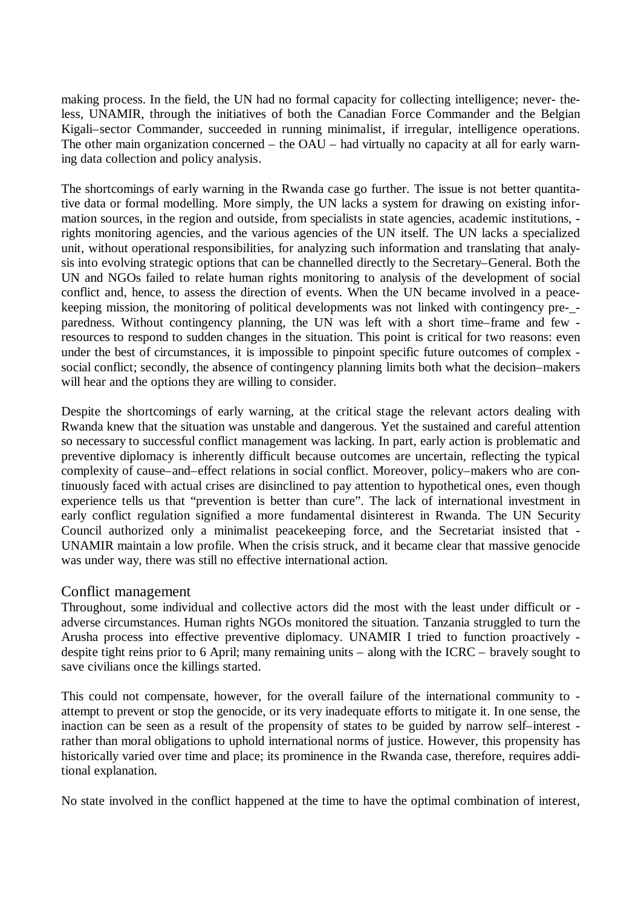making process. In the field, the UN had no formal capacity for collecting intelligence; never- theless, UNAMIR, through the initiatives of both the Canadian Force Commander and the Belgian Kigali–sector Commander, succeeded in running minimalist, if irregular, intelligence operations. The other main organization concerned – the OAU – had virtually no capacity at all for early warning data collection and policy analysis.

The shortcomings of early warning in the Rwanda case go further. The issue is not better quantitative data or formal modelling. More simply, the UN lacks a system for drawing on existing information sources, in the region and outside, from specialists in state agencies, academic institutions, rights monitoring agencies, and the various agencies of the UN itself. The UN lacks a specialized unit, without operational responsibilities, for analyzing such information and translating that analysis into evolving strategic options that can be channelled directly to the Secretary–General. Both the UN and NGOs failed to relate human rights monitoring to analysis of the development of social conflict and, hence, to assess the direction of events. When the UN became involved in a peacekeeping mission, the monitoring of political developments was not linked with contingency pre-\_ paredness. Without contingency planning, the UN was left with a short time–frame and few resources to respond to sudden changes in the situation. This point is critical for two reasons: even under the best of circumstances, it is impossible to pinpoint specific future outcomes of complex social conflict; secondly, the absence of contingency planning limits both what the decision–makers will hear and the options they are willing to consider.

Despite the shortcomings of early warning, at the critical stage the relevant actors dealing with Rwanda knew that the situation was unstable and dangerous. Yet the sustained and careful attention so necessary to successful conflict management was lacking. In part, early action is problematic and preventive diplomacy is inherently difficult because outcomes are uncertain, reflecting the typical complexity of cause–and–effect relations in social conflict. Moreover, policy–makers who are continuously faced with actual crises are disinclined to pay attention to hypothetical ones, even though experience tells us that "prevention is better than cure". The lack of international investment in early conflict regulation signified a more fundamental disinterest in Rwanda. The UN Security Council authorized only a minimalist peacekeeping force, and the Secretariat insisted that - UNAMIR maintain a low profile. When the crisis struck, and it became clear that massive genocide was under way, there was still no effective international action.

#### Conflict management

Throughout, some individual and collective actors did the most with the least under difficult or adverse circumstances. Human rights NGOs monitored the situation. Tanzania struggled to turn the Arusha process into effective preventive diplomacy. UNAMIR I tried to function proactively despite tight reins prior to 6 April; many remaining units – along with the ICRC – bravely sought to save civilians once the killings started.

This could not compensate, however, for the overall failure of the international community to attempt to prevent or stop the genocide, or its very inadequate efforts to mitigate it. In one sense, the inaction can be seen as a result of the propensity of states to be guided by narrow self–interest rather than moral obligations to uphold international norms of justice. However, this propensity has historically varied over time and place; its prominence in the Rwanda case, therefore, requires additional explanation.

No state involved in the conflict happened at the time to have the optimal combination of interest,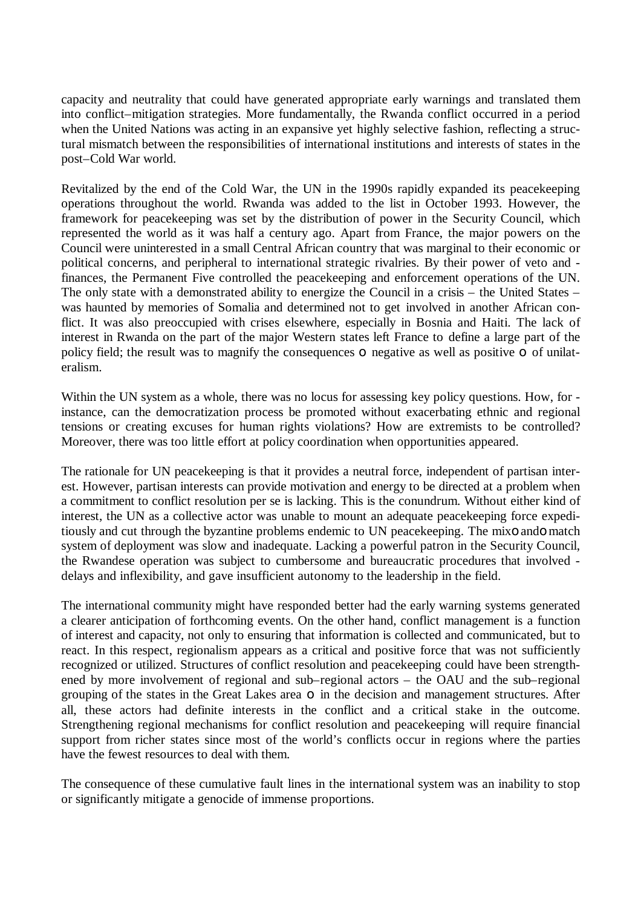capacity and neutrality that could have generated appropriate early warnings and translated them into conflict–mitigation strategies. More fundamentally, the Rwanda conflict occurred in a period when the United Nations was acting in an expansive yet highly selective fashion, reflecting a structural mismatch between the responsibilities of international institutions and interests of states in the post–Cold War world.

Revitalized by the end of the Cold War, the UN in the 1990s rapidly expanded its peacekeeping operations throughout the world. Rwanda was added to the list in October 1993. However, the framework for peacekeeping was set by the distribution of power in the Security Council, which represented the world as it was half a century ago. Apart from France, the major powers on the Council were uninterested in a small Central African country that was marginal to their economic or political concerns, and peripheral to international strategic rivalries. By their power of veto and finances, the Permanent Five controlled the peacekeeping and enforcement operations of the UN. The only state with a demonstrated ability to energize the Council in a crisis – the United States – was haunted by memories of Somalia and determined not to get involved in another African conflict. It was also preoccupied with crises elsewhere, especially in Bosnia and Haiti. The lack of interest in Rwanda on the part of the major Western states left France to define a large part of the policy field; the result was to magnify the consequences **o** negative as well as positive **o** of unilateralism.

Within the UN system as a whole, there was no locus for assessing key policy questions. How, for instance, can the democratization process be promoted without exacerbating ethnic and regional tensions or creating excuses for human rights violations? How are extremists to be controlled? Moreover, there was too little effort at policy coordination when opportunities appeared.

The rationale for UN peacekeeping is that it provides a neutral force, independent of partisan interest. However, partisan interests can provide motivation and energy to be directed at a problem when a commitment to conflict resolution per se is lacking. This is the conundrum. Without either kind of interest, the UN as a collective actor was unable to mount an adequate peacekeeping force expeditiously and cut through the byzantine problems endemic to UN peacekeeping. The mixo ando match system of deployment was slow and inadequate. Lacking a powerful patron in the Security Council, the Rwandese operation was subject to cumbersome and bureaucratic procedures that involved delays and inflexibility, and gave insufficient autonomy to the leadership in the field.

The international community might have responded better had the early warning systems generated a clearer anticipation of forthcoming events. On the other hand, conflict management is a function of interest and capacity, not only to ensuring that information is collected and communicated, but to react. In this respect, regionalism appears as a critical and positive force that was not sufficiently recognized or utilized. Structures of conflict resolution and peacekeeping could have been strengthened by more involvement of regional and sub–regional actors – the OAU and the sub–regional grouping of the states in the Great Lakes area o in the decision and management structures. After all, these actors had definite interests in the conflict and a critical stake in the outcome. Strengthening regional mechanisms for conflict resolution and peacekeeping will require financial support from richer states since most of the world's conflicts occur in regions where the parties have the fewest resources to deal with them.

The consequence of these cumulative fault lines in the international system was an inability to stop or significantly mitigate a genocide of immense proportions.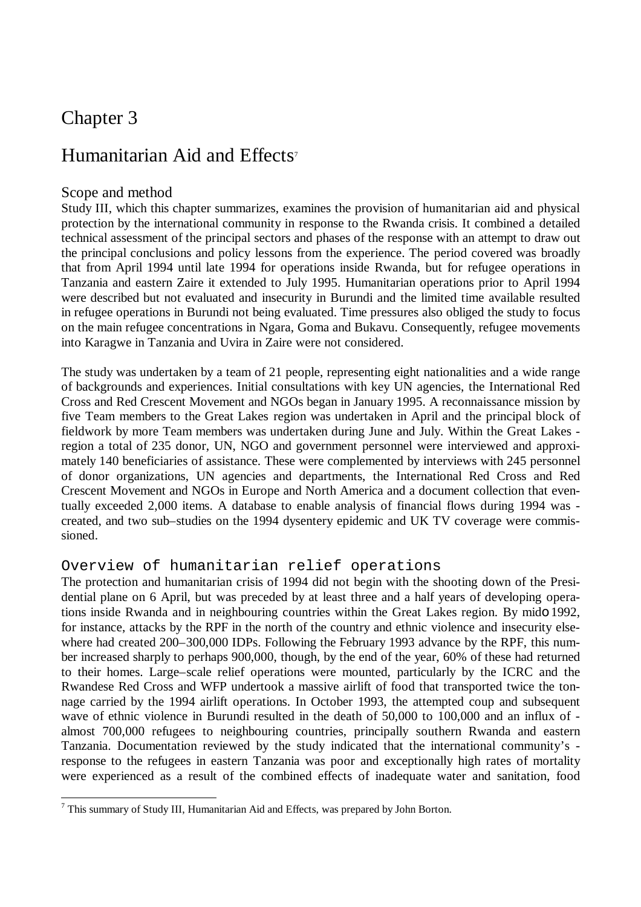### Chapter 3

### Humanitarian Aid and Effects<sup>7</sup>

#### Scope and method

Study III, which this chapter summarizes, examines the provision of humanitarian aid and physical protection by the international community in response to the Rwanda crisis. It combined a detailed technical assessment of the principal sectors and phases of the response with an attempt to draw out the principal conclusions and policy lessons from the experience. The period covered was broadly that from April 1994 until late 1994 for operations inside Rwanda, but for refugee operations in Tanzania and eastern Zaire it extended to July 1995. Humanitarian operations prior to April 1994 were described but not evaluated and insecurity in Burundi and the limited time available resulted in refugee operations in Burundi not being evaluated. Time pressures also obliged the study to focus on the main refugee concentrations in Ngara, Goma and Bukavu. Consequently, refugee movements into Karagwe in Tanzania and Uvira in Zaire were not considered.

The study was undertaken by a team of 21 people, representing eight nationalities and a wide range of backgrounds and experiences. Initial consultations with key UN agencies, the International Red Cross and Red Crescent Movement and NGOs began in January 1995. A reconnaissance mission by five Team members to the Great Lakes region was undertaken in April and the principal block of fieldwork by more Team members was undertaken during June and July. Within the Great Lakes region a total of 235 donor, UN, NGO and government personnel were interviewed and approximately 140 beneficiaries of assistance. These were complemented by interviews with 245 personnel of donor organizations, UN agencies and departments, the International Red Cross and Red Crescent Movement and NGOs in Europe and North America and a document collection that eventually exceeded 2,000 items. A database to enable analysis of financial flows during 1994 was created, and two sub–studies on the 1994 dysentery epidemic and UK TV coverage were commissioned.

#### Overview of humanitarian relief operations

The protection and humanitarian crisis of 1994 did not begin with the shooting down of the Presidential plane on 6 April, but was preceded by at least three and a half years of developing operations inside Rwanda and in neighbouring countries within the Great Lakes region. By mido 1992, for instance, attacks by the RPF in the north of the country and ethnic violence and insecurity elsewhere had created 200–300,000 IDPs. Following the February 1993 advance by the RPF, this number increased sharply to perhaps 900,000, though, by the end of the year, 60% of these had returned to their homes. Large–scale relief operations were mounted, particularly by the ICRC and the Rwandese Red Cross and WFP undertook a massive airlift of food that transported twice the tonnage carried by the 1994 airlift operations. In October 1993, the attempted coup and subsequent wave of ethnic violence in Burundi resulted in the death of 50,000 to 100,000 and an influx of almost 700,000 refugees to neighbouring countries, principally southern Rwanda and eastern Tanzania. Documentation reviewed by the study indicated that the international community's response to the refugees in eastern Tanzania was poor and exceptionally high rates of mortality were experienced as a result of the combined effects of inadequate water and sanitation, food

l  $7$  This summary of Study III, Humanitarian Aid and Effects, was prepared by John Borton.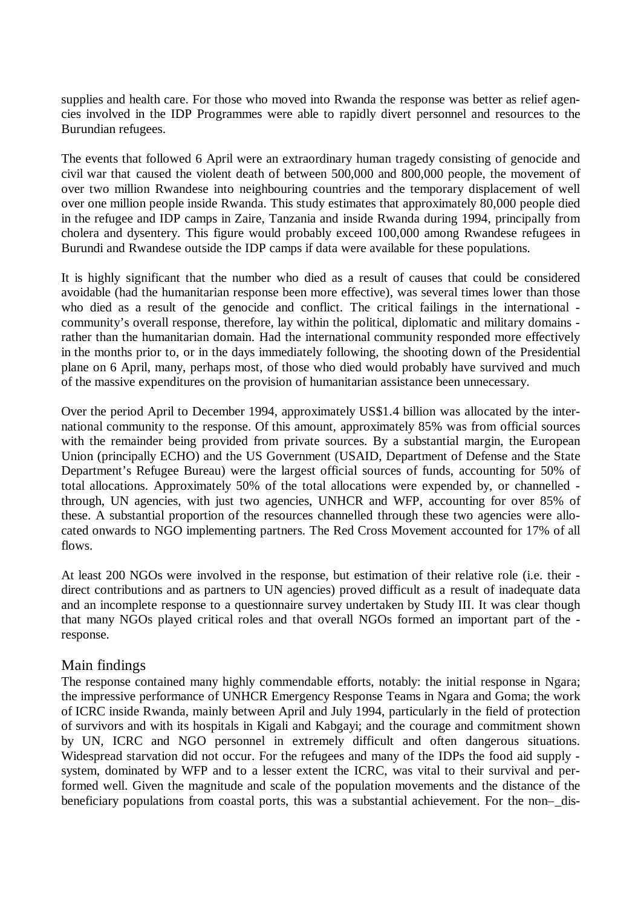supplies and health care. For those who moved into Rwanda the response was better as relief agencies involved in the IDP Programmes were able to rapidly divert personnel and resources to the Burundian refugees.

The events that followed 6 April were an extraordinary human tragedy consisting of genocide and civil war that caused the violent death of between 500,000 and 800,000 people, the movement of over two million Rwandese into neighbouring countries and the temporary displacement of well over one million people inside Rwanda. This study estimates that approximately 80,000 people died in the refugee and IDP camps in Zaire, Tanzania and inside Rwanda during 1994, principally from cholera and dysentery. This figure would probably exceed 100,000 among Rwandese refugees in Burundi and Rwandese outside the IDP camps if data were available for these populations.

It is highly significant that the number who died as a result of causes that could be considered avoidable (had the humanitarian response been more effective), was several times lower than those who died as a result of the genocide and conflict. The critical failings in the international community's overall response, therefore, lay within the political, diplomatic and military domains rather than the humanitarian domain. Had the international community responded more effectively in the months prior to, or in the days immediately following, the shooting down of the Presidential plane on 6 April, many, perhaps most, of those who died would probably have survived and much of the massive expenditures on the provision of humanitarian assistance been unnecessary.

Over the period April to December 1994, approximately US\$1.4 billion was allocated by the international community to the response. Of this amount, approximately 85% was from official sources with the remainder being provided from private sources. By a substantial margin, the European Union (principally ECHO) and the US Government (USAID, Department of Defense and the State Department's Refugee Bureau) were the largest official sources of funds, accounting for 50% of total allocations. Approximately 50% of the total allocations were expended by, or channelled through, UN agencies, with just two agencies, UNHCR and WFP, accounting for over 85% of these. A substantial proportion of the resources channelled through these two agencies were allocated onwards to NGO implementing partners. The Red Cross Movement accounted for 17% of all flows.

At least 200 NGOs were involved in the response, but estimation of their relative role (i.e. their direct contributions and as partners to UN agencies) proved difficult as a result of inadequate data and an incomplete response to a questionnaire survey undertaken by Study III. It was clear though that many NGOs played critical roles and that overall NGOs formed an important part of the response.

#### Main findings

The response contained many highly commendable efforts, notably: the initial response in Ngara; the impressive performance of UNHCR Emergency Response Teams in Ngara and Goma; the work of ICRC inside Rwanda, mainly between April and July 1994, particularly in the field of protection of survivors and with its hospitals in Kigali and Kabgayi; and the courage and commitment shown by UN, ICRC and NGO personnel in extremely difficult and often dangerous situations. Widespread starvation did not occur. For the refugees and many of the IDPs the food aid supply system, dominated by WFP and to a lesser extent the ICRC, was vital to their survival and performed well. Given the magnitude and scale of the population movements and the distance of the beneficiary populations from coastal ports, this was a substantial achievement. For the non–dis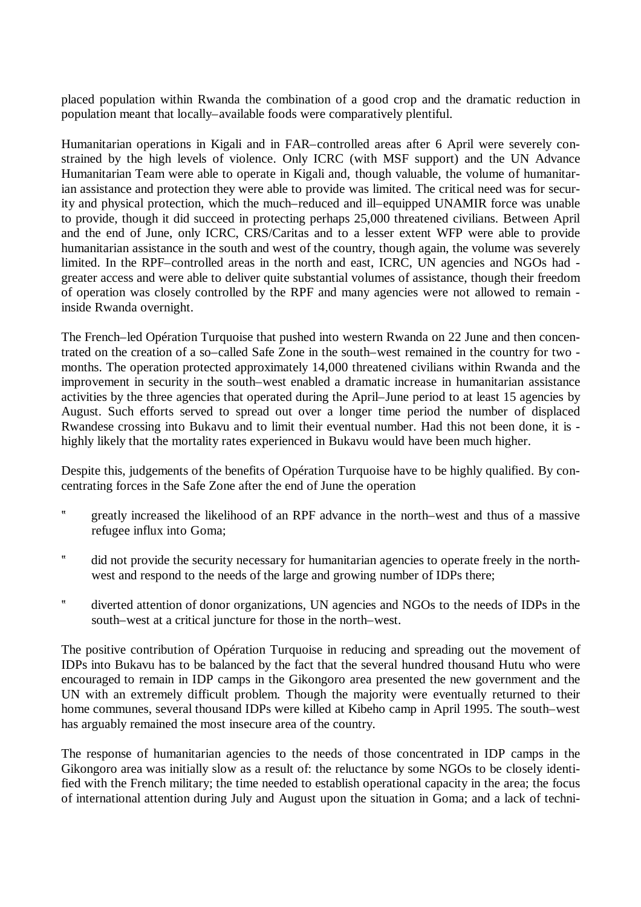placed population within Rwanda the combination of a good crop and the dramatic reduction in population meant that locally–available foods were comparatively plentiful.

Humanitarian operations in Kigali and in FAR–controlled areas after 6 April were severely constrained by the high levels of violence. Only ICRC (with MSF support) and the UN Advance Humanitarian Team were able to operate in Kigali and, though valuable, the volume of humanitarian assistance and protection they were able to provide was limited. The critical need was for security and physical protection, which the much–reduced and ill–equipped UNAMIR force was unable to provide, though it did succeed in protecting perhaps 25,000 threatened civilians. Between April and the end of June, only ICRC, CRS/Caritas and to a lesser extent WFP were able to provide humanitarian assistance in the south and west of the country, though again, the volume was severely limited. In the RPF–controlled areas in the north and east, ICRC, UN agencies and NGOs had greater access and were able to deliver quite substantial volumes of assistance, though their freedom of operation was closely controlled by the RPF and many agencies were not allowed to remain inside Rwanda overnight.

The French–led Opération Turquoise that pushed into western Rwanda on 22 June and then concentrated on the creation of a so–called Safe Zone in the south–west remained in the country for two months. The operation protected approximately 14,000 threatened civilians within Rwanda and the improvement in security in the south–west enabled a dramatic increase in humanitarian assistance activities by the three agencies that operated during the April–June period to at least 15 agencies by August. Such efforts served to spread out over a longer time period the number of displaced Rwandese crossing into Bukavu and to limit their eventual number. Had this not been done, it is highly likely that the mortality rates experienced in Bukavu would have been much higher.

Despite this, judgements of the benefits of Opération Turquoise have to be highly qualified. By concentrating forces in the Safe Zone after the end of June the operation

- ? greatly increased the likelihood of an RPF advance in the north–west and thus of a massive refugee influx into Goma;
- ? did not provide the security necessary for humanitarian agencies to operate freely in the northwest and respond to the needs of the large and growing number of IDPs there;
- ? diverted attention of donor organizations, UN agencies and NGOs to the needs of IDPs in the south–west at a critical juncture for those in the north–west.

The positive contribution of Opération Turquoise in reducing and spreading out the movement of IDPs into Bukavu has to be balanced by the fact that the several hundred thousand Hutu who were encouraged to remain in IDP camps in the Gikongoro area presented the new government and the UN with an extremely difficult problem. Though the majority were eventually returned to their home communes, several thousand IDPs were killed at Kibeho camp in April 1995. The south–west has arguably remained the most insecure area of the country.

The response of humanitarian agencies to the needs of those concentrated in IDP camps in the Gikongoro area was initially slow as a result of: the reluctance by some NGOs to be closely identified with the French military; the time needed to establish operational capacity in the area; the focus of international attention during July and August upon the situation in Goma; and a lack of techni-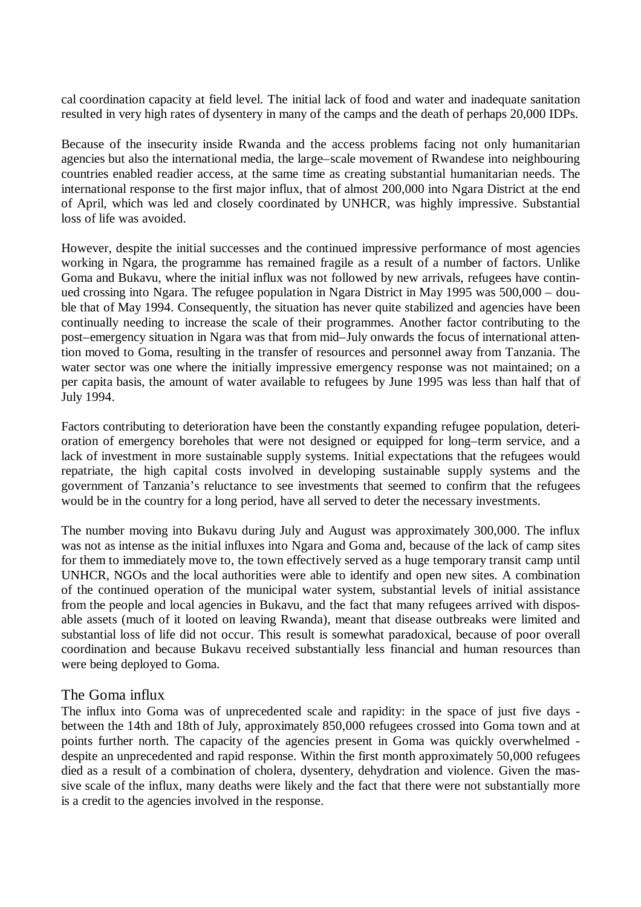cal coordination capacity at field level. The initial lack of food and water and inadequate sanitation resulted in very high rates of dysentery in many of the camps and the death of perhaps 20,000 IDPs.

Because of the insecurity inside Rwanda and the access problems facing not only humanitarian agencies but also the international media, the large–scale movement of Rwandese into neighbouring countries enabled readier access, at the same time as creating substantial humanitarian needs. The international response to the first major influx, that of almost 200,000 into Ngara District at the end of April, which was led and closely coordinated by UNHCR, was highly impressive. Substantial loss of life was avoided.

However, despite the initial successes and the continued impressive performance of most agencies working in Ngara, the programme has remained fragile as a result of a number of factors. Unlike Goma and Bukavu, where the initial influx was not followed by new arrivals, refugees have continued crossing into Ngara. The refugee population in Ngara District in May 1995 was 500,000 – double that of May 1994. Consequently, the situation has never quite stabilized and agencies have been continually needing to increase the scale of their programmes. Another factor contributing to the post–emergency situation in Ngara was that from mid–July onwards the focus of international attention moved to Goma, resulting in the transfer of resources and personnel away from Tanzania. The water sector was one where the initially impressive emergency response was not maintained; on a per capita basis, the amount of water available to refugees by June 1995 was less than half that of July 1994.

Factors contributing to deterioration have been the constantly expanding refugee population, deterioration of emergency boreholes that were not designed or equipped for long–term service, and a lack of investment in more sustainable supply systems. Initial expectations that the refugees would repatriate, the high capital costs involved in developing sustainable supply systems and the government of Tanzania's reluctance to see investments that seemed to confirm that the refugees would be in the country for a long period, have all served to deter the necessary investments.

The number moving into Bukavu during July and August was approximately 300,000. The influx was not as intense as the initial influxes into Ngara and Goma and, because of the lack of camp sites for them to immediately move to, the town effectively served as a huge temporary transit camp until UNHCR, NGOs and the local authorities were able to identify and open new sites. A combination of the continued operation of the municipal water system, substantial levels of initial assistance from the people and local agencies in Bukavu, and the fact that many refugees arrived with disposable assets (much of it looted on leaving Rwanda), meant that disease outbreaks were limited and substantial loss of life did not occur. This result is somewhat paradoxical, because of poor overall coordination and because Bukavu received substantially less financial and human resources than were being deployed to Goma.

#### The Goma influx

The influx into Goma was of unprecedented scale and rapidity: in the space of just five days between the 14th and 18th of July, approximately 850,000 refugees crossed into Goma town and at points further north. The capacity of the agencies present in Goma was quickly overwhelmed despite an unprecedented and rapid response. Within the first month approximately 50,000 refugees died as a result of a combination of cholera, dysentery, dehydration and violence. Given the massive scale of the influx, many deaths were likely and the fact that there were not substantially more is a credit to the agencies involved in the response.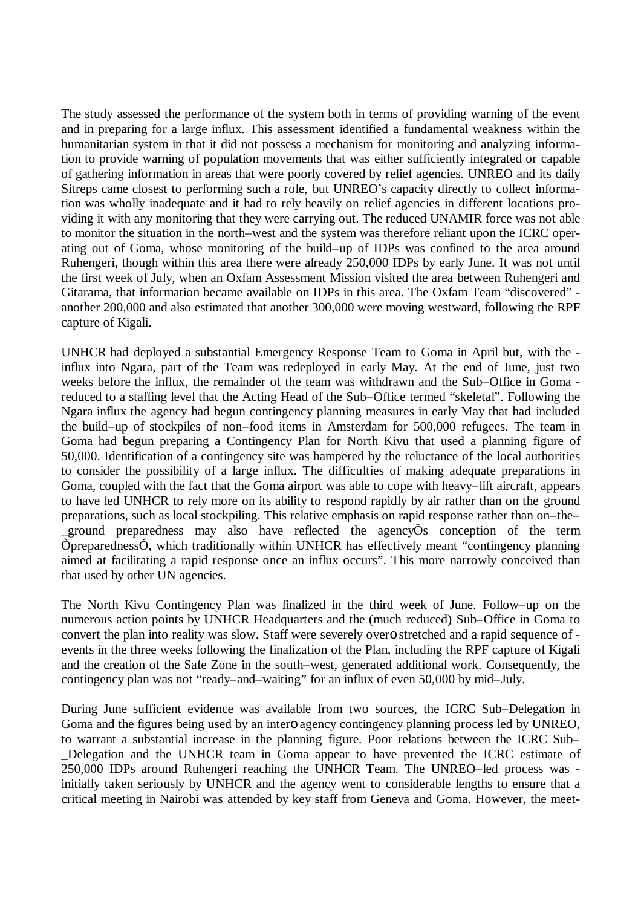The study assessed the performance of the system both in terms of providing warning of the event and in preparing for a large influx. This assessment identified a fundamental weakness within the humanitarian system in that it did not possess a mechanism for monitoring and analyzing information to provide warning of population movements that was either sufficiently integrated or capable of gathering information in areas that were poorly covered by relief agencies. UNREO and its daily Sitreps came closest to performing such a role, but UNREO's capacity directly to collect information was wholly inadequate and it had to rely heavily on relief agencies in different locations providing it with any monitoring that they were carrying out. The reduced UNAMIR force was not able to monitor the situation in the north–west and the system was therefore reliant upon the ICRC operating out of Goma, whose monitoring of the build–up of IDPs was confined to the area around Ruhengeri, though within this area there were already 250,000 IDPs by early June. It was not until the first week of July, when an Oxfam Assessment Mission visited the area between Ruhengeri and Gitarama, that information became available on IDPs in this area. The Oxfam Team "discovered" another 200,000 and also estimated that another 300,000 were moving westward, following the RPF capture of Kigali.

UNHCR had deployed a substantial Emergency Response Team to Goma in April but, with the influx into Ngara, part of the Team was redeployed in early May. At the end of June, just two weeks before the influx, the remainder of the team was withdrawn and the Sub–Office in Goma reduced to a staffing level that the Acting Head of the Sub–Office termed "skeletal". Following the Ngara influx the agency had begun contingency planning measures in early May that had included the build–up of stockpiles of non–food items in Amsterdam for 500,000 refugees. The team in Goma had begun preparing a Contingency Plan for North Kivu that used a planning figure of 50,000. Identification of a contingency site was hampered by the reluctance of the local authorities to consider the possibility of a large influx. The difficulties of making adequate preparations in Goma, coupled with the fact that the Goma airport was able to cope with heavy–lift aircraft, appears to have led UNHCR to rely more on its ability to respond rapidly by air rather than on the ground preparations, such as local stockpiling. This relative emphasis on rapid response rather than on–the– ground preparedness may also have reflected the agency $\tilde{O}$ s conception of the term ÒpreparednessÓ, which traditionally within UNHCR has effectively meant "contingency planning aimed at facilitating a rapid response once an influx occurs". This more narrowly conceived than that used by other UN agencies.

The North Kivu Contingency Plan was finalized in the third week of June. Follow–up on the numerous action points by UNHCR Headquarters and the (much reduced) Sub–Office in Goma to convert the plan into reality was slow. Staff were severely overo stretched and a rapid sequence of events in the three weeks following the finalization of the Plan, including the RPF capture of Kigali and the creation of the Safe Zone in the south–west, generated additional work. Consequently, the contingency plan was not "ready–and–waiting" for an influx of even 50,000 by mid–July.

During June sufficient evidence was available from two sources, the ICRC Sub–Delegation in Goma and the figures being used by an intero agency contingency planning process led by UNREO, to warrant a substantial increase in the planning figure. Poor relations between the ICRC Sub– \_Delegation and the UNHCR team in Goma appear to have prevented the ICRC estimate of 250,000 IDPs around Ruhengeri reaching the UNHCR Team. The UNREO–led process was initially taken seriously by UNHCR and the agency went to considerable lengths to ensure that a critical meeting in Nairobi was attended by key staff from Geneva and Goma. However, the meet-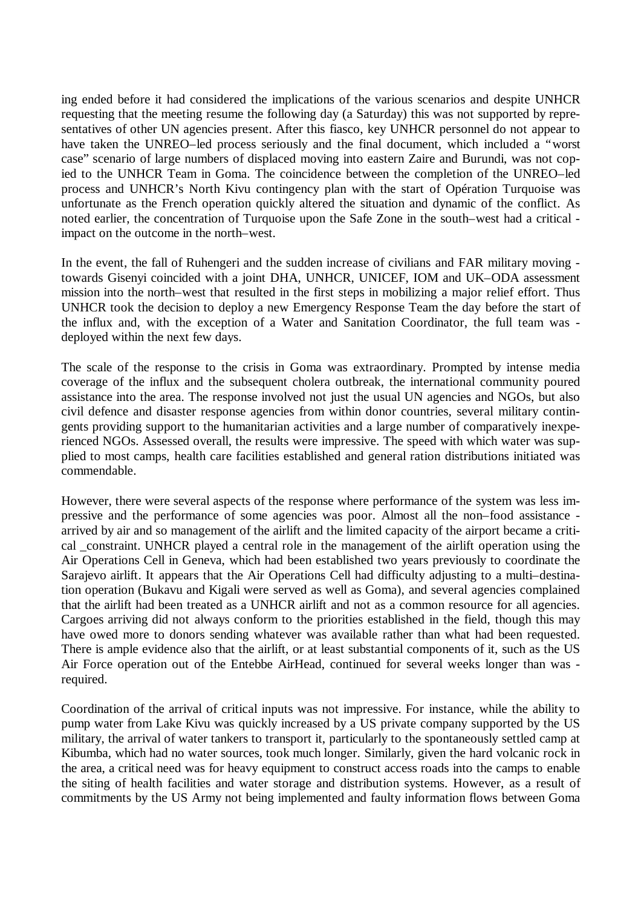ing ended before it had considered the implications of the various scenarios and despite UNHCR requesting that the meeting resume the following day (a Saturday) this was not supported by representatives of other UN agencies present. After this fiasco, key UNHCR personnel do not appear to have taken the UNREO–led process seriously and the final document, which included a "worst case" scenario of large numbers of displaced moving into eastern Zaire and Burundi, was not copied to the UNHCR Team in Goma. The coincidence between the completion of the UNREO–led process and UNHCR's North Kivu contingency plan with the start of Opération Turquoise was unfortunate as the French operation quickly altered the situation and dynamic of the conflict. As noted earlier, the concentration of Turquoise upon the Safe Zone in the south–west had a critical impact on the outcome in the north–west.

In the event, the fall of Ruhengeri and the sudden increase of civilians and FAR military moving towards Gisenyi coincided with a joint DHA, UNHCR, UNICEF, IOM and UK–ODA assessment mission into the north–west that resulted in the first steps in mobilizing a major relief effort. Thus UNHCR took the decision to deploy a new Emergency Response Team the day before the start of the influx and, with the exception of a Water and Sanitation Coordinator, the full team was deployed within the next few days.

The scale of the response to the crisis in Goma was extraordinary. Prompted by intense media coverage of the influx and the subsequent cholera outbreak, the international community poured assistance into the area. The response involved not just the usual UN agencies and NGOs, but also civil defence and disaster response agencies from within donor countries, several military contingents providing support to the humanitarian activities and a large number of comparatively inexperienced NGOs. Assessed overall, the results were impressive. The speed with which water was supplied to most camps, health care facilities established and general ration distributions initiated was commendable.

However, there were several aspects of the response where performance of the system was less impressive and the performance of some agencies was poor. Almost all the non–food assistance arrived by air and so management of the airlift and the limited capacity of the airport became a critical \_constraint. UNHCR played a central role in the management of the airlift operation using the Air Operations Cell in Geneva, which had been established two years previously to coordinate the Sarajevo airlift. It appears that the Air Operations Cell had difficulty adjusting to a multi–destination operation (Bukavu and Kigali were served as well as Goma), and several agencies complained that the airlift had been treated as a UNHCR airlift and not as a common resource for all agencies. Cargoes arriving did not always conform to the priorities established in the field, though this may have owed more to donors sending whatever was available rather than what had been requested. There is ample evidence also that the airlift, or at least substantial components of it, such as the US Air Force operation out of the Entebbe AirHead, continued for several weeks longer than was required.

Coordination of the arrival of critical inputs was not impressive. For instance, while the ability to pump water from Lake Kivu was quickly increased by a US private company supported by the US military, the arrival of water tankers to transport it, particularly to the spontaneously settled camp at Kibumba, which had no water sources, took much longer. Similarly, given the hard volcanic rock in the area, a critical need was for heavy equipment to construct access roads into the camps to enable the siting of health facilities and water storage and distribution systems. However, as a result of commitments by the US Army not being implemented and faulty information flows between Goma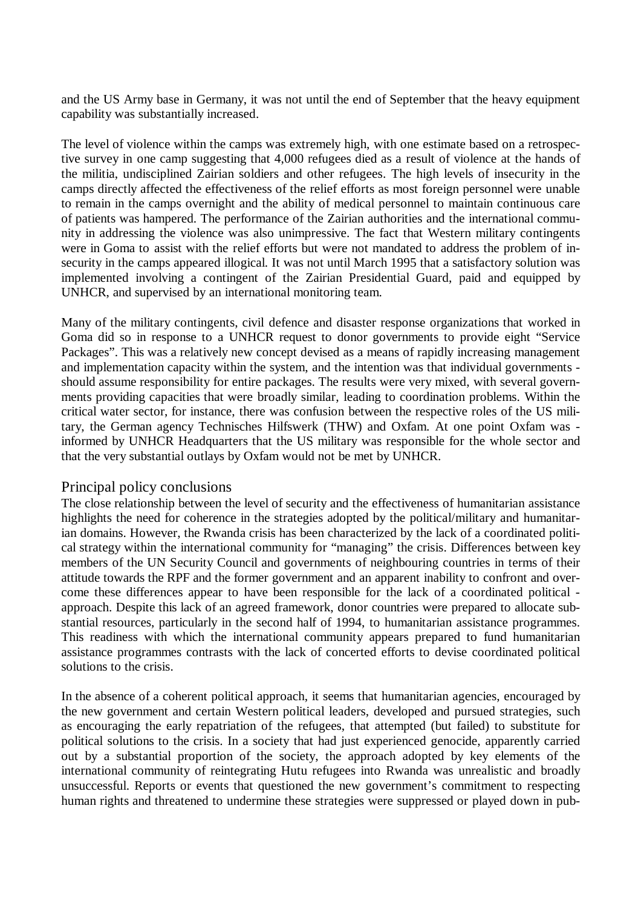and the US Army base in Germany, it was not until the end of September that the heavy equipment capability was substantially increased.

The level of violence within the camps was extremely high, with one estimate based on a retrospective survey in one camp suggesting that 4,000 refugees died as a result of violence at the hands of the militia, undisciplined Zairian soldiers and other refugees. The high levels of insecurity in the camps directly affected the effectiveness of the relief efforts as most foreign personnel were unable to remain in the camps overnight and the ability of medical personnel to maintain continuous care of patients was hampered. The performance of the Zairian authorities and the international community in addressing the violence was also unimpressive. The fact that Western military contingents were in Goma to assist with the relief efforts but were not mandated to address the problem of insecurity in the camps appeared illogical. It was not until March 1995 that a satisfactory solution was implemented involving a contingent of the Zairian Presidential Guard, paid and equipped by UNHCR, and supervised by an international monitoring team.

Many of the military contingents, civil defence and disaster response organizations that worked in Goma did so in response to a UNHCR request to donor governments to provide eight "Service Packages". This was a relatively new concept devised as a means of rapidly increasing management and implementation capacity within the system, and the intention was that individual governments should assume responsibility for entire packages. The results were very mixed, with several governments providing capacities that were broadly similar, leading to coordination problems. Within the critical water sector, for instance, there was confusion between the respective roles of the US military, the German agency Technisches Hilfswerk (THW) and Oxfam. At one point Oxfam was informed by UNHCR Headquarters that the US military was responsible for the whole sector and that the very substantial outlays by Oxfam would not be met by UNHCR.

#### Principal policy conclusions

The close relationship between the level of security and the effectiveness of humanitarian assistance highlights the need for coherence in the strategies adopted by the political/military and humanitarian domains. However, the Rwanda crisis has been characterized by the lack of a coordinated political strategy within the international community for "managing" the crisis. Differences between key members of the UN Security Council and governments of neighbouring countries in terms of their attitude towards the RPF and the former government and an apparent inability to confront and overcome these differences appear to have been responsible for the lack of a coordinated political approach. Despite this lack of an agreed framework, donor countries were prepared to allocate substantial resources, particularly in the second half of 1994, to humanitarian assistance programmes. This readiness with which the international community appears prepared to fund humanitarian assistance programmes contrasts with the lack of concerted efforts to devise coordinated political solutions to the crisis.

In the absence of a coherent political approach, it seems that humanitarian agencies, encouraged by the new government and certain Western political leaders, developed and pursued strategies, such as encouraging the early repatriation of the refugees, that attempted (but failed) to substitute for political solutions to the crisis. In a society that had just experienced genocide, apparently carried out by a substantial proportion of the society, the approach adopted by key elements of the international community of reintegrating Hutu refugees into Rwanda was unrealistic and broadly unsuccessful. Reports or events that questioned the new government's commitment to respecting human rights and threatened to undermine these strategies were suppressed or played down in pub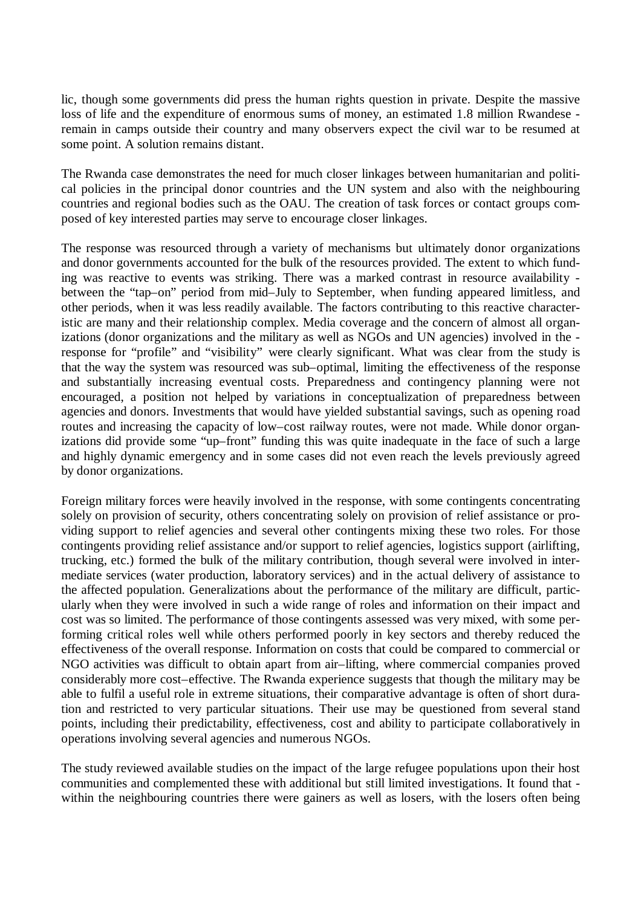lic, though some governments did press the human rights question in private. Despite the massive loss of life and the expenditure of enormous sums of money, an estimated 1.8 million Rwandese remain in camps outside their country and many observers expect the civil war to be resumed at some point. A solution remains distant.

The Rwanda case demonstrates the need for much closer linkages between humanitarian and political policies in the principal donor countries and the UN system and also with the neighbouring countries and regional bodies such as the OAU. The creation of task forces or contact groups composed of key interested parties may serve to encourage closer linkages.

The response was resourced through a variety of mechanisms but ultimately donor organizations and donor governments accounted for the bulk of the resources provided. The extent to which funding was reactive to events was striking. There was a marked contrast in resource availability between the "tap–on" period from mid–July to September, when funding appeared limitless, and other periods, when it was less readily available. The factors contributing to this reactive characteristic are many and their relationship complex. Media coverage and the concern of almost all organizations (donor organizations and the military as well as NGOs and UN agencies) involved in the response for "profile" and "visibility" were clearly significant. What was clear from the study is that the way the system was resourced was sub–optimal, limiting the effectiveness of the response and substantially increasing eventual costs. Preparedness and contingency planning were not encouraged, a position not helped by variations in conceptualization of preparedness between agencies and donors. Investments that would have yielded substantial savings, such as opening road routes and increasing the capacity of low–cost railway routes, were not made. While donor organizations did provide some "up–front" funding this was quite inadequate in the face of such a large and highly dynamic emergency and in some cases did not even reach the levels previously agreed by donor organizations.

Foreign military forces were heavily involved in the response, with some contingents concentrating solely on provision of security, others concentrating solely on provision of relief assistance or providing support to relief agencies and several other contingents mixing these two roles. For those contingents providing relief assistance and/or support to relief agencies, logistics support (airlifting, trucking, etc.) formed the bulk of the military contribution, though several were involved in intermediate services (water production, laboratory services) and in the actual delivery of assistance to the affected population. Generalizations about the performance of the military are difficult, particularly when they were involved in such a wide range of roles and information on their impact and cost was so limited. The performance of those contingents assessed was very mixed, with some performing critical roles well while others performed poorly in key sectors and thereby reduced the effectiveness of the overall response. Information on costs that could be compared to commercial or NGO activities was difficult to obtain apart from air–lifting, where commercial companies proved considerably more cost–effective. The Rwanda experience suggests that though the military may be able to fulfil a useful role in extreme situations, their comparative advantage is often of short duration and restricted to very particular situations. Their use may be questioned from several stand points, including their predictability, effectiveness, cost and ability to participate collaboratively in operations involving several agencies and numerous NGOs.

The study reviewed available studies on the impact of the large refugee populations upon their host communities and complemented these with additional but still limited investigations. It found that within the neighbouring countries there were gainers as well as losers, with the losers often being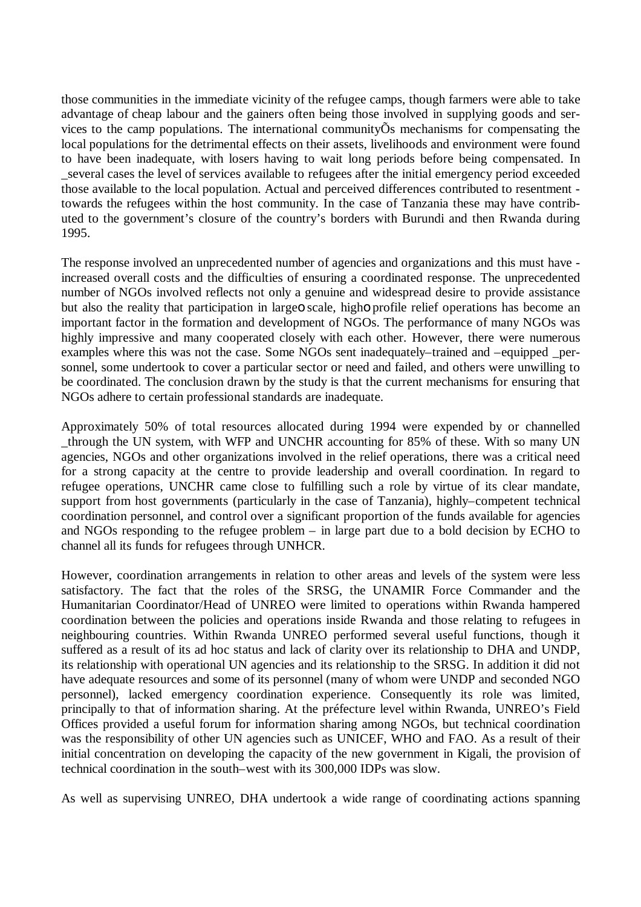those communities in the immediate vicinity of the refugee camps, though farmers were able to take advantage of cheap labour and the gainers often being those involved in supplying goods and services to the camp populations. The international communityÕs mechanisms for compensating the local populations for the detrimental effects on their assets, livelihoods and environment were found to have been inadequate, with losers having to wait long periods before being compensated. In \_several cases the level of services available to refugees after the initial emergency period exceeded those available to the local population. Actual and perceived differences contributed to resentment towards the refugees within the host community. In the case of Tanzania these may have contributed to the government's closure of the country's borders with Burundi and then Rwanda during 1995.

The response involved an unprecedented number of agencies and organizations and this must have increased overall costs and the difficulties of ensuring a coordinated response. The unprecedented number of NGOs involved reflects not only a genuine and widespread desire to provide assistance but also the reality that participation in largeo scale, higho profile relief operations has become an important factor in the formation and development of NGOs. The performance of many NGOs was highly impressive and many cooperated closely with each other. However, there were numerous examples where this was not the case. Some NGOs sent inadequately–trained and –equipped \_personnel, some undertook to cover a particular sector or need and failed, and others were unwilling to be coordinated. The conclusion drawn by the study is that the current mechanisms for ensuring that NGOs adhere to certain professional standards are inadequate.

Approximately 50% of total resources allocated during 1994 were expended by or channelled \_through the UN system, with WFP and UNCHR accounting for 85% of these. With so many UN agencies, NGOs and other organizations involved in the relief operations, there was a critical need for a strong capacity at the centre to provide leadership and overall coordination. In regard to refugee operations, UNCHR came close to fulfilling such a role by virtue of its clear mandate, support from host governments (particularly in the case of Tanzania), highly–competent technical coordination personnel, and control over a significant proportion of the funds available for agencies and NGOs responding to the refugee problem – in large part due to a bold decision by ECHO to channel all its funds for refugees through UNHCR.

However, coordination arrangements in relation to other areas and levels of the system were less satisfactory. The fact that the roles of the SRSG, the UNAMIR Force Commander and the Humanitarian Coordinator/Head of UNREO were limited to operations within Rwanda hampered coordination between the policies and operations inside Rwanda and those relating to refugees in neighbouring countries. Within Rwanda UNREO performed several useful functions, though it suffered as a result of its ad hoc status and lack of clarity over its relationship to DHA and UNDP, its relationship with operational UN agencies and its relationship to the SRSG. In addition it did not have adequate resources and some of its personnel (many of whom were UNDP and seconded NGO personnel), lacked emergency coordination experience. Consequently its role was limited, principally to that of information sharing. At the préfecture level within Rwanda, UNREO's Field Offices provided a useful forum for information sharing among NGOs, but technical coordination was the responsibility of other UN agencies such as UNICEF, WHO and FAO. As a result of their initial concentration on developing the capacity of the new government in Kigali, the provision of technical coordination in the south–west with its 300,000 IDPs was slow.

As well as supervising UNREO, DHA undertook a wide range of coordinating actions spanning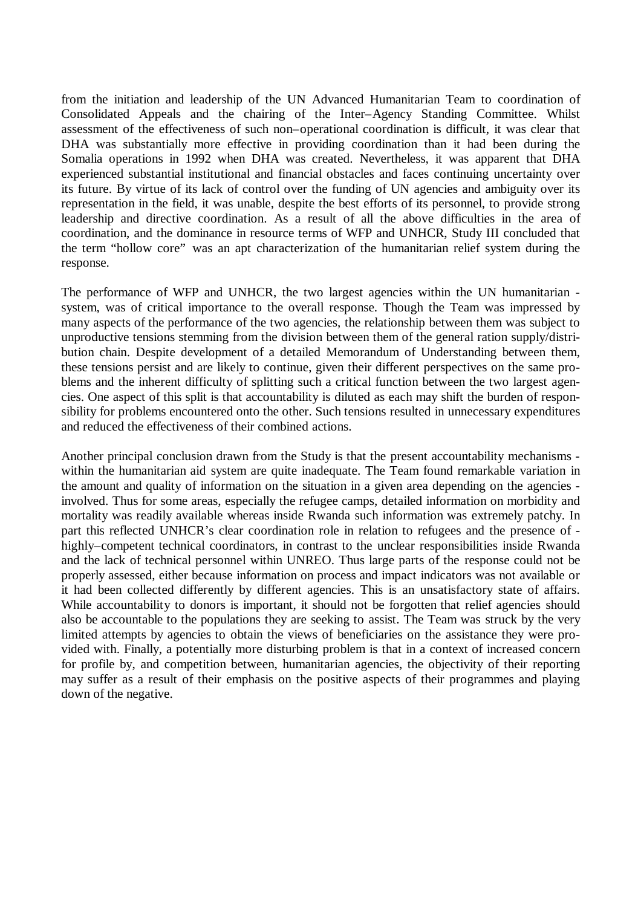from the initiation and leadership of the UN Advanced Humanitarian Team to coordination of Consolidated Appeals and the chairing of the Inter–Agency Standing Committee. Whilst assessment of the effectiveness of such non–operational coordination is difficult, it was clear that DHA was substantially more effective in providing coordination than it had been during the Somalia operations in 1992 when DHA was created. Nevertheless, it was apparent that DHA experienced substantial institutional and financial obstacles and faces continuing uncertainty over its future. By virtue of its lack of control over the funding of UN agencies and ambiguity over its representation in the field, it was unable, despite the best efforts of its personnel, to provide strong leadership and directive coordination. As a result of all the above difficulties in the area of coordination, and the dominance in resource terms of WFP and UNHCR, Study III concluded that the term "hollow core" was an apt characterization of the humanitarian relief system during the response.

The performance of WFP and UNHCR, the two largest agencies within the UN humanitarian system, was of critical importance to the overall response. Though the Team was impressed by many aspects of the performance of the two agencies, the relationship between them was subject to unproductive tensions stemming from the division between them of the general ration supply/distribution chain. Despite development of a detailed Memorandum of Understanding between them, these tensions persist and are likely to continue, given their different perspectives on the same problems and the inherent difficulty of splitting such a critical function between the two largest agencies. One aspect of this split is that accountability is diluted as each may shift the burden of responsibility for problems encountered onto the other. Such tensions resulted in unnecessary expenditures and reduced the effectiveness of their combined actions.

Another principal conclusion drawn from the Study is that the present accountability mechanisms within the humanitarian aid system are quite inadequate. The Team found remarkable variation in the amount and quality of information on the situation in a given area depending on the agencies involved. Thus for some areas, especially the refugee camps, detailed information on morbidity and mortality was readily available whereas inside Rwanda such information was extremely patchy. In part this reflected UNHCR's clear coordination role in relation to refugees and the presence of highly–competent technical coordinators, in contrast to the unclear responsibilities inside Rwanda and the lack of technical personnel within UNREO. Thus large parts of the response could not be properly assessed, either because information on process and impact indicators was not available or it had been collected differently by different agencies. This is an unsatisfactory state of affairs. While accountability to donors is important, it should not be forgotten that relief agencies should also be accountable to the populations they are seeking to assist. The Team was struck by the very limited attempts by agencies to obtain the views of beneficiaries on the assistance they were provided with. Finally, a potentially more disturbing problem is that in a context of increased concern for profile by, and competition between, humanitarian agencies, the objectivity of their reporting may suffer as a result of their emphasis on the positive aspects of their programmes and playing down of the negative.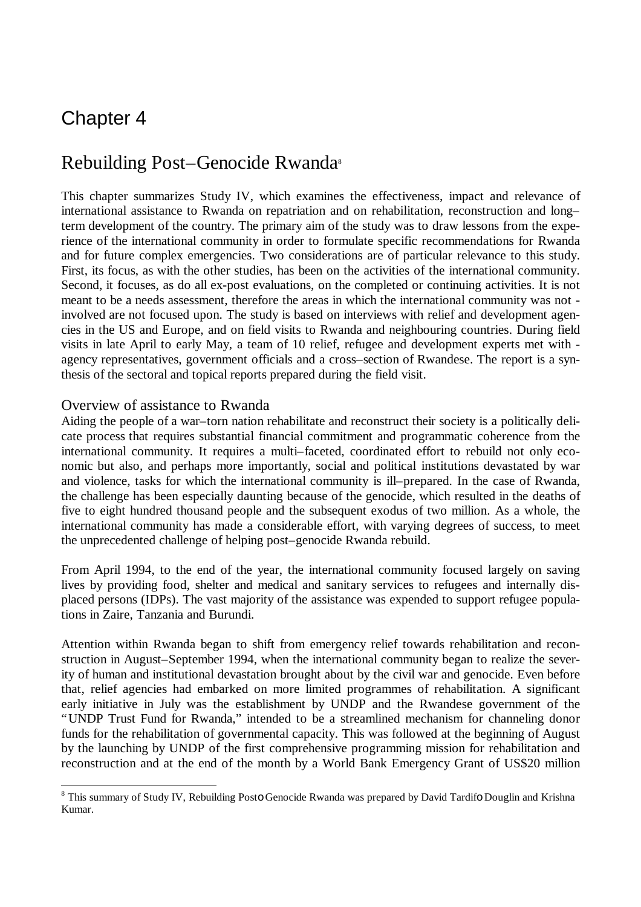# Chapter 4

-

### Rebuilding Post–Genocide Rwanda<sup>s</sup>

This chapter summarizes Study IV, which examines the effectiveness, impact and relevance of international assistance to Rwanda on repatriation and on rehabilitation, reconstruction and long– term development of the country. The primary aim of the study was to draw lessons from the experience of the international community in order to formulate specific recommendations for Rwanda and for future complex emergencies. Two considerations are of particular relevance to this study. First, its focus, as with the other studies, has been on the activities of the international community. Second, it focuses, as do all ex-post evaluations, on the completed or continuing activities. It is not meant to be a needs assessment, therefore the areas in which the international community was not involved are not focused upon. The study is based on interviews with relief and development agencies in the US and Europe, and on field visits to Rwanda and neighbouring countries. During field visits in late April to early May, a team of 10 relief, refugee and development experts met with agency representatives, government officials and a cross–section of Rwandese. The report is a synthesis of the sectoral and topical reports prepared during the field visit.

#### Overview of assistance to Rwanda

Aiding the people of a war–torn nation rehabilitate and reconstruct their society is a politically delicate process that requires substantial financial commitment and programmatic coherence from the international community. It requires a multi–faceted, coordinated effort to rebuild not only economic but also, and perhaps more importantly, social and political institutions devastated by war and violence, tasks for which the international community is ill–prepared. In the case of Rwanda, the challenge has been especially daunting because of the genocide, which resulted in the deaths of five to eight hundred thousand people and the subsequent exodus of two million. As a whole, the international community has made a considerable effort, with varying degrees of success, to meet the unprecedented challenge of helping post–genocide Rwanda rebuild.

From April 1994, to the end of the year, the international community focused largely on saving lives by providing food, shelter and medical and sanitary services to refugees and internally displaced persons (IDPs). The vast majority of the assistance was expended to support refugee populations in Zaire, Tanzania and Burundi.

Attention within Rwanda began to shift from emergency relief towards rehabilitation and reconstruction in August–September 1994, when the international community began to realize the severity of human and institutional devastation brought about by the civil war and genocide. Even before that, relief agencies had embarked on more limited programmes of rehabilitation. A significant early initiative in July was the establishment by UNDP and the Rwandese government of the "UNDP Trust Fund for Rwanda," intended to be a streamlined mechanism for channeling donor funds for the rehabilitation of governmental capacity. This was followed at the beginning of August by the launching by UNDP of the first comprehensive programming mission for rehabilitation and reconstruction and at the end of the month by a World Bank Emergency Grant of US\$20 million

<sup>&</sup>lt;sup>8</sup> This summary of Study IV, Rebuilding Posto Genocide Rwanda was prepared by David Tardifo Douglin and Krishna Kumar.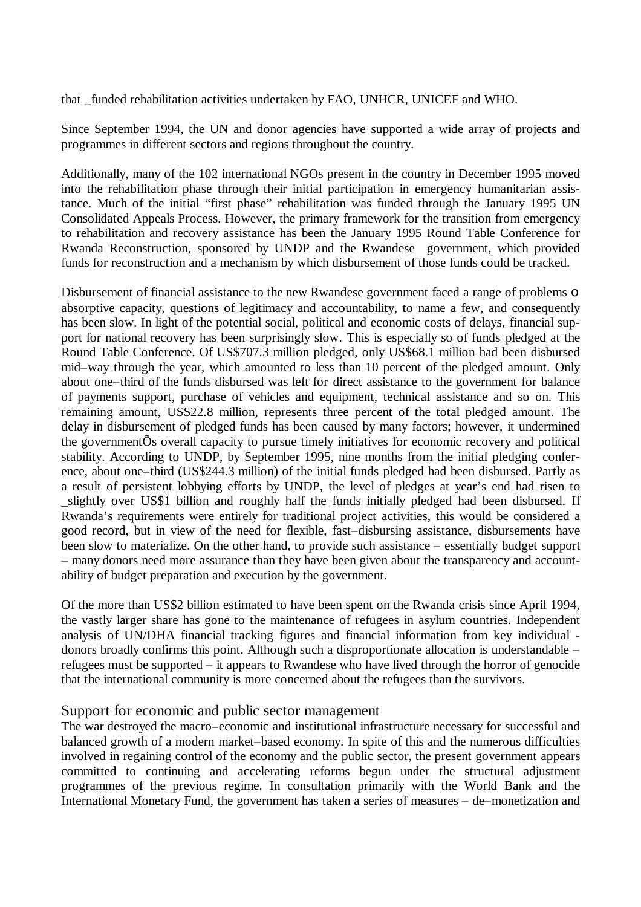that \_funded rehabilitation activities undertaken by FAO, UNHCR, UNICEF and WHO.

Since September 1994, the UN and donor agencies have supported a wide array of projects and programmes in different sectors and regions throughout the country.

Additionally, many of the 102 international NGOs present in the country in December 1995 moved into the rehabilitation phase through their initial participation in emergency humanitarian assistance. Much of the initial "first phase" rehabilitation was funded through the January 1995 UN Consolidated Appeals Process. However, the primary framework for the transition from emergency to rehabilitation and recovery assistance has been the January 1995 Round Table Conference for Rwanda Reconstruction, sponsored by UNDP and the Rwandese government, which provided funds for reconstruction and a mechanism by which disbursement of those funds could be tracked.

Disbursement of financial assistance to the new Rwandese government faced a range of problems **o** absorptive capacity, questions of legitimacy and accountability, to name a few, and consequently has been slow. In light of the potential social, political and economic costs of delays, financial support for national recovery has been surprisingly slow. This is especially so of funds pledged at the Round Table Conference. Of US\$707.3 million pledged, only US\$68.1 million had been disbursed mid–way through the year, which amounted to less than 10 percent of the pledged amount. Only about one–third of the funds disbursed was left for direct assistance to the government for balance of payments support, purchase of vehicles and equipment, technical assistance and so on. This remaining amount, US\$22.8 million, represents three percent of the total pledged amount. The delay in disbursement of pledged funds has been caused by many factors; however, it undermined the governmentÕs overall capacity to pursue timely initiatives for economic recovery and political stability. According to UNDP, by September 1995, nine months from the initial pledging conference, about one–third (US\$244.3 million) of the initial funds pledged had been disbursed. Partly as a result of persistent lobbying efforts by UNDP, the level of pledges at year's end had risen to slightly over US\$1 billion and roughly half the funds initially pledged had been disbursed. If Rwanda's requirements were entirely for traditional project activities, this would be considered a good record, but in view of the need for flexible, fast–disbursing assistance, disbursements have been slow to materialize. On the other hand, to provide such assistance – essentially budget support – many donors need more assurance than they have been given about the transparency and accountability of budget preparation and execution by the government.

Of the more than US\$2 billion estimated to have been spent on the Rwanda crisis since April 1994, the vastly larger share has gone to the maintenance of refugees in asylum countries. Independent analysis of UN/DHA financial tracking figures and financial information from key individual donors broadly confirms this point. Although such a disproportionate allocation is understandable – refugees must be supported – it appears to Rwandese who have lived through the horror of genocide that the international community is more concerned about the refugees than the survivors.

#### Support for economic and public sector management

The war destroyed the macro–economic and institutional infrastructure necessary for successful and balanced growth of a modern market–based economy. In spite of this and the numerous difficulties involved in regaining control of the economy and the public sector, the present government appears committed to continuing and accelerating reforms begun under the structural adjustment programmes of the previous regime. In consultation primarily with the World Bank and the International Monetary Fund, the government has taken a series of measures – de–monetization and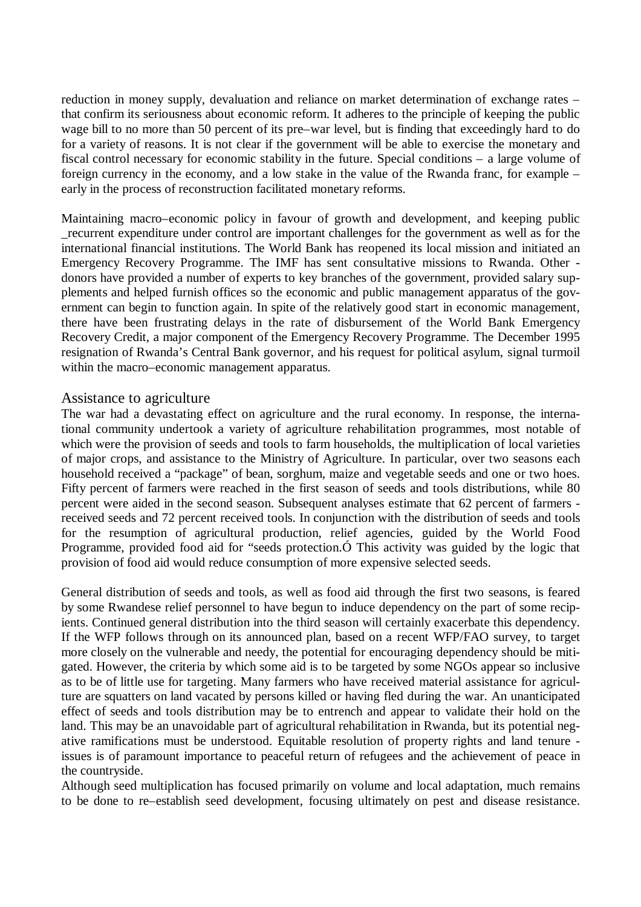reduction in money supply, devaluation and reliance on market determination of exchange rates – that confirm its seriousness about economic reform. It adheres to the principle of keeping the public wage bill to no more than 50 percent of its pre–war level, but is finding that exceedingly hard to do for a variety of reasons. It is not clear if the government will be able to exercise the monetary and fiscal control necessary for economic stability in the future. Special conditions – a large volume of foreign currency in the economy, and a low stake in the value of the Rwanda franc, for example – early in the process of reconstruction facilitated monetary reforms.

Maintaining macro–economic policy in favour of growth and development, and keeping public \_recurrent expenditure under control are important challenges for the government as well as for the international financial institutions. The World Bank has reopened its local mission and initiated an Emergency Recovery Programme. The IMF has sent consultative missions to Rwanda. Other donors have provided a number of experts to key branches of the government, provided salary supplements and helped furnish offices so the economic and public management apparatus of the government can begin to function again. In spite of the relatively good start in economic management, there have been frustrating delays in the rate of disbursement of the World Bank Emergency Recovery Credit, a major component of the Emergency Recovery Programme. The December 1995 resignation of Rwanda's Central Bank governor, and his request for political asylum, signal turmoil within the macro–economic management apparatus.

#### Assistance to agriculture

The war had a devastating effect on agriculture and the rural economy. In response, the international community undertook a variety of agriculture rehabilitation programmes, most notable of which were the provision of seeds and tools to farm households, the multiplication of local varieties of major crops, and assistance to the Ministry of Agriculture. In particular, over two seasons each household received a "package" of bean, sorghum, maize and vegetable seeds and one or two hoes. Fifty percent of farmers were reached in the first season of seeds and tools distributions, while 80 percent were aided in the second season. Subsequent analyses estimate that 62 percent of farmers received seeds and 72 percent received tools. In conjunction with the distribution of seeds and tools for the resumption of agricultural production, relief agencies, guided by the World Food Programme, provided food aid for "seeds protection.Ó This activity was guided by the logic that provision of food aid would reduce consumption of more expensive selected seeds.

General distribution of seeds and tools, as well as food aid through the first two seasons, is feared by some Rwandese relief personnel to have begun to induce dependency on the part of some recipients. Continued general distribution into the third season will certainly exacerbate this dependency. If the WFP follows through on its announced plan, based on a recent WFP/FAO survey, to target more closely on the vulnerable and needy, the potential for encouraging dependency should be mitigated. However, the criteria by which some aid is to be targeted by some NGOs appear so inclusive as to be of little use for targeting. Many farmers who have received material assistance for agriculture are squatters on land vacated by persons killed or having fled during the war. An unanticipated effect of seeds and tools distribution may be to entrench and appear to validate their hold on the land. This may be an unavoidable part of agricultural rehabilitation in Rwanda, but its potential negative ramifications must be understood. Equitable resolution of property rights and land tenure issues is of paramount importance to peaceful return of refugees and the achievement of peace in the countryside.

Although seed multiplication has focused primarily on volume and local adaptation, much remains to be done to re–establish seed development, focusing ultimately on pest and disease resistance.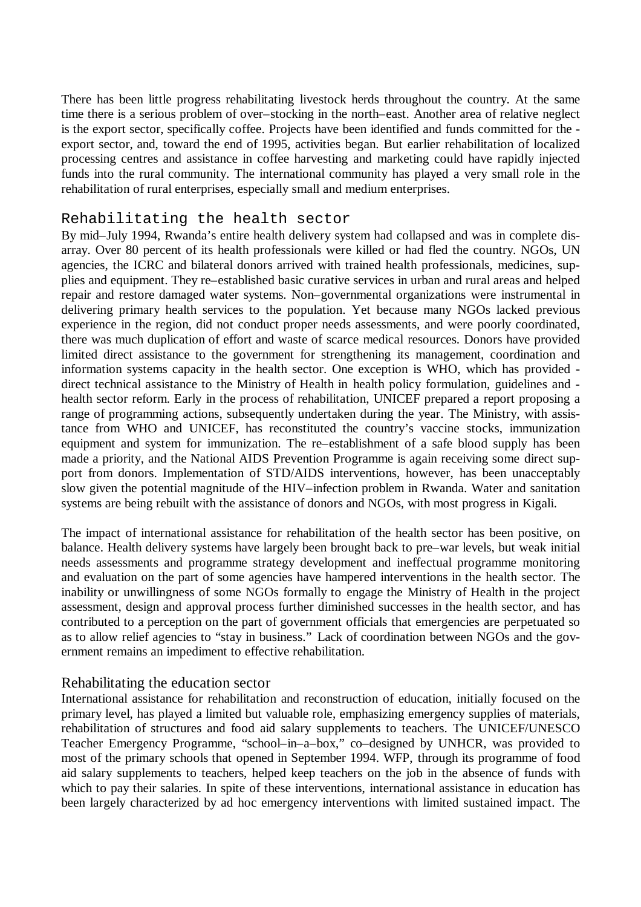There has been little progress rehabilitating livestock herds throughout the country. At the same time there is a serious problem of over–stocking in the north–east. Another area of relative neglect is the export sector, specifically coffee. Projects have been identified and funds committed for the export sector, and, toward the end of 1995, activities began. But earlier rehabilitation of localized processing centres and assistance in coffee harvesting and marketing could have rapidly injected funds into the rural community. The international community has played a very small role in the rehabilitation of rural enterprises, especially small and medium enterprises.

#### Rehabilitating the health sector

By mid–July 1994, Rwanda's entire health delivery system had collapsed and was in complete disarray. Over 80 percent of its health professionals were killed or had fled the country. NGOs, UN agencies, the ICRC and bilateral donors arrived with trained health professionals, medicines, supplies and equipment. They re–established basic curative services in urban and rural areas and helped repair and restore damaged water systems. Non–governmental organizations were instrumental in delivering primary health services to the population. Yet because many NGOs lacked previous experience in the region, did not conduct proper needs assessments, and were poorly coordinated, there was much duplication of effort and waste of scarce medical resources. Donors have provided limited direct assistance to the government for strengthening its management, coordination and information systems capacity in the health sector. One exception is WHO, which has provided direct technical assistance to the Ministry of Health in health policy formulation, guidelines and health sector reform. Early in the process of rehabilitation, UNICEF prepared a report proposing a range of programming actions, subsequently undertaken during the year. The Ministry, with assistance from WHO and UNICEF, has reconstituted the country's vaccine stocks, immunization equipment and system for immunization. The re–establishment of a safe blood supply has been made a priority, and the National AIDS Prevention Programme is again receiving some direct support from donors. Implementation of STD/AIDS interventions, however, has been unacceptably slow given the potential magnitude of the HIV–infection problem in Rwanda. Water and sanitation systems are being rebuilt with the assistance of donors and NGOs, with most progress in Kigali.

The impact of international assistance for rehabilitation of the health sector has been positive, on balance. Health delivery systems have largely been brought back to pre–war levels, but weak initial needs assessments and programme strategy development and ineffectual programme monitoring and evaluation on the part of some agencies have hampered interventions in the health sector. The inability or unwillingness of some NGOs formally to engage the Ministry of Health in the project assessment, design and approval process further diminished successes in the health sector, and has contributed to a perception on the part of government officials that emergencies are perpetuated so as to allow relief agencies to "stay in business." Lack of coordination between NGOs and the government remains an impediment to effective rehabilitation.

#### Rehabilitating the education sector

International assistance for rehabilitation and reconstruction of education, initially focused on the primary level, has played a limited but valuable role, emphasizing emergency supplies of materials, rehabilitation of structures and food aid salary supplements to teachers. The UNICEF/UNESCO Teacher Emergency Programme, "school–in–a–box," co–designed by UNHCR, was provided to most of the primary schools that opened in September 1994. WFP, through its programme of food aid salary supplements to teachers, helped keep teachers on the job in the absence of funds with which to pay their salaries. In spite of these interventions, international assistance in education has been largely characterized by ad hoc emergency interventions with limited sustained impact. The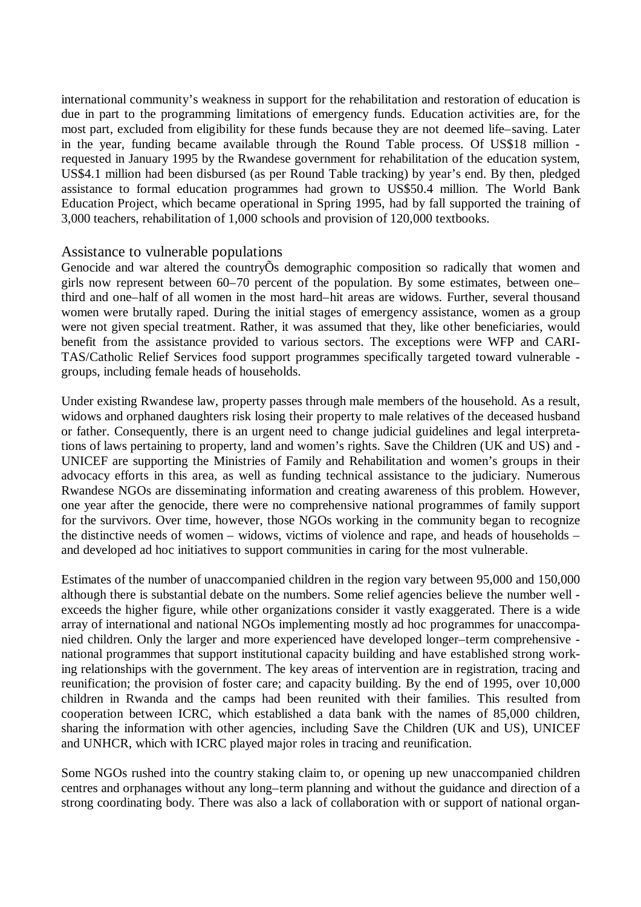international community's weakness in support for the rehabilitation and restoration of education is due in part to the programming limitations of emergency funds. Education activities are, for the most part, excluded from eligibility for these funds because they are not deemed life–saving. Later in the year, funding became available through the Round Table process. Of US\$18 million requested in January 1995 by the Rwandese government for rehabilitation of the education system, US\$4.1 million had been disbursed (as per Round Table tracking) by year's end. By then, pledged assistance to formal education programmes had grown to US\$50.4 million. The World Bank Education Project, which became operational in Spring 1995, had by fall supported the training of 3,000 teachers, rehabilitation of 1,000 schools and provision of 120,000 textbooks.

#### Assistance to vulnerable populations

Genocide and war altered the countryÕs demographic composition so radically that women and girls now represent between 60–70 percent of the population. By some estimates, between one– third and one–half of all women in the most hard–hit areas are widows. Further, several thousand women were brutally raped. During the initial stages of emergency assistance, women as a group were not given special treatment. Rather, it was assumed that they, like other beneficiaries, would benefit from the assistance provided to various sectors. The exceptions were WFP and CARI-TAS/Catholic Relief Services food support programmes specifically targeted toward vulnerable groups, including female heads of households.

Under existing Rwandese law, property passes through male members of the household. As a result, widows and orphaned daughters risk losing their property to male relatives of the deceased husband or father. Consequently, there is an urgent need to change judicial guidelines and legal interpretations of laws pertaining to property, land and women's rights. Save the Children (UK and US) and - UNICEF are supporting the Ministries of Family and Rehabilitation and women's groups in their advocacy efforts in this area, as well as funding technical assistance to the judiciary. Numerous Rwandese NGOs are disseminating information and creating awareness of this problem. However, one year after the genocide, there were no comprehensive national programmes of family support for the survivors. Over time, however, those NGOs working in the community began to recognize the distinctive needs of women – widows, victims of violence and rape, and heads of households – and developed ad hoc initiatives to support communities in caring for the most vulnerable.

Estimates of the number of unaccompanied children in the region vary between 95,000 and 150,000 although there is substantial debate on the numbers. Some relief agencies believe the number well exceeds the higher figure, while other organizations consider it vastly exaggerated. There is a wide array of international and national NGOs implementing mostly ad hoc programmes for unaccompanied children. Only the larger and more experienced have developed longer–term comprehensive national programmes that support institutional capacity building and have established strong working relationships with the government. The key areas of intervention are in registration, tracing and reunification; the provision of foster care; and capacity building. By the end of 1995, over 10,000 children in Rwanda and the camps had been reunited with their families. This resulted from cooperation between ICRC, which established a data bank with the names of 85,000 children, sharing the information with other agencies, including Save the Children (UK and US), UNICEF and UNHCR, which with ICRC played major roles in tracing and reunification.

Some NGOs rushed into the country staking claim to, or opening up new unaccompanied children centres and orphanages without any long–term planning and without the guidance and direction of a strong coordinating body. There was also a lack of collaboration with or support of national organ-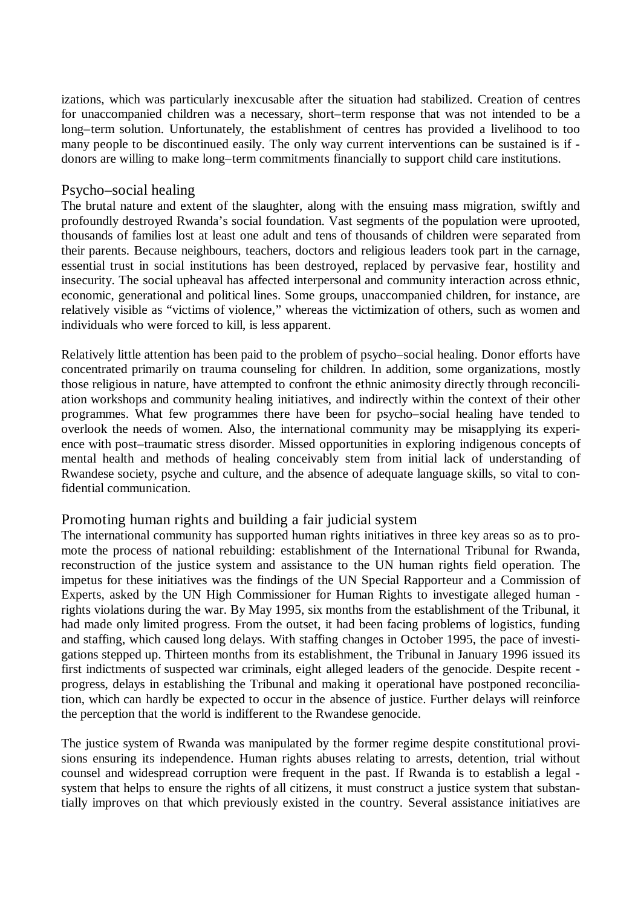izations, which was particularly inexcusable after the situation had stabilized. Creation of centres for unaccompanied children was a necessary, short–term response that was not intended to be a long–term solution. Unfortunately, the establishment of centres has provided a livelihood to too many people to be discontinued easily. The only way current interventions can be sustained is if donors are willing to make long–term commitments financially to support child care institutions.

#### Psycho–social healing

The brutal nature and extent of the slaughter, along with the ensuing mass migration, swiftly and profoundly destroyed Rwanda's social foundation. Vast segments of the population were uprooted, thousands of families lost at least one adult and tens of thousands of children were separated from their parents. Because neighbours, teachers, doctors and religious leaders took part in the carnage, essential trust in social institutions has been destroyed, replaced by pervasive fear, hostility and insecurity. The social upheaval has affected interpersonal and community interaction across ethnic, economic, generational and political lines. Some groups, unaccompanied children, for instance, are relatively visible as "victims of violence," whereas the victimization of others, such as women and individuals who were forced to kill, is less apparent.

Relatively little attention has been paid to the problem of psycho–social healing. Donor efforts have concentrated primarily on trauma counseling for children. In addition, some organizations, mostly those religious in nature, have attempted to confront the ethnic animosity directly through reconciliation workshops and community healing initiatives, and indirectly within the context of their other programmes. What few programmes there have been for psycho–social healing have tended to overlook the needs of women. Also, the international community may be misapplying its experience with post–traumatic stress disorder. Missed opportunities in exploring indigenous concepts of mental health and methods of healing conceivably stem from initial lack of understanding of Rwandese society, psyche and culture, and the absence of adequate language skills, so vital to confidential communication.

# Promoting human rights and building a fair judicial system

The international community has supported human rights initiatives in three key areas so as to promote the process of national rebuilding: establishment of the International Tribunal for Rwanda, reconstruction of the justice system and assistance to the UN human rights field operation. The impetus for these initiatives was the findings of the UN Special Rapporteur and a Commission of Experts, asked by the UN High Commissioner for Human Rights to investigate alleged human rights violations during the war. By May 1995, six months from the establishment of the Tribunal, it had made only limited progress. From the outset, it had been facing problems of logistics, funding and staffing, which caused long delays. With staffing changes in October 1995, the pace of investigations stepped up. Thirteen months from its establishment, the Tribunal in January 1996 issued its first indictments of suspected war criminals, eight alleged leaders of the genocide. Despite recent progress, delays in establishing the Tribunal and making it operational have postponed reconciliation, which can hardly be expected to occur in the absence of justice. Further delays will reinforce the perception that the world is indifferent to the Rwandese genocide.

The justice system of Rwanda was manipulated by the former regime despite constitutional provisions ensuring its independence. Human rights abuses relating to arrests, detention, trial without counsel and widespread corruption were frequent in the past. If Rwanda is to establish a legal system that helps to ensure the rights of all citizens, it must construct a justice system that substantially improves on that which previously existed in the country. Several assistance initiatives are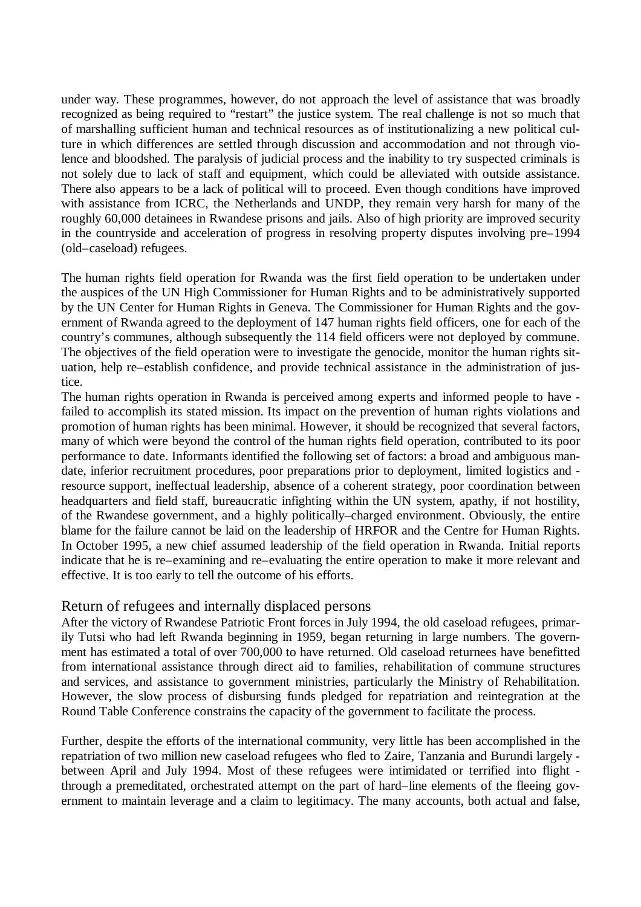under way. These programmes, however, do not approach the level of assistance that was broadly recognized as being required to "restart" the justice system. The real challenge is not so much that of marshalling sufficient human and technical resources as of institutionalizing a new political culture in which differences are settled through discussion and accommodation and not through violence and bloodshed. The paralysis of judicial process and the inability to try suspected criminals is not solely due to lack of staff and equipment, which could be alleviated with outside assistance. There also appears to be a lack of political will to proceed. Even though conditions have improved with assistance from ICRC, the Netherlands and UNDP, they remain very harsh for many of the roughly 60,000 detainees in Rwandese prisons and jails. Also of high priority are improved security in the countryside and acceleration of progress in resolving property disputes involving pre–1994 (old–caseload) refugees.

The human rights field operation for Rwanda was the first field operation to be undertaken under the auspices of the UN High Commissioner for Human Rights and to be administratively supported by the UN Center for Human Rights in Geneva. The Commissioner for Human Rights and the government of Rwanda agreed to the deployment of 147 human rights field officers, one for each of the country's communes, although subsequently the 114 field officers were not deployed by commune. The objectives of the field operation were to investigate the genocide, monitor the human rights situation, help re–establish confidence, and provide technical assistance in the administration of justice.

The human rights operation in Rwanda is perceived among experts and informed people to have failed to accomplish its stated mission. Its impact on the prevention of human rights violations and promotion of human rights has been minimal. However, it should be recognized that several factors, many of which were beyond the control of the human rights field operation, contributed to its poor performance to date. Informants identified the following set of factors: a broad and ambiguous mandate, inferior recruitment procedures, poor preparations prior to deployment, limited logistics and resource support, ineffectual leadership, absence of a coherent strategy, poor coordination between headquarters and field staff, bureaucratic infighting within the UN system, apathy, if not hostility, of the Rwandese government, and a highly politically–charged environment. Obviously, the entire blame for the failure cannot be laid on the leadership of HRFOR and the Centre for Human Rights. In October 1995, a new chief assumed leadership of the field operation in Rwanda. Initial reports indicate that he is re–examining and re–evaluating the entire operation to make it more relevant and effective. It is too early to tell the outcome of his efforts.

#### Return of refugees and internally displaced persons

After the victory of Rwandese Patriotic Front forces in July 1994, the old caseload refugees, primarily Tutsi who had left Rwanda beginning in 1959, began returning in large numbers. The government has estimated a total of over 700,000 to have returned. Old caseload returnees have benefitted from international assistance through direct aid to families, rehabilitation of commune structures and services, and assistance to government ministries, particularly the Ministry of Rehabilitation. However, the slow process of disbursing funds pledged for repatriation and reintegration at the Round Table Conference constrains the capacity of the government to facilitate the process.

Further, despite the efforts of the international community, very little has been accomplished in the repatriation of two million new caseload refugees who fled to Zaire, Tanzania and Burundi largely between April and July 1994. Most of these refugees were intimidated or terrified into flight through a premeditated, orchestrated attempt on the part of hard–line elements of the fleeing government to maintain leverage and a claim to legitimacy. The many accounts, both actual and false,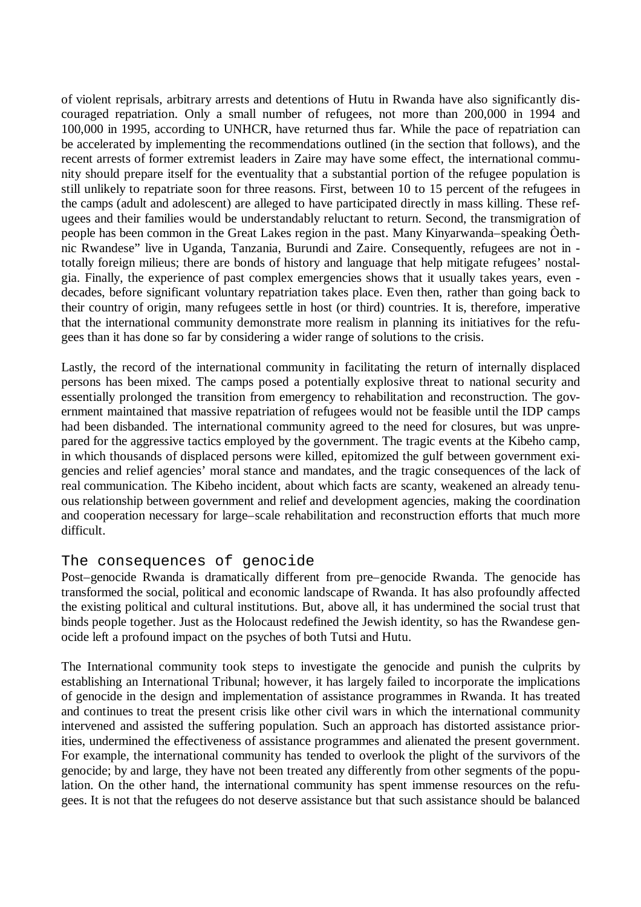of violent reprisals, arbitrary arrests and detentions of Hutu in Rwanda have also significantly discouraged repatriation. Only a small number of refugees, not more than 200,000 in 1994 and 100,000 in 1995, according to UNHCR, have returned thus far. While the pace of repatriation can be accelerated by implementing the recommendations outlined (in the section that follows), and the recent arrests of former extremist leaders in Zaire may have some effect, the international community should prepare itself for the eventuality that a substantial portion of the refugee population is still unlikely to repatriate soon for three reasons. First, between 10 to 15 percent of the refugees in the camps (adult and adolescent) are alleged to have participated directly in mass killing. These refugees and their families would be understandably reluctant to return. Second, the transmigration of people has been common in the Great Lakes region in the past. Many Kinyarwanda–speaking Òethnic Rwandese" live in Uganda, Tanzania, Burundi and Zaire. Consequently, refugees are not in totally foreign milieus; there are bonds of history and language that help mitigate refugees' nostalgia. Finally, the experience of past complex emergencies shows that it usually takes years, even decades, before significant voluntary repatriation takes place. Even then, rather than going back to their country of origin, many refugees settle in host (or third) countries. It is, therefore, imperative that the international community demonstrate more realism in planning its initiatives for the refugees than it has done so far by considering a wider range of solutions to the crisis.

Lastly, the record of the international community in facilitating the return of internally displaced persons has been mixed. The camps posed a potentially explosive threat to national security and essentially prolonged the transition from emergency to rehabilitation and reconstruction. The government maintained that massive repatriation of refugees would not be feasible until the IDP camps had been disbanded. The international community agreed to the need for closures, but was unprepared for the aggressive tactics employed by the government. The tragic events at the Kibeho camp, in which thousands of displaced persons were killed, epitomized the gulf between government exigencies and relief agencies' moral stance and mandates, and the tragic consequences of the lack of real communication. The Kibeho incident, about which facts are scanty, weakened an already tenuous relationship between government and relief and development agencies, making the coordination and cooperation necessary for large–scale rehabilitation and reconstruction efforts that much more difficult.

# The consequences of genocide

Post–genocide Rwanda is dramatically different from pre–genocide Rwanda. The genocide has transformed the social, political and economic landscape of Rwanda. It has also profoundly affected the existing political and cultural institutions. But, above all, it has undermined the social trust that binds people together. Just as the Holocaust redefined the Jewish identity, so has the Rwandese genocide left a profound impact on the psyches of both Tutsi and Hutu.

The International community took steps to investigate the genocide and punish the culprits by establishing an International Tribunal; however, it has largely failed to incorporate the implications of genocide in the design and implementation of assistance programmes in Rwanda. It has treated and continues to treat the present crisis like other civil wars in which the international community intervened and assisted the suffering population. Such an approach has distorted assistance priorities, undermined the effectiveness of assistance programmes and alienated the present government. For example, the international community has tended to overlook the plight of the survivors of the genocide; by and large, they have not been treated any differently from other segments of the population. On the other hand, the international community has spent immense resources on the refugees. It is not that the refugees do not deserve assistance but that such assistance should be balanced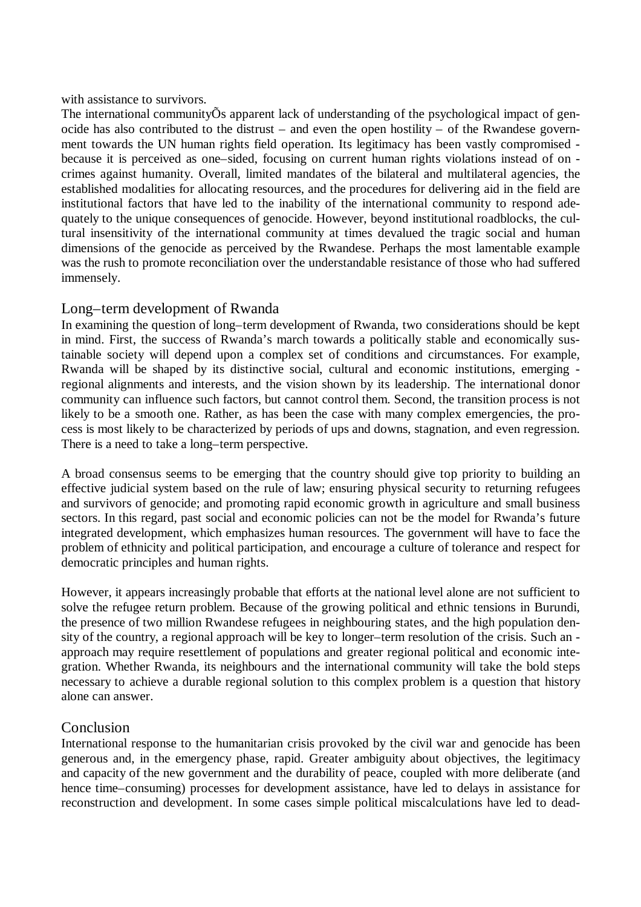#### with assistance to survivors.

The international communityÕs apparent lack of understanding of the psychological impact of genocide has also contributed to the distrust – and even the open hostility – of the Rwandese government towards the UN human rights field operation. Its legitimacy has been vastly compromised because it is perceived as one–sided, focusing on current human rights violations instead of on crimes against humanity. Overall, limited mandates of the bilateral and multilateral agencies, the established modalities for allocating resources, and the procedures for delivering aid in the field are institutional factors that have led to the inability of the international community to respond adequately to the unique consequences of genocide. However, beyond institutional roadblocks, the cultural insensitivity of the international community at times devalued the tragic social and human dimensions of the genocide as perceived by the Rwandese. Perhaps the most lamentable example was the rush to promote reconciliation over the understandable resistance of those who had suffered immensely.

# Long–term development of Rwanda

In examining the question of long–term development of Rwanda, two considerations should be kept in mind. First, the success of Rwanda's march towards a politically stable and economically sustainable society will depend upon a complex set of conditions and circumstances. For example, Rwanda will be shaped by its distinctive social, cultural and economic institutions, emerging regional alignments and interests, and the vision shown by its leadership. The international donor community can influence such factors, but cannot control them. Second, the transition process is not likely to be a smooth one. Rather, as has been the case with many complex emergencies, the process is most likely to be characterized by periods of ups and downs, stagnation, and even regression. There is a need to take a long–term perspective.

A broad consensus seems to be emerging that the country should give top priority to building an effective judicial system based on the rule of law; ensuring physical security to returning refugees and survivors of genocide; and promoting rapid economic growth in agriculture and small business sectors. In this regard, past social and economic policies can not be the model for Rwanda's future integrated development, which emphasizes human resources. The government will have to face the problem of ethnicity and political participation, and encourage a culture of tolerance and respect for democratic principles and human rights.

However, it appears increasingly probable that efforts at the national level alone are not sufficient to solve the refugee return problem. Because of the growing political and ethnic tensions in Burundi, the presence of two million Rwandese refugees in neighbouring states, and the high population density of the country, a regional approach will be key to longer–term resolution of the crisis. Such an approach may require resettlement of populations and greater regional political and economic integration. Whether Rwanda, its neighbours and the international community will take the bold steps necessary to achieve a durable regional solution to this complex problem is a question that history alone can answer.

# Conclusion

International response to the humanitarian crisis provoked by the civil war and genocide has been generous and, in the emergency phase, rapid. Greater ambiguity about objectives, the legitimacy and capacity of the new government and the durability of peace, coupled with more deliberate (and hence time–consuming) processes for development assistance, have led to delays in assistance for reconstruction and development. In some cases simple political miscalculations have led to dead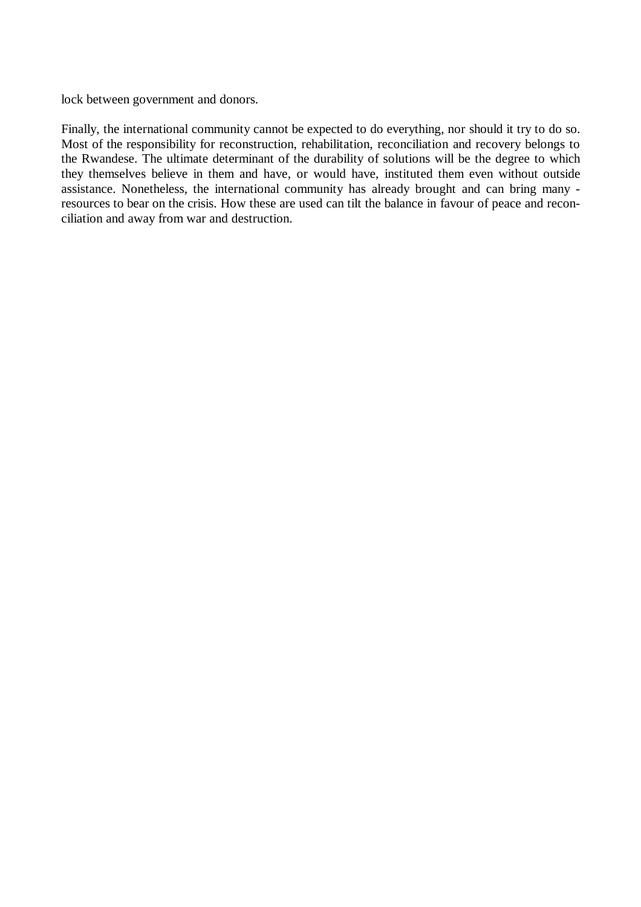lock between government and donors.

Finally, the international community cannot be expected to do everything, nor should it try to do so. Most of the responsibility for reconstruction, rehabilitation, reconciliation and recovery belongs to the Rwandese. The ultimate determinant of the durability of solutions will be the degree to which they themselves believe in them and have, or would have, instituted them even without outside assistance. Nonetheless, the international community has already brought and can bring many resources to bear on the crisis. How these are used can tilt the balance in favour of peace and reconciliation and away from war and destruction.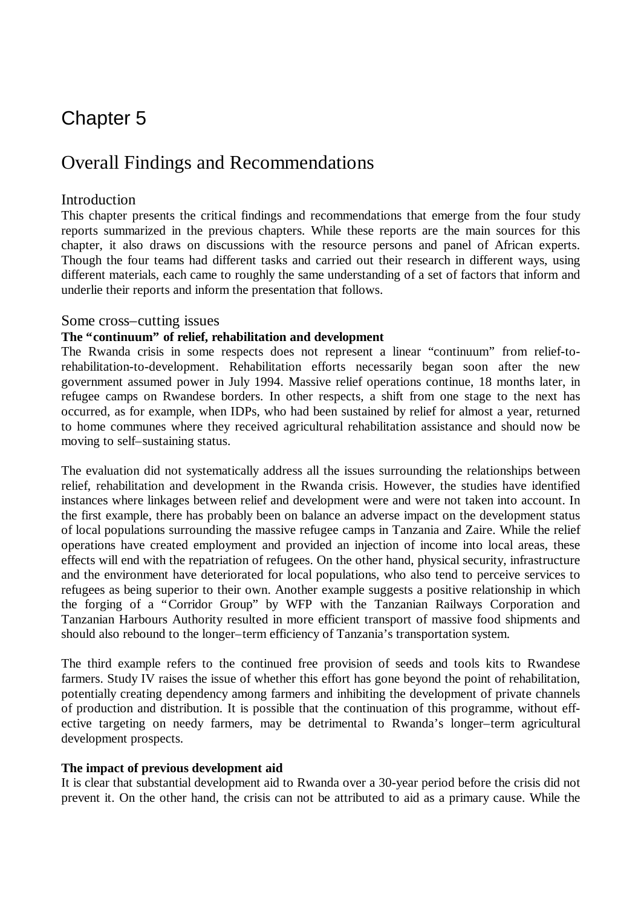# Chapter 5

# Overall Findings and Recommendations

# **Introduction**

This chapter presents the critical findings and recommendations that emerge from the four study reports summarized in the previous chapters. While these reports are the main sources for this chapter, it also draws on discussions with the resource persons and panel of African experts. Though the four teams had different tasks and carried out their research in different ways, using different materials, each came to roughly the same understanding of a set of factors that inform and underlie their reports and inform the presentation that follows.

## Some cross–cutting issues

## **The "continuum" of relief, rehabilitation and development**

The Rwanda crisis in some respects does not represent a linear "continuum" from relief-torehabilitation-to-development. Rehabilitation efforts necessarily began soon after the new government assumed power in July 1994. Massive relief operations continue, 18 months later, in refugee camps on Rwandese borders. In other respects, a shift from one stage to the next has occurred, as for example, when IDPs, who had been sustained by relief for almost a year, returned to home communes where they received agricultural rehabilitation assistance and should now be moving to self–sustaining status.

The evaluation did not systematically address all the issues surrounding the relationships between relief, rehabilitation and development in the Rwanda crisis. However, the studies have identified instances where linkages between relief and development were and were not taken into account. In the first example, there has probably been on balance an adverse impact on the development status of local populations surrounding the massive refugee camps in Tanzania and Zaire. While the relief operations have created employment and provided an injection of income into local areas, these effects will end with the repatriation of refugees. On the other hand, physical security, infrastructure and the environment have deteriorated for local populations, who also tend to perceive services to refugees as being superior to their own. Another example suggests a positive relationship in which the forging of a "Corridor Group" by WFP with the Tanzanian Railways Corporation and Tanzanian Harbours Authority resulted in more efficient transport of massive food shipments and should also rebound to the longer–term efficiency of Tanzania's transportation system.

The third example refers to the continued free provision of seeds and tools kits to Rwandese farmers. Study IV raises the issue of whether this effort has gone beyond the point of rehabilitation, potentially creating dependency among farmers and inhibiting the development of private channels of production and distribution. It is possible that the continuation of this programme, without effective targeting on needy farmers, may be detrimental to Rwanda's longer–term agricultural development prospects.

#### **The impact of previous development aid**

It is clear that substantial development aid to Rwanda over a 30-year period before the crisis did not prevent it. On the other hand, the crisis can not be attributed to aid as a primary cause. While the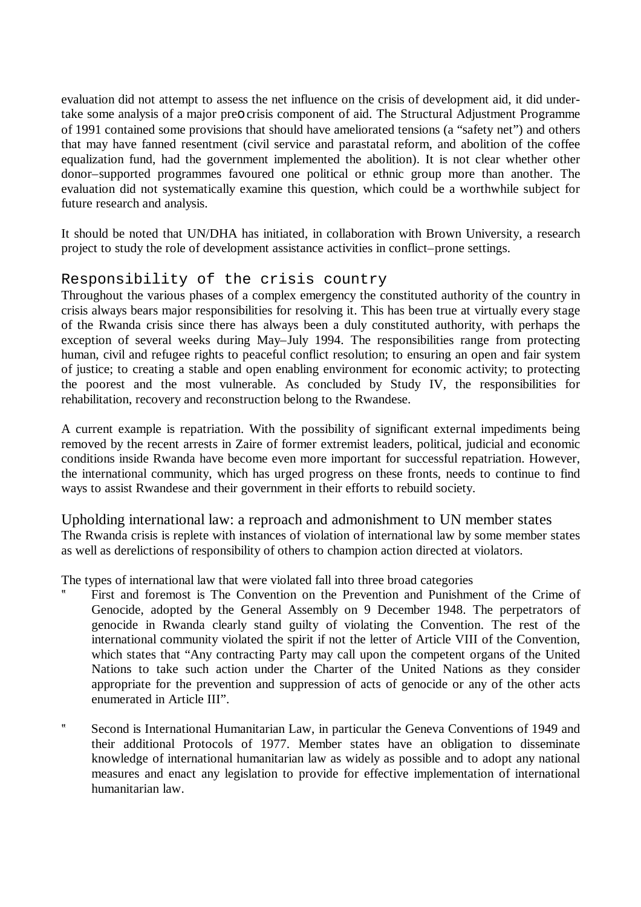evaluation did not attempt to assess the net influence on the crisis of development aid, it did undertake some analysis of a major preo crisis component of aid. The Structural Adjustment Programme of 1991 contained some provisions that should have ameliorated tensions (a "safety net") and others that may have fanned resentment (civil service and parastatal reform, and abolition of the coffee equalization fund, had the government implemented the abolition). It is not clear whether other donor–supported programmes favoured one political or ethnic group more than another. The evaluation did not systematically examine this question, which could be a worthwhile subject for future research and analysis.

It should be noted that UN/DHA has initiated, in collaboration with Brown University, a research project to study the role of development assistance activities in conflict–prone settings.

# Responsibility of the crisis country

Throughout the various phases of a complex emergency the constituted authority of the country in crisis always bears major responsibilities for resolving it. This has been true at virtually every stage of the Rwanda crisis since there has always been a duly constituted authority, with perhaps the exception of several weeks during May–July 1994. The responsibilities range from protecting human, civil and refugee rights to peaceful conflict resolution; to ensuring an open and fair system of justice; to creating a stable and open enabling environment for economic activity; to protecting the poorest and the most vulnerable. As concluded by Study IV, the responsibilities for rehabilitation, recovery and reconstruction belong to the Rwandese.

A current example is repatriation. With the possibility of significant external impediments being removed by the recent arrests in Zaire of former extremist leaders, political, judicial and economic conditions inside Rwanda have become even more important for successful repatriation. However, the international community, which has urged progress on these fronts, needs to continue to find ways to assist Rwandese and their government in their efforts to rebuild society.

Upholding international law: a reproach and admonishment to UN member states The Rwanda crisis is replete with instances of violation of international law by some member states as well as derelictions of responsibility of others to champion action directed at violators.

The types of international law that were violated fall into three broad categories

- First and foremost is The Convention on the Prevention and Punishment of the Crime of Genocide, adopted by the General Assembly on 9 December 1948. The perpetrators of genocide in Rwanda clearly stand guilty of violating the Convention. The rest of the international community violated the spirit if not the letter of Article VIII of the Convention, which states that "Any contracting Party may call upon the competent organs of the United Nations to take such action under the Charter of the United Nations as they consider appropriate for the prevention and suppression of acts of genocide or any of the other acts enumerated in Article III".
- ? Second is International Humanitarian Law, in particular the Geneva Conventions of 1949 and their additional Protocols of 1977. Member states have an obligation to disseminate knowledge of international humanitarian law as widely as possible and to adopt any national measures and enact any legislation to provide for effective implementation of international humanitarian law.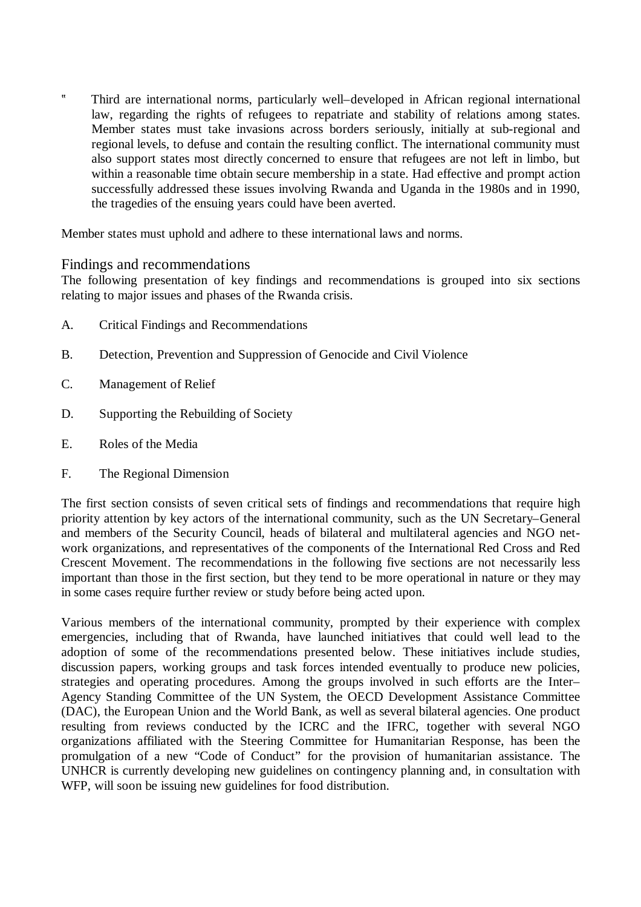? Third are international norms, particularly well–developed in African regional international law, regarding the rights of refugees to repatriate and stability of relations among states. Member states must take invasions across borders seriously, initially at sub-regional and regional levels, to defuse and contain the resulting conflict. The international community must also support states most directly concerned to ensure that refugees are not left in limbo, but within a reasonable time obtain secure membership in a state. Had effective and prompt action successfully addressed these issues involving Rwanda and Uganda in the 1980s and in 1990, the tragedies of the ensuing years could have been averted.

Member states must uphold and adhere to these international laws and norms.

# Findings and recommendations

The following presentation of key findings and recommendations is grouped into six sections relating to major issues and phases of the Rwanda crisis.

- A. Critical Findings and Recommendations
- B. Detection, Prevention and Suppression of Genocide and Civil Violence
- C. Management of Relief
- D. Supporting the Rebuilding of Society
- E. Roles of the Media
- F. The Regional Dimension

The first section consists of seven critical sets of findings and recommendations that require high priority attention by key actors of the international community, such as the UN Secretary–General and members of the Security Council, heads of bilateral and multilateral agencies and NGO network organizations, and representatives of the components of the International Red Cross and Red Crescent Movement. The recommendations in the following five sections are not necessarily less important than those in the first section, but they tend to be more operational in nature or they may in some cases require further review or study before being acted upon.

Various members of the international community, prompted by their experience with complex emergencies, including that of Rwanda, have launched initiatives that could well lead to the adoption of some of the recommendations presented below. These initiatives include studies, discussion papers, working groups and task forces intended eventually to produce new policies, strategies and operating procedures. Among the groups involved in such efforts are the Inter– Agency Standing Committee of the UN System, the OECD Development Assistance Committee (DAC), the European Union and the World Bank, as well as several bilateral agencies. One product resulting from reviews conducted by the ICRC and the IFRC, together with several NGO organizations affiliated with the Steering Committee for Humanitarian Response, has been the promulgation of a new "Code of Conduct" for the provision of humanitarian assistance. The UNHCR is currently developing new guidelines on contingency planning and, in consultation with WFP, will soon be issuing new guidelines for food distribution.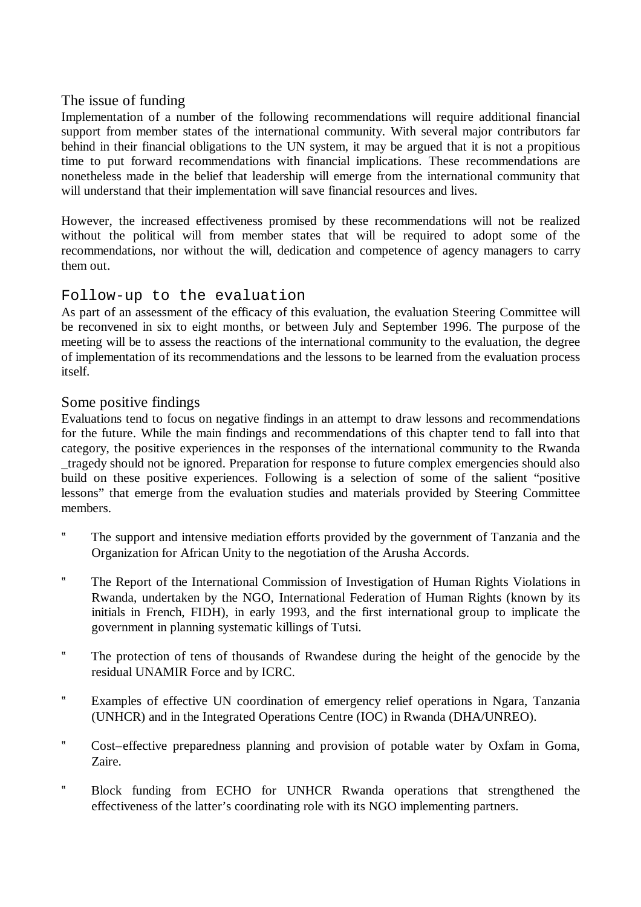# The issue of funding

Implementation of a number of the following recommendations will require additional financial support from member states of the international community. With several major contributors far behind in their financial obligations to the UN system, it may be argued that it is not a propitious time to put forward recommendations with financial implications. These recommendations are nonetheless made in the belief that leadership will emerge from the international community that will understand that their implementation will save financial resources and lives.

However, the increased effectiveness promised by these recommendations will not be realized without the political will from member states that will be required to adopt some of the recommendations, nor without the will, dedication and competence of agency managers to carry them out.

# Follow-up to the evaluation

As part of an assessment of the efficacy of this evaluation, the evaluation Steering Committee will be reconvened in six to eight months, or between July and September 1996. The purpose of the meeting will be to assess the reactions of the international community to the evaluation, the degree of implementation of its recommendations and the lessons to be learned from the evaluation process itself.

# Some positive findings

Evaluations tend to focus on negative findings in an attempt to draw lessons and recommendations for the future. While the main findings and recommendations of this chapter tend to fall into that category, the positive experiences in the responses of the international community to the Rwanda \_tragedy should not be ignored. Preparation for response to future complex emergencies should also build on these positive experiences. Following is a selection of some of the salient "positive lessons" that emerge from the evaluation studies and materials provided by Steering Committee members.

- ? The support and intensive mediation efforts provided by the government of Tanzania and the Organization for African Unity to the negotiation of the Arusha Accords.
- ? The Report of the International Commission of Investigation of Human Rights Violations in Rwanda, undertaken by the NGO, International Federation of Human Rights (known by its initials in French, FIDH), in early 1993, and the first international group to implicate the government in planning systematic killings of Tutsi.
- ? The protection of tens of thousands of Rwandese during the height of the genocide by the residual UNAMIR Force and by ICRC.
- ? Examples of effective UN coordination of emergency relief operations in Ngara, Tanzania (UNHCR) and in the Integrated Operations Centre (IOC) in Rwanda (DHA/UNREO).
- ? Cost–effective preparedness planning and provision of potable water by Oxfam in Goma, Zaire.
- ? Block funding from ECHO for UNHCR Rwanda operations that strengthened the effectiveness of the latter's coordinating role with its NGO implementing partners.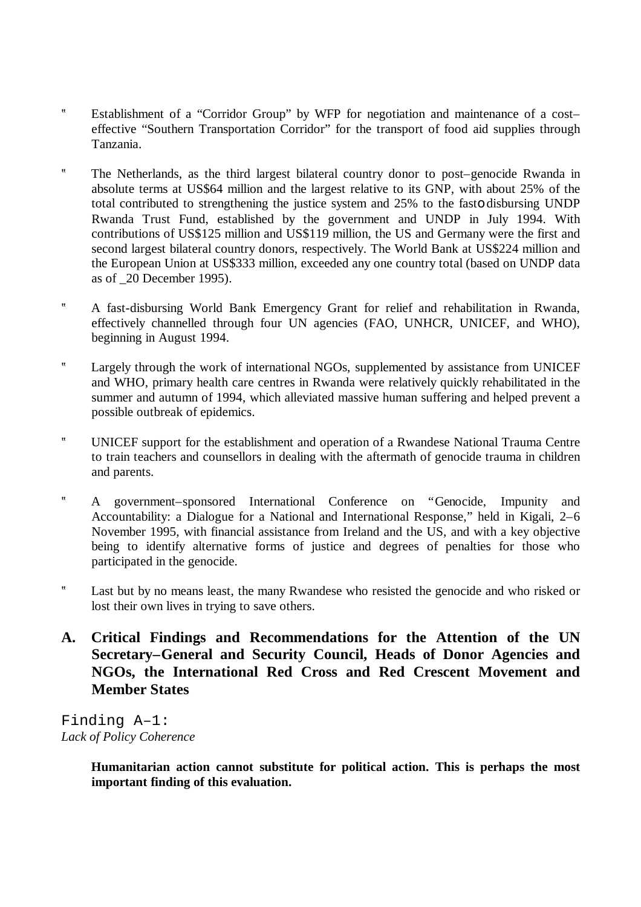- ? Establishment of a "Corridor Group" by WFP for negotiation and maintenance of a cost– effective "Southern Transportation Corridor" for the transport of food aid supplies through Tanzania.
- ? The Netherlands, as the third largest bilateral country donor to post–genocide Rwanda in absolute terms at US\$64 million and the largest relative to its GNP, with about 25% of the total contributed to strengthening the justice system and 25% to the fasto disbursing UNDP Rwanda Trust Fund, established by the government and UNDP in July 1994. With contributions of US\$125 million and US\$119 million, the US and Germany were the first and second largest bilateral country donors, respectively. The World Bank at US\$224 million and the European Union at US\$333 million, exceeded any one country total (based on UNDP data as of \_20 December 1995).
- ? A fast-disbursing World Bank Emergency Grant for relief and rehabilitation in Rwanda, effectively channelled through four UN agencies (FAO, UNHCR, UNICEF, and WHO), beginning in August 1994.
- ? Largely through the work of international NGOs, supplemented by assistance from UNICEF and WHO, primary health care centres in Rwanda were relatively quickly rehabilitated in the summer and autumn of 1994, which alleviated massive human suffering and helped prevent a possible outbreak of epidemics.
- ? UNICEF support for the establishment and operation of a Rwandese National Trauma Centre to train teachers and counsellors in dealing with the aftermath of genocide trauma in children and parents.
- ? A government–sponsored International Conference on "Genocide, Impunity and Accountability: a Dialogue for a National and International Response," held in Kigali, 2–6 November 1995, with financial assistance from Ireland and the US, and with a key objective being to identify alternative forms of justice and degrees of penalties for those who participated in the genocide.
- ? Last but by no means least, the many Rwandese who resisted the genocide and who risked or lost their own lives in trying to save others.
- **A. Critical Findings and Recommendations for the Attention of the UN Secretary–General and Security Council, Heads of Donor Agencies and NGOs, the International Red Cross and Red Crescent Movement and Member States**

Finding A–1: *Lack of Policy Coherence*

> **Humanitarian action cannot substitute for political action. This is perhaps the most important finding of this evaluation.**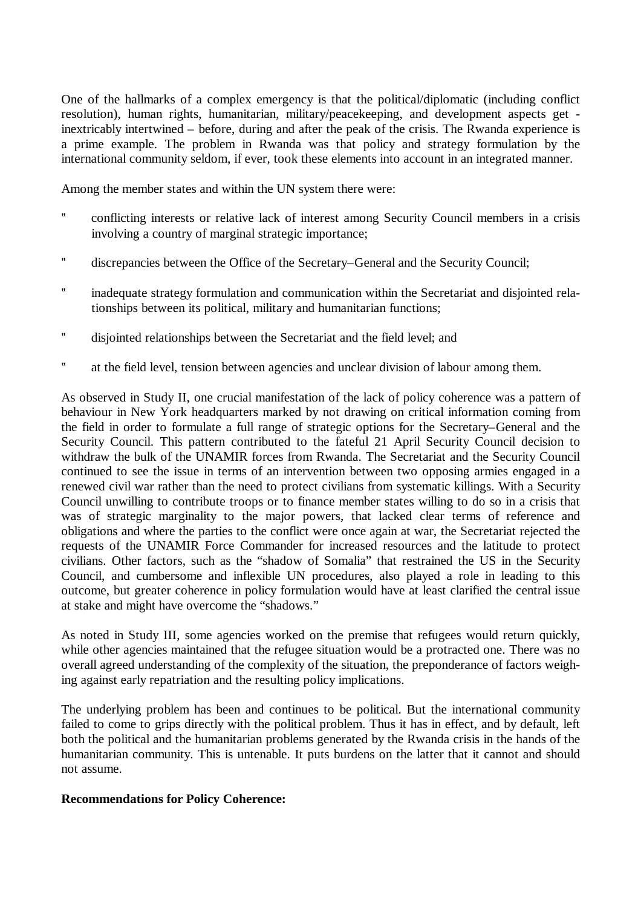One of the hallmarks of a complex emergency is that the political/diplomatic (including conflict resolution), human rights, humanitarian, military/peacekeeping, and development aspects get inextricably intertwined – before, during and after the peak of the crisis. The Rwanda experience is a prime example. The problem in Rwanda was that policy and strategy formulation by the international community seldom, if ever, took these elements into account in an integrated manner.

Among the member states and within the UN system there were:

- ? conflicting interests or relative lack of interest among Security Council members in a crisis involving a country of marginal strategic importance;
- ? discrepancies between the Office of the Secretary–General and the Security Council;
- ? inadequate strategy formulation and communication within the Secretariat and disjointed relationships between its political, military and humanitarian functions;
- ? disjointed relationships between the Secretariat and the field level; and
- ? at the field level, tension between agencies and unclear division of labour among them.

As observed in Study II, one crucial manifestation of the lack of policy coherence was a pattern of behaviour in New York headquarters marked by not drawing on critical information coming from the field in order to formulate a full range of strategic options for the Secretary–General and the Security Council. This pattern contributed to the fateful 21 April Security Council decision to withdraw the bulk of the UNAMIR forces from Rwanda. The Secretariat and the Security Council continued to see the issue in terms of an intervention between two opposing armies engaged in a renewed civil war rather than the need to protect civilians from systematic killings. With a Security Council unwilling to contribute troops or to finance member states willing to do so in a crisis that was of strategic marginality to the major powers, that lacked clear terms of reference and obligations and where the parties to the conflict were once again at war, the Secretariat rejected the requests of the UNAMIR Force Commander for increased resources and the latitude to protect civilians. Other factors, such as the "shadow of Somalia" that restrained the US in the Security Council, and cumbersome and inflexible UN procedures, also played a role in leading to this outcome, but greater coherence in policy formulation would have at least clarified the central issue at stake and might have overcome the "shadows."

As noted in Study III, some agencies worked on the premise that refugees would return quickly, while other agencies maintained that the refugee situation would be a protracted one. There was no overall agreed understanding of the complexity of the situation, the preponderance of factors weighing against early repatriation and the resulting policy implications.

The underlying problem has been and continues to be political. But the international community failed to come to grips directly with the political problem. Thus it has in effect, and by default, left both the political and the humanitarian problems generated by the Rwanda crisis in the hands of the humanitarian community. This is untenable. It puts burdens on the latter that it cannot and should not assume.

# **Recommendations for Policy Coherence:**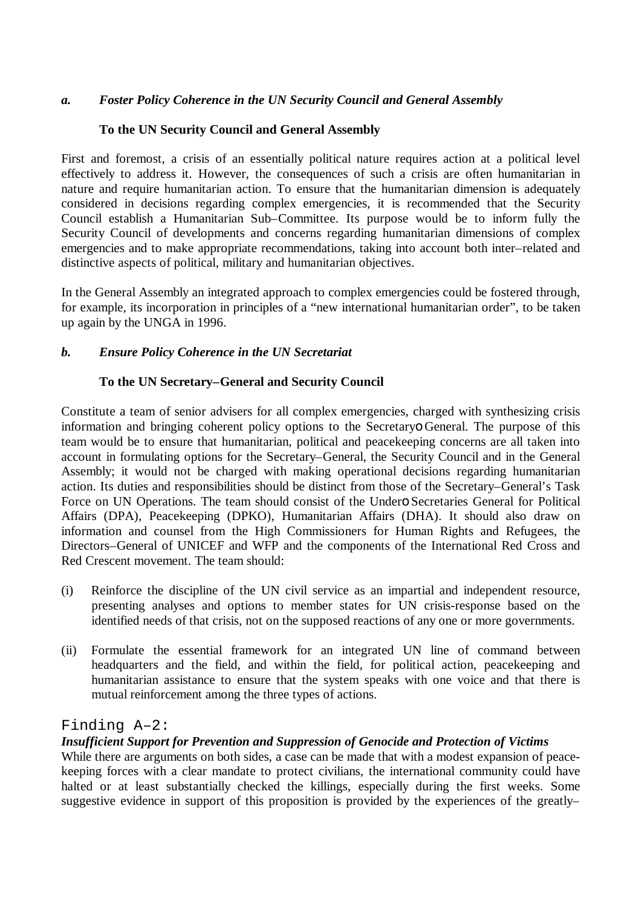# *a. Foster Policy Coherence in the UN Security Council and General Assembly*

## **To the UN Security Council and General Assembly**

First and foremost, a crisis of an essentially political nature requires action at a political level effectively to address it. However, the consequences of such a crisis are often humanitarian in nature and require humanitarian action. To ensure that the humanitarian dimension is adequately considered in decisions regarding complex emergencies, it is recommended that the Security Council establish a Humanitarian Sub–Committee. Its purpose would be to inform fully the Security Council of developments and concerns regarding humanitarian dimensions of complex emergencies and to make appropriate recommendations, taking into account both inter–related and distinctive aspects of political, military and humanitarian objectives.

In the General Assembly an integrated approach to complex emergencies could be fostered through, for example, its incorporation in principles of a "new international humanitarian order", to be taken up again by the UNGA in 1996.

# *b. Ensure Policy Coherence in the UN Secretariat*

## **To the UN Secretary–General and Security Council**

Constitute a team of senior advisers for all complex emergencies, charged with synthesizing crisis information and bringing coherent policy options to the Secretaryo General. The purpose of this team would be to ensure that humanitarian, political and peacekeeping concerns are all taken into account in formulating options for the Secretary–General, the Security Council and in the General Assembly; it would not be charged with making operational decisions regarding humanitarian action. Its duties and responsibilities should be distinct from those of the Secretary–General's Task Force on UN Operations. The team should consist of the Undero Secretaries General for Political Affairs (DPA), Peacekeeping (DPKO), Humanitarian Affairs (DHA). It should also draw on information and counsel from the High Commissioners for Human Rights and Refugees, the Directors–General of UNICEF and WFP and the components of the International Red Cross and Red Crescent movement. The team should:

- (i) Reinforce the discipline of the UN civil service as an impartial and independent resource, presenting analyses and options to member states for UN crisis-response based on the identified needs of that crisis, not on the supposed reactions of any one or more governments.
- (ii) Formulate the essential framework for an integrated UN line of command between headquarters and the field, and within the field, for political action, peacekeeping and humanitarian assistance to ensure that the system speaks with one voice and that there is mutual reinforcement among the three types of actions.

# Finding A–2:

# *Insufficient Support for Prevention and Suppression of Genocide and Protection of Victims*

While there are arguments on both sides, a case can be made that with a modest expansion of peacekeeping forces with a clear mandate to protect civilians, the international community could have halted or at least substantially checked the killings, especially during the first weeks. Some suggestive evidence in support of this proposition is provided by the experiences of the greatly–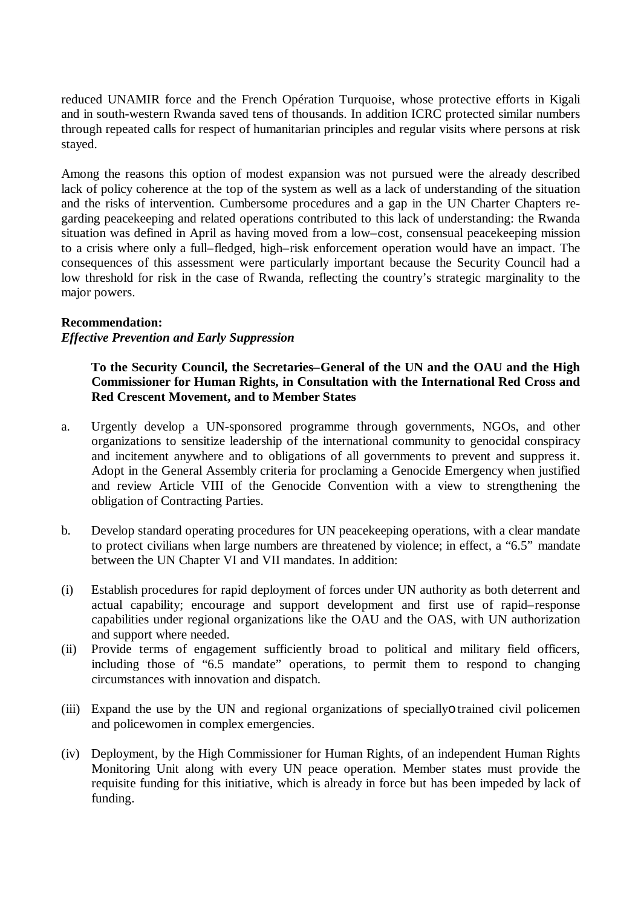reduced UNAMIR force and the French Opération Turquoise, whose protective efforts in Kigali and in south-western Rwanda saved tens of thousands. In addition ICRC protected similar numbers through repeated calls for respect of humanitarian principles and regular visits where persons at risk stayed.

Among the reasons this option of modest expansion was not pursued were the already described lack of policy coherence at the top of the system as well as a lack of understanding of the situation and the risks of intervention. Cumbersome procedures and a gap in the UN Charter Chapters regarding peacekeeping and related operations contributed to this lack of understanding: the Rwanda situation was defined in April as having moved from a low–cost, consensual peacekeeping mission to a crisis where only a full–fledged, high–risk enforcement operation would have an impact. The consequences of this assessment were particularly important because the Security Council had a low threshold for risk in the case of Rwanda, reflecting the country's strategic marginality to the major powers.

#### **Recommendation:**

## *Effective Prevention and Early Suppression*

# **To the Security Council, the Secretaries–General of the UN and the OAU and the High Commissioner for Human Rights, in Consultation with the International Red Cross and Red Crescent Movement, and to Member States**

- a. Urgently develop a UN-sponsored programme through governments, NGOs, and other organizations to sensitize leadership of the international community to genocidal conspiracy and incitement anywhere and to obligations of all governments to prevent and suppress it. Adopt in the General Assembly criteria for proclaming a Genocide Emergency when justified and review Article VIII of the Genocide Convention with a view to strengthening the obligation of Contracting Parties.
- b. Develop standard operating procedures for UN peacekeeping operations, with a clear mandate to protect civilians when large numbers are threatened by violence; in effect, a "6.5" mandate between the UN Chapter VI and VII mandates. In addition:
- (i) Establish procedures for rapid deployment of forces under UN authority as both deterrent and actual capability; encourage and support development and first use of rapid–response capabilities under regional organizations like the OAU and the OAS, with UN authorization and support where needed.
- (ii) Provide terms of engagement sufficiently broad to political and military field officers, including those of "6.5 mandate" operations, to permit them to respond to changing circumstances with innovation and dispatch.
- (iii) Expand the use by the UN and regional organizations of speciallyo trained civil policemen and policewomen in complex emergencies.
- (iv) Deployment, by the High Commissioner for Human Rights, of an independent Human Rights Monitoring Unit along with every UN peace operation. Member states must provide the requisite funding for this initiative, which is already in force but has been impeded by lack of funding.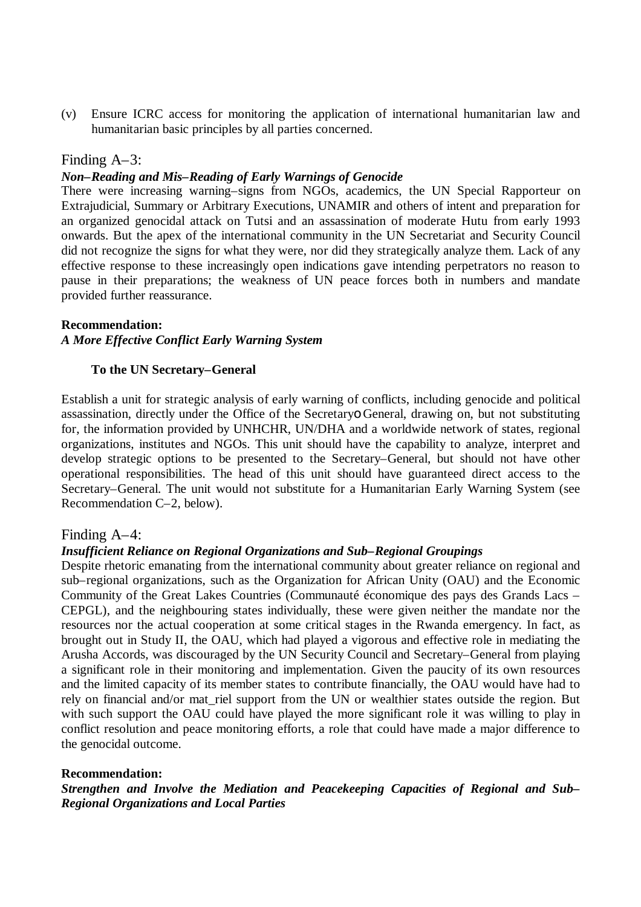(v) Ensure ICRC access for monitoring the application of international humanitarian law and humanitarian basic principles by all parties concerned.

## Finding A–3:

#### *Non–Reading and Mis–Reading of Early Warnings of Genocide*

There were increasing warning–signs from NGOs, academics, the UN Special Rapporteur on Extrajudicial, Summary or Arbitrary Executions, UNAMIR and others of intent and preparation for an organized genocidal attack on Tutsi and an assassination of moderate Hutu from early 1993 onwards. But the apex of the international community in the UN Secretariat and Security Council did not recognize the signs for what they were, nor did they strategically analyze them. Lack of any effective response to these increasingly open indications gave intending perpetrators no reason to pause in their preparations; the weakness of UN peace forces both in numbers and mandate provided further reassurance.

#### **Recommendation:**

#### *A More Effective Conflict Early Warning System*

#### **To the UN Secretary–General**

Establish a unit for strategic analysis of early warning of conflicts, including genocide and political assassination, directly under the Office of the Secretaryo General, drawing on, but not substituting for, the information provided by UNHCHR, UN/DHA and a worldwide network of states, regional organizations, institutes and NGOs. This unit should have the capability to analyze, interpret and develop strategic options to be presented to the Secretary–General, but should not have other operational responsibilities. The head of this unit should have guaranteed direct access to the Secretary–General. The unit would not substitute for a Humanitarian Early Warning System (see Recommendation C–2, below).

#### Finding A–4:

#### *Insufficient Reliance on Regional Organizations and Sub–Regional Groupings*

Despite rhetoric emanating from the international community about greater reliance on regional and sub–regional organizations, such as the Organization for African Unity (OAU) and the Economic Community of the Great Lakes Countries (Communauté économique des pays des Grands Lacs – CEPGL), and the neighbouring states individually, these were given neither the mandate nor the resources nor the actual cooperation at some critical stages in the Rwanda emergency. In fact, as brought out in Study II, the OAU, which had played a vigorous and effective role in mediating the Arusha Accords, was discouraged by the UN Security Council and Secretary–General from playing a significant role in their monitoring and implementation. Given the paucity of its own resources and the limited capacity of its member states to contribute financially, the OAU would have had to rely on financial and/or mat\_riel support from the UN or wealthier states outside the region. But with such support the OAU could have played the more significant role it was willing to play in conflict resolution and peace monitoring efforts, a role that could have made a major difference to the genocidal outcome.

#### **Recommendation:**

*Strengthen and Involve the Mediation and Peacekeeping Capacities of Regional and Sub– Regional Organizations and Local Parties*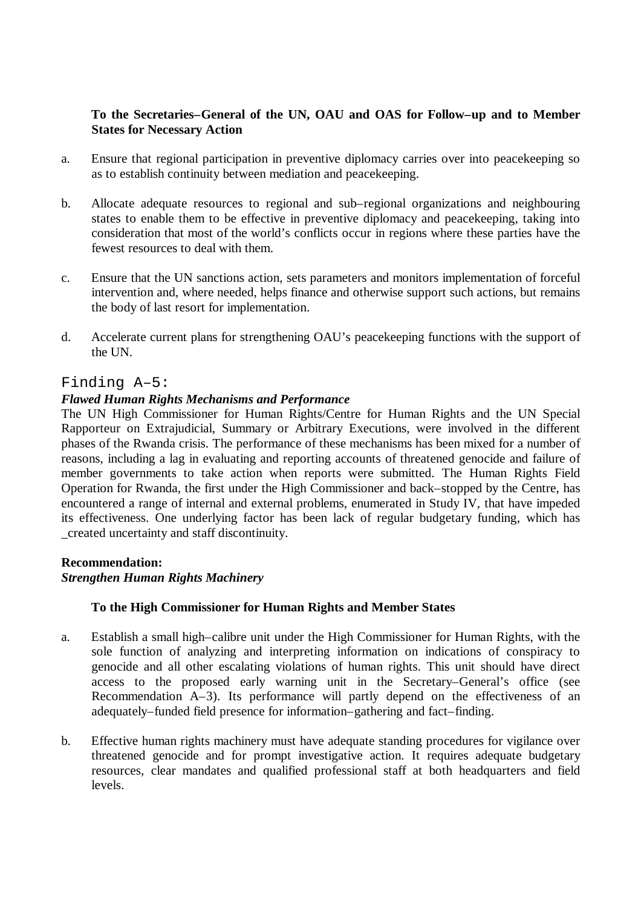# **To the Secretaries–General of the UN, OAU and OAS for Follow–up and to Member States for Necessary Action**

- a. Ensure that regional participation in preventive diplomacy carries over into peacekeeping so as to establish continuity between mediation and peacekeeping.
- b. Allocate adequate resources to regional and sub–regional organizations and neighbouring states to enable them to be effective in preventive diplomacy and peacekeeping, taking into consideration that most of the world's conflicts occur in regions where these parties have the fewest resources to deal with them.
- c. Ensure that the UN sanctions action, sets parameters and monitors implementation of forceful intervention and, where needed, helps finance and otherwise support such actions, but remains the body of last resort for implementation.
- d. Accelerate current plans for strengthening OAU's peacekeeping functions with the support of the UN.

## Finding A–5:

## *Flawed Human Rights Mechanisms and Performance*

The UN High Commissioner for Human Rights/Centre for Human Rights and the UN Special Rapporteur on Extrajudicial, Summary or Arbitrary Executions, were involved in the different phases of the Rwanda crisis. The performance of these mechanisms has been mixed for a number of reasons, including a lag in evaluating and reporting accounts of threatened genocide and failure of member governments to take action when reports were submitted. The Human Rights Field Operation for Rwanda, the first under the High Commissioner and back–stopped by the Centre, has encountered a range of internal and external problems, enumerated in Study IV, that have impeded its effectiveness. One underlying factor has been lack of regular budgetary funding, which has \_created uncertainty and staff discontinuity.

#### **Recommendation:**

#### *Strengthen Human Rights Machinery*

# **To the High Commissioner for Human Rights and Member States**

- a. Establish a small high–calibre unit under the High Commissioner for Human Rights, with the sole function of analyzing and interpreting information on indications of conspiracy to genocide and all other escalating violations of human rights. This unit should have direct access to the proposed early warning unit in the Secretary–General's office (see Recommendation A–3). Its performance will partly depend on the effectiveness of an adequately–funded field presence for information–gathering and fact–finding.
- b. Effective human rights machinery must have adequate standing procedures for vigilance over threatened genocide and for prompt investigative action. It requires adequate budgetary resources, clear mandates and qualified professional staff at both headquarters and field levels.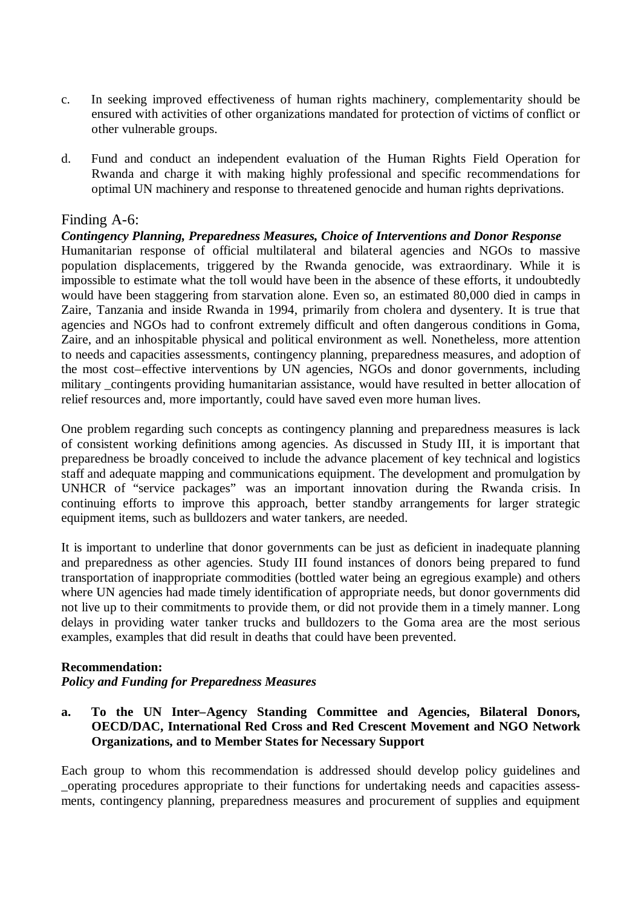- c. In seeking improved effectiveness of human rights machinery, complementarity should be ensured with activities of other organizations mandated for protection of victims of conflict or other vulnerable groups.
- d. Fund and conduct an independent evaluation of the Human Rights Field Operation for Rwanda and charge it with making highly professional and specific recommendations for optimal UN machinery and response to threatened genocide and human rights deprivations.

# Finding A-6:

#### *Contingency Planning, Preparedness Measures, Choice of Interventions and Donor Response*

Humanitarian response of official multilateral and bilateral agencies and NGOs to massive population displacements, triggered by the Rwanda genocide, was extraordinary. While it is impossible to estimate what the toll would have been in the absence of these efforts, it undoubtedly would have been staggering from starvation alone. Even so, an estimated 80,000 died in camps in Zaire, Tanzania and inside Rwanda in 1994, primarily from cholera and dysentery. It is true that agencies and NGOs had to confront extremely difficult and often dangerous conditions in Goma, Zaire, and an inhospitable physical and political environment as well. Nonetheless, more attention to needs and capacities assessments, contingency planning, preparedness measures, and adoption of the most cost–effective interventions by UN agencies, NGOs and donor governments, including military contingents providing humanitarian assistance, would have resulted in better allocation of relief resources and, more importantly, could have saved even more human lives.

One problem regarding such concepts as contingency planning and preparedness measures is lack of consistent working definitions among agencies. As discussed in Study III, it is important that preparedness be broadly conceived to include the advance placement of key technical and logistics staff and adequate mapping and communications equipment. The development and promulgation by UNHCR of "service packages" was an important innovation during the Rwanda crisis. In continuing efforts to improve this approach, better standby arrangements for larger strategic equipment items, such as bulldozers and water tankers, are needed.

It is important to underline that donor governments can be just as deficient in inadequate planning and preparedness as other agencies. Study III found instances of donors being prepared to fund transportation of inappropriate commodities (bottled water being an egregious example) and others where UN agencies had made timely identification of appropriate needs, but donor governments did not live up to their commitments to provide them, or did not provide them in a timely manner. Long delays in providing water tanker trucks and bulldozers to the Goma area are the most serious examples, examples that did result in deaths that could have been prevented.

#### **Recommendation:**

#### *Policy and Funding for Preparedness Measures*

**a. To the UN Inter–Agency Standing Committee and Agencies, Bilateral Donors, OECD/DAC, International Red Cross and Red Crescent Movement and NGO Network Organizations, and to Member States for Necessary Support**

Each group to whom this recommendation is addressed should develop policy guidelines and \_operating procedures appropriate to their functions for undertaking needs and capacities assessments, contingency planning, preparedness measures and procurement of supplies and equipment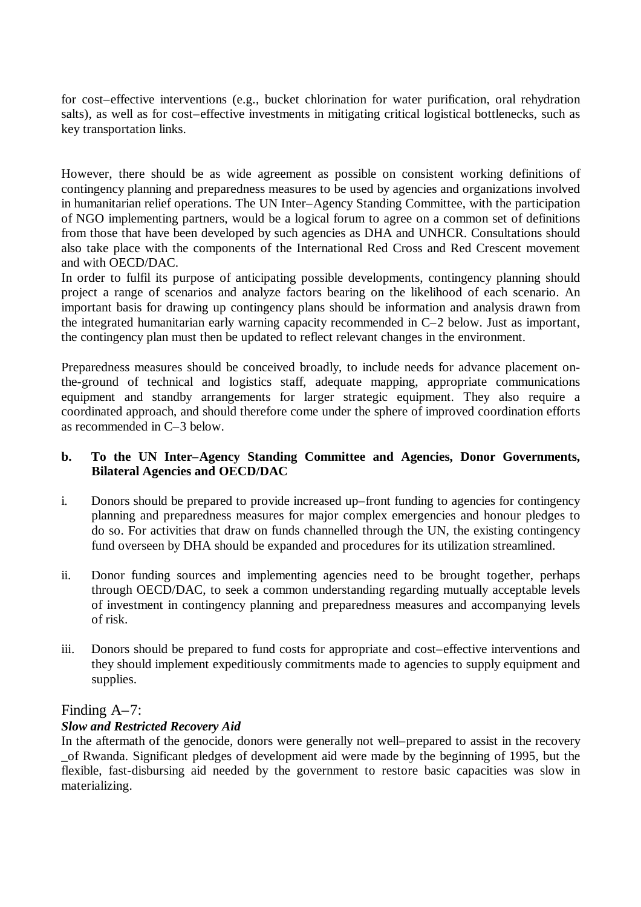for cost–effective interventions (e.g., bucket chlorination for water purification, oral rehydration salts), as well as for cost–effective investments in mitigating critical logistical bottlenecks, such as key transportation links.

However, there should be as wide agreement as possible on consistent working definitions of contingency planning and preparedness measures to be used by agencies and organizations involved in humanitarian relief operations. The UN Inter–Agency Standing Committee, with the participation of NGO implementing partners, would be a logical forum to agree on a common set of definitions from those that have been developed by such agencies as DHA and UNHCR. Consultations should also take place with the components of the International Red Cross and Red Crescent movement and with OECD/DAC.

In order to fulfil its purpose of anticipating possible developments, contingency planning should project a range of scenarios and analyze factors bearing on the likelihood of each scenario. An important basis for drawing up contingency plans should be information and analysis drawn from the integrated humanitarian early warning capacity recommended in C–2 below. Just as important, the contingency plan must then be updated to reflect relevant changes in the environment.

Preparedness measures should be conceived broadly, to include needs for advance placement onthe-ground of technical and logistics staff, adequate mapping, appropriate communications equipment and standby arrangements for larger strategic equipment. They also require a coordinated approach, and should therefore come under the sphere of improved coordination efforts as recommended in C–3 below.

# **b. To the UN Inter–Agency Standing Committee and Agencies, Donor Governments, Bilateral Agencies and OECD/DAC**

- i. Donors should be prepared to provide increased up–front funding to agencies for contingency planning and preparedness measures for major complex emergencies and honour pledges to do so. For activities that draw on funds channelled through the UN, the existing contingency fund overseen by DHA should be expanded and procedures for its utilization streamlined.
- ii. Donor funding sources and implementing agencies need to be brought together, perhaps through OECD/DAC, to seek a common understanding regarding mutually acceptable levels of investment in contingency planning and preparedness measures and accompanying levels of risk.
- iii. Donors should be prepared to fund costs for appropriate and cost–effective interventions and they should implement expeditiously commitments made to agencies to supply equipment and supplies.

# Finding A–7:

# *Slow and Restricted Recovery Aid*

In the aftermath of the genocide, donors were generally not well–prepared to assist in the recovery \_of Rwanda. Significant pledges of development aid were made by the beginning of 1995, but the flexible, fast-disbursing aid needed by the government to restore basic capacities was slow in materializing.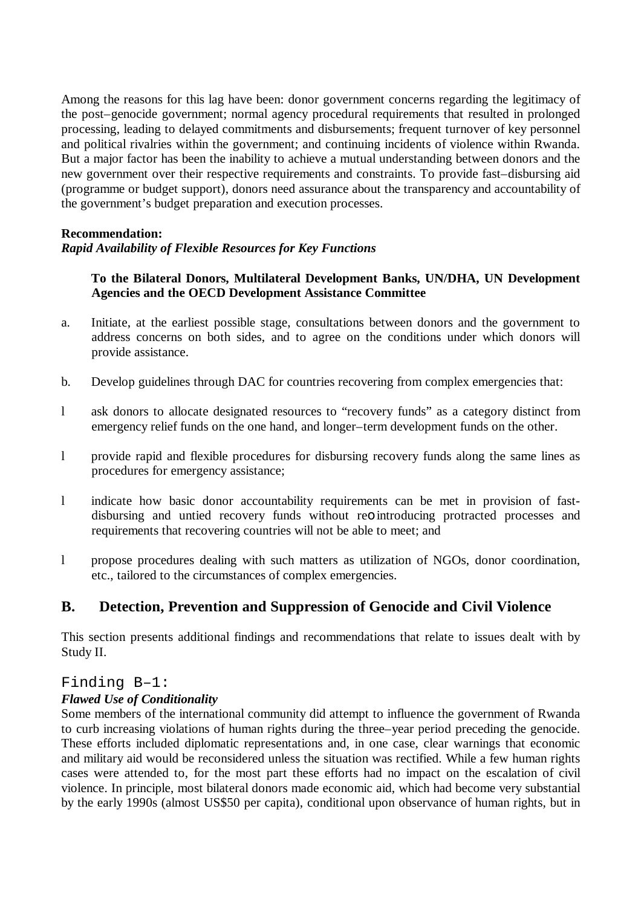Among the reasons for this lag have been: donor government concerns regarding the legitimacy of the post–genocide government; normal agency procedural requirements that resulted in prolonged processing, leading to delayed commitments and disbursements; frequent turnover of key personnel and political rivalries within the government; and continuing incidents of violence within Rwanda. But a major factor has been the inability to achieve a mutual understanding between donors and the new government over their respective requirements and constraints. To provide fast–disbursing aid (programme or budget support), donors need assurance about the transparency and accountability of the government's budget preparation and execution processes.

## **Recommendation:**

# *Rapid Availability of Flexible Resources for Key Functions*

## **To the Bilateral Donors, Multilateral Development Banks, UN/DHA, UN Development Agencies and the OECD Development Assistance Committee**

- a. Initiate, at the earliest possible stage, consultations between donors and the government to address concerns on both sides, and to agree on the conditions under which donors will provide assistance.
- b. Develop guidelines through DAC for countries recovering from complex emergencies that:
- l ask donors to allocate designated resources to "recovery funds" as a category distinct from emergency relief funds on the one hand, and longer–term development funds on the other.
- l provide rapid and flexible procedures for disbursing recovery funds along the same lines as procedures for emergency assistance;
- l indicate how basic donor accountability requirements can be met in provision of fastdisbursing and untied recovery funds without reo introducing protracted processes and requirements that recovering countries will not be able to meet; and
- l propose procedures dealing with such matters as utilization of NGOs, donor coordination, etc., tailored to the circumstances of complex emergencies.

# **B. Detection, Prevention and Suppression of Genocide and Civil Violence**

This section presents additional findings and recommendations that relate to issues dealt with by Study II.

#### Finding B–1:

#### *Flawed Use of Conditionality*

Some members of the international community did attempt to influence the government of Rwanda to curb increasing violations of human rights during the three–year period preceding the genocide. These efforts included diplomatic representations and, in one case, clear warnings that economic and military aid would be reconsidered unless the situation was rectified. While a few human rights cases were attended to, for the most part these efforts had no impact on the escalation of civil violence. In principle, most bilateral donors made economic aid, which had become very substantial by the early 1990s (almost US\$50 per capita), conditional upon observance of human rights, but in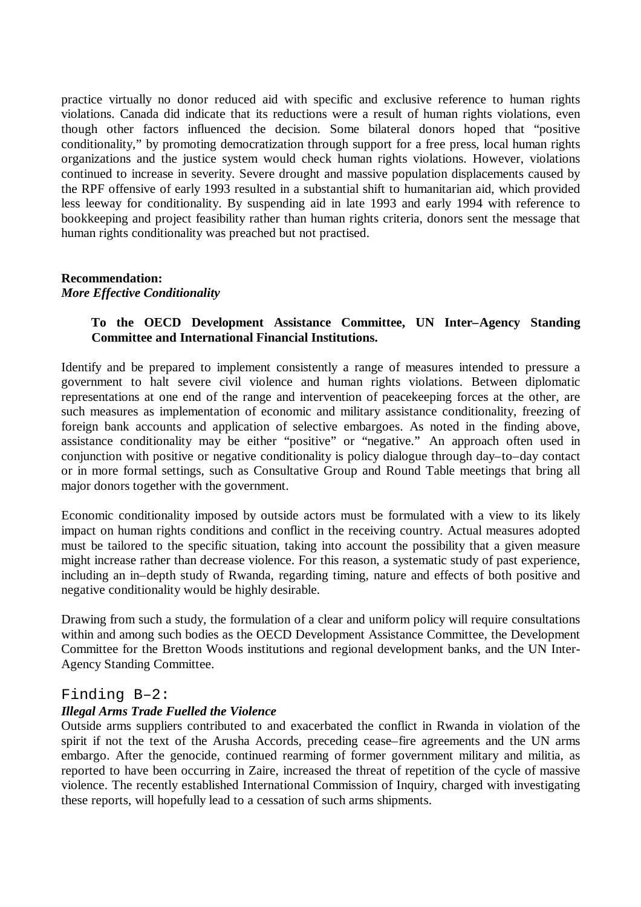practice virtually no donor reduced aid with specific and exclusive reference to human rights violations. Canada did indicate that its reductions were a result of human rights violations, even though other factors influenced the decision. Some bilateral donors hoped that "positive conditionality," by promoting democratization through support for a free press, local human rights organizations and the justice system would check human rights violations. However, violations continued to increase in severity. Severe drought and massive population displacements caused by the RPF offensive of early 1993 resulted in a substantial shift to humanitarian aid, which provided less leeway for conditionality. By suspending aid in late 1993 and early 1994 with reference to bookkeeping and project feasibility rather than human rights criteria, donors sent the message that human rights conditionality was preached but not practised.

#### **Recommendation:** *More Effective Conditionality*

## **To the OECD Development Assistance Committee, UN Inter–Agency Standing Committee and International Financial Institutions.**

Identify and be prepared to implement consistently a range of measures intended to pressure a government to halt severe civil violence and human rights violations. Between diplomatic representations at one end of the range and intervention of peacekeeping forces at the other, are such measures as implementation of economic and military assistance conditionality, freezing of foreign bank accounts and application of selective embargoes. As noted in the finding above, assistance conditionality may be either "positive" or "negative." An approach often used in conjunction with positive or negative conditionality is policy dialogue through day–to–day contact or in more formal settings, such as Consultative Group and Round Table meetings that bring all major donors together with the government.

Economic conditionality imposed by outside actors must be formulated with a view to its likely impact on human rights conditions and conflict in the receiving country. Actual measures adopted must be tailored to the specific situation, taking into account the possibility that a given measure might increase rather than decrease violence. For this reason, a systematic study of past experience, including an in–depth study of Rwanda, regarding timing, nature and effects of both positive and negative conditionality would be highly desirable.

Drawing from such a study, the formulation of a clear and uniform policy will require consultations within and among such bodies as the OECD Development Assistance Committee, the Development Committee for the Bretton Woods institutions and regional development banks, and the UN Inter-Agency Standing Committee.

#### Finding B–2:

#### *Illegal Arms Trade Fuelled the Violence*

Outside arms suppliers contributed to and exacerbated the conflict in Rwanda in violation of the spirit if not the text of the Arusha Accords, preceding cease–fire agreements and the UN arms embargo. After the genocide, continued rearming of former government military and militia, as reported to have been occurring in Zaire, increased the threat of repetition of the cycle of massive violence. The recently established International Commission of Inquiry, charged with investigating these reports, will hopefully lead to a cessation of such arms shipments.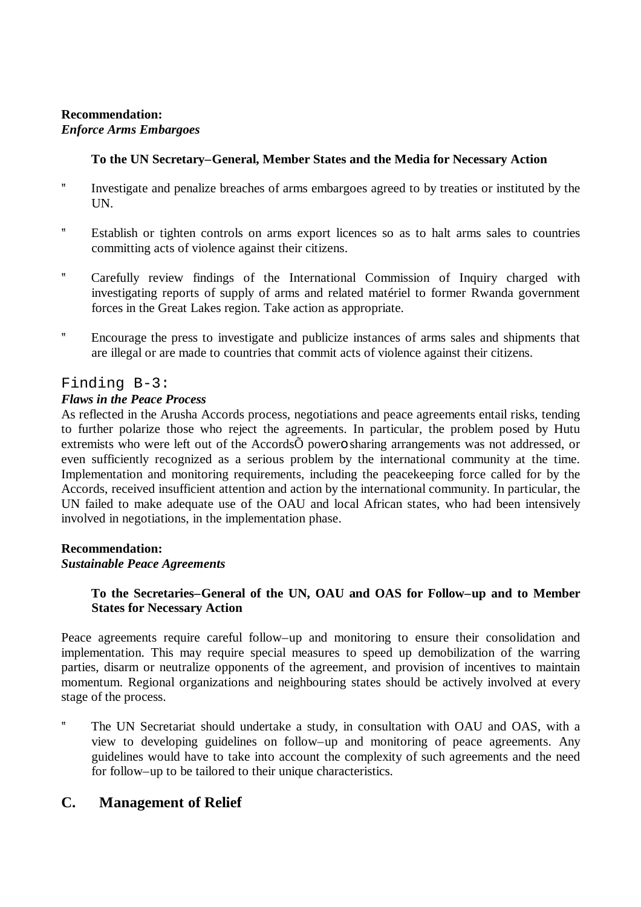# **Recommendation:** *Enforce Arms Embargoes*

## **To the UN Secretary–General, Member States and the Media for Necessary Action**

- ? Investigate and penalize breaches of arms embargoes agreed to by treaties or instituted by the UN.
- ? Establish or tighten controls on arms export licences so as to halt arms sales to countries committing acts of violence against their citizens.
- ? Carefully review findings of the International Commission of Inquiry charged with investigating reports of supply of arms and related matériel to former Rwanda government forces in the Great Lakes region. Take action as appropriate.
- ? Encourage the press to investigate and publicize instances of arms sales and shipments that are illegal or are made to countries that commit acts of violence against their citizens.

## Finding B-3:

## *Flaws in the Peace Process*

As reflected in the Arusha Accords process, negotiations and peace agreements entail risks, tending to further polarize those who reject the agreements. In particular, the problem posed by Hutu extremists who were left out of the AccordsÕ powero sharing arrangements was not addressed, or even sufficiently recognized as a serious problem by the international community at the time. Implementation and monitoring requirements, including the peacekeeping force called for by the Accords, received insufficient attention and action by the international community. In particular, the UN failed to make adequate use of the OAU and local African states, who had been intensively involved in negotiations, in the implementation phase.

#### **Recommendation:**

#### *Sustainable Peace Agreements*

## **To the Secretaries–General of the UN, OAU and OAS for Follow–up and to Member States for Necessary Action**

Peace agreements require careful follow–up and monitoring to ensure their consolidation and implementation. This may require special measures to speed up demobilization of the warring parties, disarm or neutralize opponents of the agreement, and provision of incentives to maintain momentum. Regional organizations and neighbouring states should be actively involved at every stage of the process.

? The UN Secretariat should undertake a study, in consultation with OAU and OAS, with a view to developing guidelines on follow–up and monitoring of peace agreements. Any guidelines would have to take into account the complexity of such agreements and the need for follow–up to be tailored to their unique characteristics.

# **C. Management of Relief**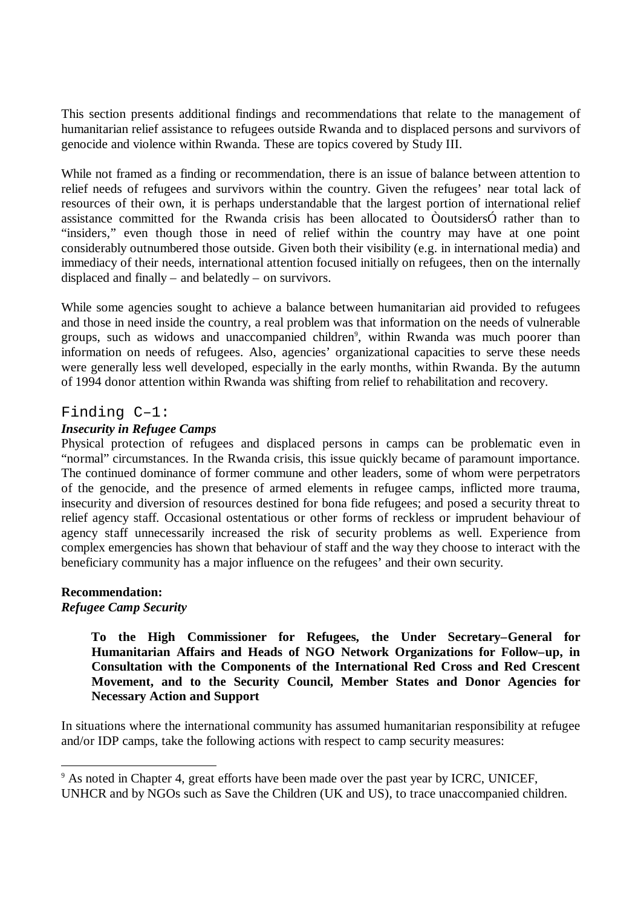This section presents additional findings and recommendations that relate to the management of humanitarian relief assistance to refugees outside Rwanda and to displaced persons and survivors of genocide and violence within Rwanda. These are topics covered by Study III.

While not framed as a finding or recommendation, there is an issue of balance between attention to relief needs of refugees and survivors within the country. Given the refugees' near total lack of resources of their own, it is perhaps understandable that the largest portion of international relief assistance committed for the Rwanda crisis has been allocated to ÒoutsidersÓ rather than to "insiders," even though those in need of relief within the country may have at one point considerably outnumbered those outside. Given both their visibility (e.g. in international media) and immediacy of their needs, international attention focused initially on refugees, then on the internally displaced and finally – and belatedly – on survivors.

While some agencies sought to achieve a balance between humanitarian aid provided to refugees and those in need inside the country, a real problem was that information on the needs of vulnerable groups, such as widows and unaccompanied children<sup>9</sup>, within Rwanda was much poorer than information on needs of refugees. Also, agencies' organizational capacities to serve these needs were generally less well developed, especially in the early months, within Rwanda. By the autumn of 1994 donor attention within Rwanda was shifting from relief to rehabilitation and recovery.

# Finding C–1:

## *Insecurity in Refugee Camps*

Physical protection of refugees and displaced persons in camps can be problematic even in "normal" circumstances. In the Rwanda crisis, this issue quickly became of paramount importance. The continued dominance of former commune and other leaders, some of whom were perpetrators of the genocide, and the presence of armed elements in refugee camps, inflicted more trauma, insecurity and diversion of resources destined for bona fide refugees; and posed a security threat to relief agency staff. Occasional ostentatious or other forms of reckless or imprudent behaviour of agency staff unnecessarily increased the risk of security problems as well. Experience from complex emergencies has shown that behaviour of staff and the way they choose to interact with the beneficiary community has a major influence on the refugees' and their own security.

#### **Recommendation:** *Refugee Camp Security*

-

**To the High Commissioner for Refugees, the Under Secretary–General for Humanitarian Affairs and Heads of NGO Network Organizations for Follow–up, in Consultation with the Components of the International Red Cross and Red Crescent Movement, and to the Security Council, Member States and Donor Agencies for Necessary Action and Support**

In situations where the international community has assumed humanitarian responsibility at refugee and/or IDP camps, take the following actions with respect to camp security measures:

<sup>&</sup>lt;sup>9</sup> As noted in Chapter 4, great efforts have been made over the past year by ICRC, UNICEF, UNHCR and by NGOs such as Save the Children (UK and US), to trace unaccompanied children.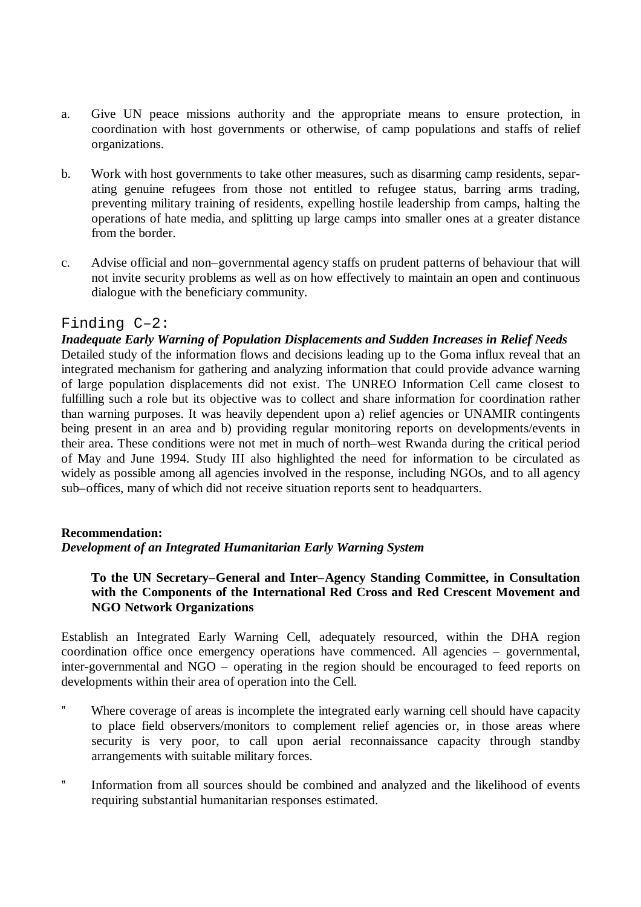- a. Give UN peace missions authority and the appropriate means to ensure protection, in coordination with host governments or otherwise, of camp populations and staffs of relief organizations.
- b. Work with host governments to take other measures, such as disarming camp residents, separating genuine refugees from those not entitled to refugee status, barring arms trading, preventing military training of residents, expelling hostile leadership from camps, halting the operations of hate media, and splitting up large camps into smaller ones at a greater distance from the border.
- c. Advise official and non–governmental agency staffs on prudent patterns of behaviour that will not invite security problems as well as on how effectively to maintain an open and continuous dialogue with the beneficiary community.

# Finding C–2:

*Inadequate Early Warning of Population Displacements and Sudden Increases in Relief Needs* Detailed study of the information flows and decisions leading up to the Goma influx reveal that an integrated mechanism for gathering and analyzing information that could provide advance warning of large population displacements did not exist. The UNREO Information Cell came closest to fulfilling such a role but its objective was to collect and share information for coordination rather than warning purposes. It was heavily dependent upon a) relief agencies or UNAMIR contingents being present in an area and b) providing regular monitoring reports on developments/events in their area. These conditions were not met in much of north–west Rwanda during the critical period of May and June 1994. Study III also highlighted the need for information to be circulated as widely as possible among all agencies involved in the response, including NGOs, and to all agency sub–offices, many of which did not receive situation reports sent to headquarters.

#### **Recommendation:**

#### *Development of an Integrated Humanitarian Early Warning System*

## **To the UN Secretary–General and Inter–Agency Standing Committee, in Consultation with the Components of the International Red Cross and Red Crescent Movement and NGO Network Organizations**

Establish an Integrated Early Warning Cell, adequately resourced, within the DHA region coordination office once emergency operations have commenced. All agencies – governmental, inter-governmental and NGO – operating in the region should be encouraged to feed reports on developments within their area of operation into the Cell.

- ? Where coverage of areas is incomplete the integrated early warning cell should have capacity to place field observers/monitors to complement relief agencies or, in those areas where security is very poor, to call upon aerial reconnaissance capacity through standby arrangements with suitable military forces.
- ? Information from all sources should be combined and analyzed and the likelihood of events requiring substantial humanitarian responses estimated.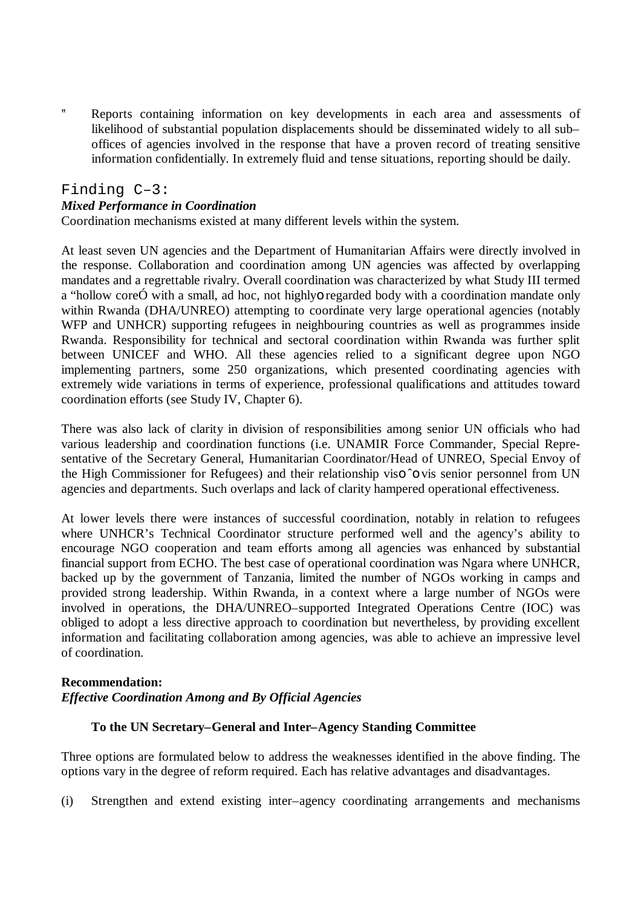? Reports containing information on key developments in each area and assessments of likelihood of substantial population displacements should be disseminated widely to all sub– offices of agencies involved in the response that have a proven record of treating sensitive information confidentially. In extremely fluid and tense situations, reporting should be daily.

## Finding C–3:

#### *Mixed Performance in Coordination*

Coordination mechanisms existed at many different levels within the system.

At least seven UN agencies and the Department of Humanitarian Affairs were directly involved in the response. Collaboration and coordination among UN agencies was affected by overlapping mandates and a regrettable rivalry. Overall coordination was characterized by what Study III termed a "hollow coreÓ with a small, ad hoc, not highlyo regarded body with a coordination mandate only within Rwanda (DHA/UNREO) attempting to coordinate very large operational agencies (notably WFP and UNHCR) supporting refugees in neighbouring countries as well as programmes inside Rwanda. Responsibility for technical and sectoral coordination within Rwanda was further split between UNICEF and WHO. All these agencies relied to a significant degree upon NGO implementing partners, some 250 organizations, which presented coordinating agencies with extremely wide variations in terms of experience, professional qualifications and attitudes toward coordination efforts (see Study IV, Chapter 6).

There was also lack of clarity in division of responsibilities among senior UN officials who had various leadership and coordination functions (i.e. UNAMIR Force Commander, Special Representative of the Secretary General, Humanitarian Coordinator/Head of UNREO, Special Envoy of the High Commissioner for Refugees) and their relationship viso ˆo vis senior personnel from UN agencies and departments. Such overlaps and lack of clarity hampered operational effectiveness.

At lower levels there were instances of successful coordination, notably in relation to refugees where UNHCR's Technical Coordinator structure performed well and the agency's ability to encourage NGO cooperation and team efforts among all agencies was enhanced by substantial financial support from ECHO. The best case of operational coordination was Ngara where UNHCR, backed up by the government of Tanzania, limited the number of NGOs working in camps and provided strong leadership. Within Rwanda, in a context where a large number of NGOs were involved in operations, the DHA/UNREO–supported Integrated Operations Centre (IOC) was obliged to adopt a less directive approach to coordination but nevertheless, by providing excellent information and facilitating collaboration among agencies, was able to achieve an impressive level of coordination.

#### **Recommendation:**

#### *Effective Coordination Among and By Official Agencies*

## **To the UN Secretary–General and Inter–Agency Standing Committee**

Three options are formulated below to address the weaknesses identified in the above finding. The options vary in the degree of reform required. Each has relative advantages and disadvantages.

(i) Strengthen and extend existing inter–agency coordinating arrangements and mechanisms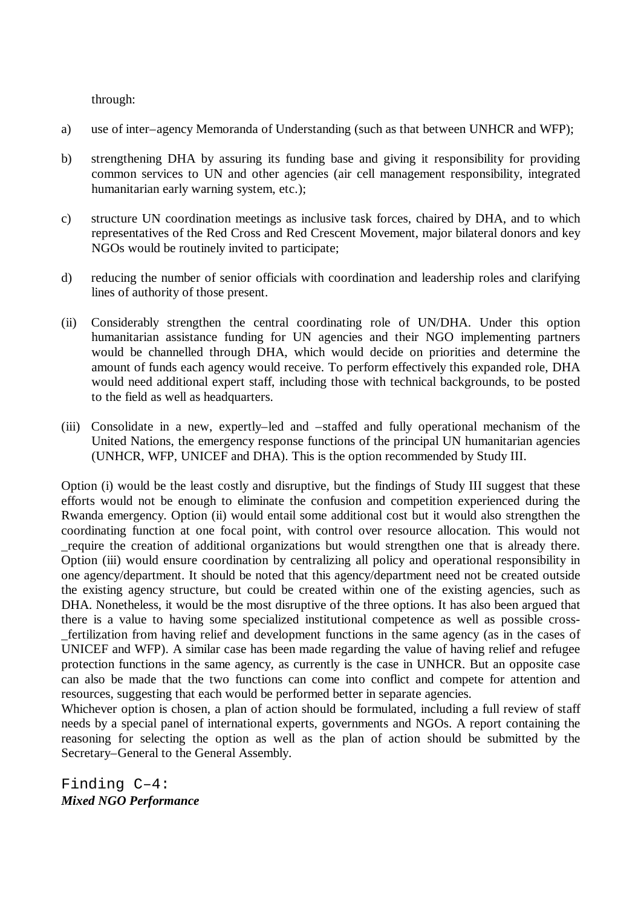through:

- a) use of inter–agency Memoranda of Understanding (such as that between UNHCR and WFP);
- b) strengthening DHA by assuring its funding base and giving it responsibility for providing common services to UN and other agencies (air cell management responsibility, integrated humanitarian early warning system, etc.);
- c) structure UN coordination meetings as inclusive task forces, chaired by DHA, and to which representatives of the Red Cross and Red Crescent Movement, major bilateral donors and key NGOs would be routinely invited to participate;
- d) reducing the number of senior officials with coordination and leadership roles and clarifying lines of authority of those present.
- (ii) Considerably strengthen the central coordinating role of UN/DHA. Under this option humanitarian assistance funding for UN agencies and their NGO implementing partners would be channelled through DHA, which would decide on priorities and determine the amount of funds each agency would receive. To perform effectively this expanded role, DHA would need additional expert staff, including those with technical backgrounds, to be posted to the field as well as headquarters.
- (iii) Consolidate in a new, expertly–led and –staffed and fully operational mechanism of the United Nations, the emergency response functions of the principal UN humanitarian agencies (UNHCR, WFP, UNICEF and DHA). This is the option recommended by Study III.

Option (i) would be the least costly and disruptive, but the findings of Study III suggest that these efforts would not be enough to eliminate the confusion and competition experienced during the Rwanda emergency. Option (ii) would entail some additional cost but it would also strengthen the coordinating function at one focal point, with control over resource allocation. This would not \_require the creation of additional organizations but would strengthen one that is already there. Option (iii) would ensure coordination by centralizing all policy and operational responsibility in one agency/department. It should be noted that this agency/department need not be created outside the existing agency structure, but could be created within one of the existing agencies, such as DHA. Nonetheless, it would be the most disruptive of the three options. It has also been argued that there is a value to having some specialized institutional competence as well as possible cross- \_fertilization from having relief and development functions in the same agency (as in the cases of UNICEF and WFP). A similar case has been made regarding the value of having relief and refugee protection functions in the same agency, as currently is the case in UNHCR. But an opposite case can also be made that the two functions can come into conflict and compete for attention and resources, suggesting that each would be performed better in separate agencies.

Whichever option is chosen, a plan of action should be formulated, including a full review of staff needs by a special panel of international experts, governments and NGOs. A report containing the reasoning for selecting the option as well as the plan of action should be submitted by the Secretary–General to the General Assembly.

Finding C–4: *Mixed NGO Performance*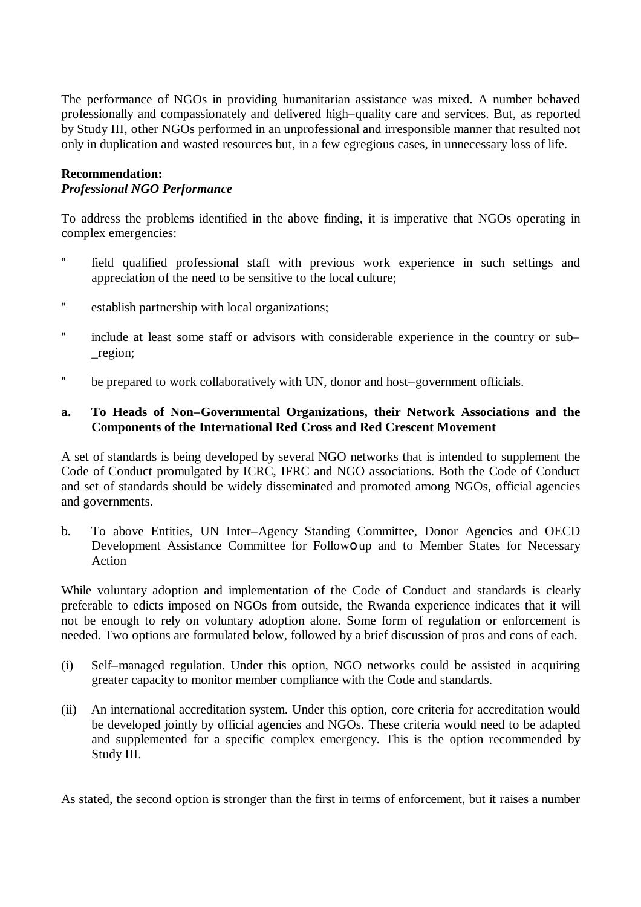The performance of NGOs in providing humanitarian assistance was mixed. A number behaved professionally and compassionately and delivered high–quality care and services. But, as reported by Study III, other NGOs performed in an unprofessional and irresponsible manner that resulted not only in duplication and wasted resources but, in a few egregious cases, in unnecessary loss of life.

## **Recommendation:** *Professional NGO Performance*

To address the problems identified in the above finding, it is imperative that NGOs operating in complex emergencies:

- ? field qualified professional staff with previous work experience in such settings and appreciation of the need to be sensitive to the local culture;
- ? establish partnership with local organizations;
- ? include at least some staff or advisors with considerable experience in the country or sub– \_region;
- ? be prepared to work collaboratively with UN, donor and host–government officials.

#### **a. To Heads of Non–Governmental Organizations, their Network Associations and the Components of the International Red Cross and Red Crescent Movement**

A set of standards is being developed by several NGO networks that is intended to supplement the Code of Conduct promulgated by ICRC, IFRC and NGO associations. Both the Code of Conduct and set of standards should be widely disseminated and promoted among NGOs, official agencies and governments.

b. To above Entities, UN Inter–Agency Standing Committee, Donor Agencies and OECD Development Assistance Committee for Followo up and to Member States for Necessary Action

While voluntary adoption and implementation of the Code of Conduct and standards is clearly preferable to edicts imposed on NGOs from outside, the Rwanda experience indicates that it will not be enough to rely on voluntary adoption alone. Some form of regulation or enforcement is needed. Two options are formulated below, followed by a brief discussion of pros and cons of each.

- (i) Self–managed regulation. Under this option, NGO networks could be assisted in acquiring greater capacity to monitor member compliance with the Code and standards.
- (ii) An international accreditation system. Under this option, core criteria for accreditation would be developed jointly by official agencies and NGOs. These criteria would need to be adapted and supplemented for a specific complex emergency. This is the option recommended by Study III.

As stated, the second option is stronger than the first in terms of enforcement, but it raises a number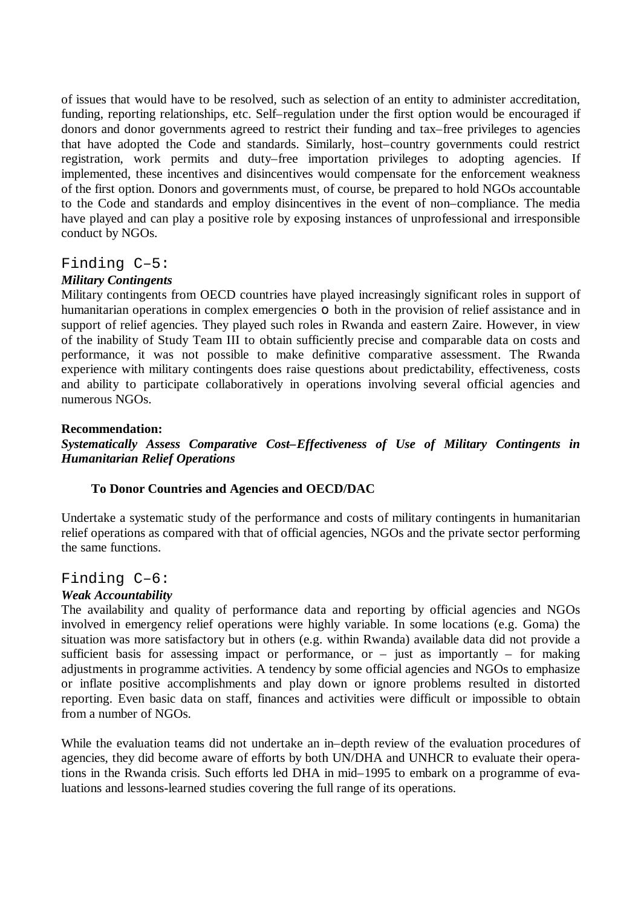of issues that would have to be resolved, such as selection of an entity to administer accreditation, funding, reporting relationships, etc. Self–regulation under the first option would be encouraged if donors and donor governments agreed to restrict their funding and tax–free privileges to agencies that have adopted the Code and standards. Similarly, host–country governments could restrict registration, work permits and duty–free importation privileges to adopting agencies. If implemented, these incentives and disincentives would compensate for the enforcement weakness of the first option. Donors and governments must, of course, be prepared to hold NGOs accountable to the Code and standards and employ disincentives in the event of non–compliance. The media have played and can play a positive role by exposing instances of unprofessional and irresponsible conduct by NGOs.

# Finding C–5:

#### *Military Contingents*

Military contingents from OECD countries have played increasingly significant roles in support of humanitarian operations in complex emergencies **o** both in the provision of relief assistance and in support of relief agencies. They played such roles in Rwanda and eastern Zaire. However, in view of the inability of Study Team III to obtain sufficiently precise and comparable data on costs and performance, it was not possible to make definitive comparative assessment. The Rwanda experience with military contingents does raise questions about predictability, effectiveness, costs and ability to participate collaboratively in operations involving several official agencies and numerous NGOs.

#### **Recommendation:**

*Systematically Assess Comparative Cost–Effectiveness of Use of Military Contingents in Humanitarian Relief Operations*

#### **To Donor Countries and Agencies and OECD/DAC**

Undertake a systematic study of the performance and costs of military contingents in humanitarian relief operations as compared with that of official agencies, NGOs and the private sector performing the same functions.

# Finding C–6:

#### *Weak Accountability*

The availability and quality of performance data and reporting by official agencies and NGOs involved in emergency relief operations were highly variable. In some locations (e.g. Goma) the situation was more satisfactory but in others (e.g. within Rwanda) available data did not provide a sufficient basis for assessing impact or performance, or  $-$  just as importantly  $-$  for making adjustments in programme activities. A tendency by some official agencies and NGOs to emphasize or inflate positive accomplishments and play down or ignore problems resulted in distorted reporting. Even basic data on staff, finances and activities were difficult or impossible to obtain from a number of NGOs.

While the evaluation teams did not undertake an in–depth review of the evaluation procedures of agencies, they did become aware of efforts by both UN/DHA and UNHCR to evaluate their operations in the Rwanda crisis. Such efforts led DHA in mid–1995 to embark on a programme of evaluations and lessons-learned studies covering the full range of its operations.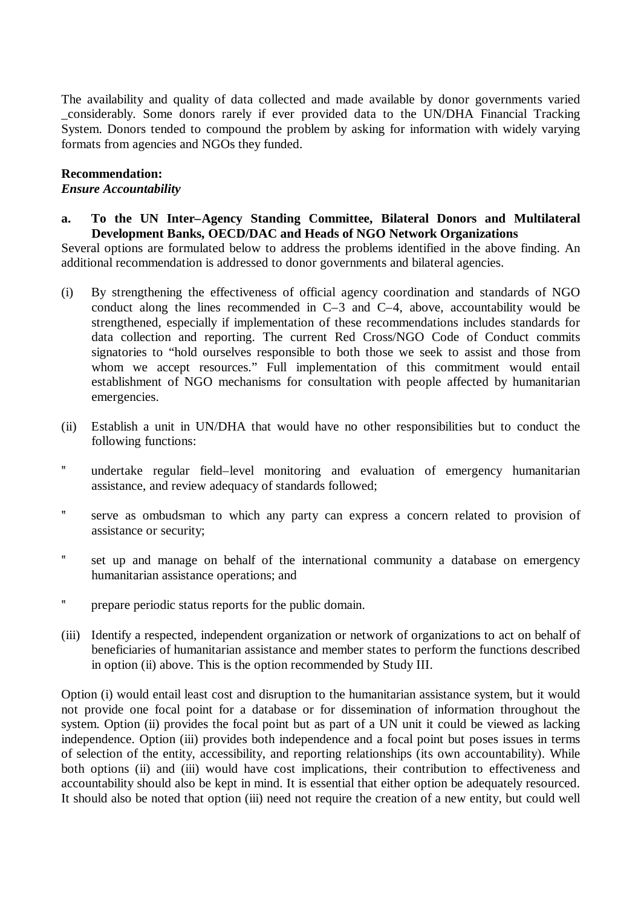The availability and quality of data collected and made available by donor governments varied \_considerably. Some donors rarely if ever provided data to the UN/DHA Financial Tracking System. Donors tended to compound the problem by asking for information with widely varying formats from agencies and NGOs they funded.

#### **Recommendation:**

#### *Ensure Accountability*

**a. To the UN Inter–Agency Standing Committee, Bilateral Donors and Multilateral Development Banks, OECD/DAC and Heads of NGO Network Organizations**

Several options are formulated below to address the problems identified in the above finding. An additional recommendation is addressed to donor governments and bilateral agencies.

- (i) By strengthening the effectiveness of official agency coordination and standards of NGO conduct along the lines recommended in C–3 and C–4, above, accountability would be strengthened, especially if implementation of these recommendations includes standards for data collection and reporting. The current Red Cross/NGO Code of Conduct commits signatories to "hold ourselves responsible to both those we seek to assist and those from whom we accept resources." Full implementation of this commitment would entail establishment of NGO mechanisms for consultation with people affected by humanitarian emergencies.
- (ii) Establish a unit in UN/DHA that would have no other responsibilities but to conduct the following functions:
- ? undertake regular field–level monitoring and evaluation of emergency humanitarian assistance, and review adequacy of standards followed;
- ? serve as ombudsman to which any party can express a concern related to provision of assistance or security;
- ? set up and manage on behalf of the international community a database on emergency humanitarian assistance operations; and
- ? prepare periodic status reports for the public domain.
- (iii) Identify a respected, independent organization or network of organizations to act on behalf of beneficiaries of humanitarian assistance and member states to perform the functions described in option (ii) above. This is the option recommended by Study III.

Option (i) would entail least cost and disruption to the humanitarian assistance system, but it would not provide one focal point for a database or for dissemination of information throughout the system. Option (ii) provides the focal point but as part of a UN unit it could be viewed as lacking independence. Option (iii) provides both independence and a focal point but poses issues in terms of selection of the entity, accessibility, and reporting relationships (its own accountability). While both options (ii) and (iii) would have cost implications, their contribution to effectiveness and accountability should also be kept in mind. It is essential that either option be adequately resourced. It should also be noted that option (iii) need not require the creation of a new entity, but could well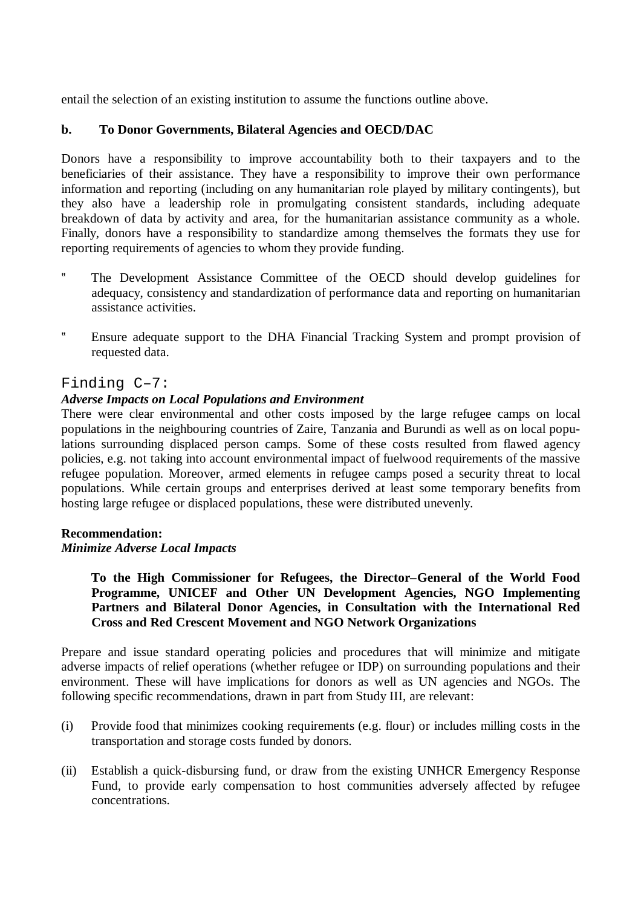entail the selection of an existing institution to assume the functions outline above.

# **b. To Donor Governments, Bilateral Agencies and OECD/DAC**

Donors have a responsibility to improve accountability both to their taxpayers and to the beneficiaries of their assistance. They have a responsibility to improve their own performance information and reporting (including on any humanitarian role played by military contingents), but they also have a leadership role in promulgating consistent standards, including adequate breakdown of data by activity and area, for the humanitarian assistance community as a whole. Finally, donors have a responsibility to standardize among themselves the formats they use for reporting requirements of agencies to whom they provide funding.

- ? The Development Assistance Committee of the OECD should develop guidelines for adequacy, consistency and standardization of performance data and reporting on humanitarian assistance activities.
- ? Ensure adequate support to the DHA Financial Tracking System and prompt provision of requested data.

## Finding C–7:

## *Adverse Impacts on Local Populations and Environment*

There were clear environmental and other costs imposed by the large refugee camps on local populations in the neighbouring countries of Zaire, Tanzania and Burundi as well as on local populations surrounding displaced person camps. Some of these costs resulted from flawed agency policies, e.g. not taking into account environmental impact of fuelwood requirements of the massive refugee population. Moreover, armed elements in refugee camps posed a security threat to local populations. While certain groups and enterprises derived at least some temporary benefits from hosting large refugee or displaced populations, these were distributed unevenly.

#### **Recommendation:**

#### *Minimize Adverse Local Impacts*

**To the High Commissioner for Refugees, the Director–General of the World Food Programme, UNICEF and Other UN Development Agencies, NGO Implementing Partners and Bilateral Donor Agencies, in Consultation with the International Red Cross and Red Crescent Movement and NGO Network Organizations**

Prepare and issue standard operating policies and procedures that will minimize and mitigate adverse impacts of relief operations (whether refugee or IDP) on surrounding populations and their environment. These will have implications for donors as well as UN agencies and NGOs. The following specific recommendations, drawn in part from Study III, are relevant:

- (i) Provide food that minimizes cooking requirements (e.g. flour) or includes milling costs in the transportation and storage costs funded by donors.
- (ii) Establish a quick-disbursing fund, or draw from the existing UNHCR Emergency Response Fund, to provide early compensation to host communities adversely affected by refugee concentrations.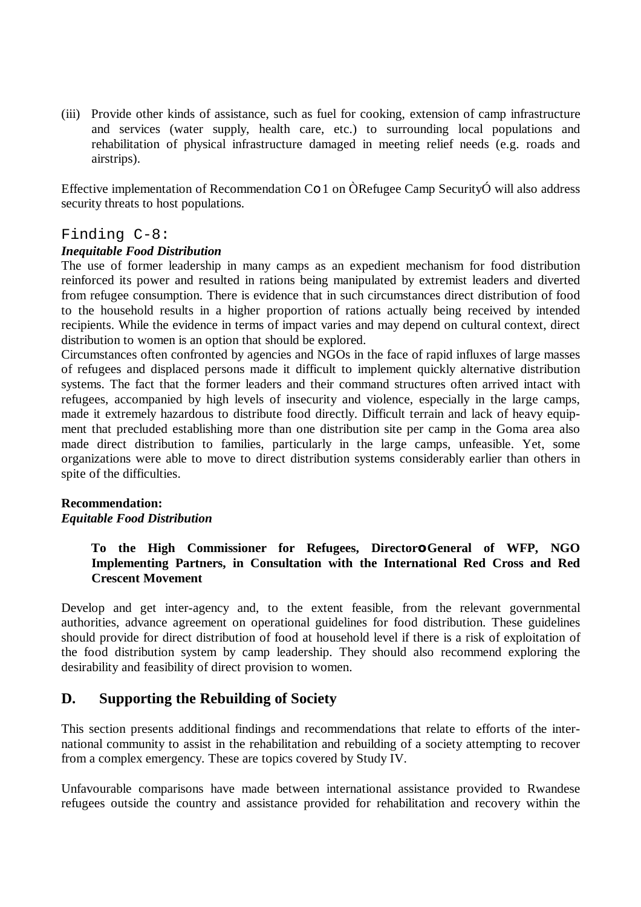(iii) Provide other kinds of assistance, such as fuel for cooking, extension of camp infrastructure and services (water supply, health care, etc.) to surrounding local populations and rehabilitation of physical infrastructure damaged in meeting relief needs (e.g. roads and airstrips).

Effective implementation of Recommendation Co 1 on ÒRefugee Camp SecurityÓ will also address security threats to host populations.

# Finding C-8:

## *Inequitable Food Distribution*

The use of former leadership in many camps as an expedient mechanism for food distribution reinforced its power and resulted in rations being manipulated by extremist leaders and diverted from refugee consumption. There is evidence that in such circumstances direct distribution of food to the household results in a higher proportion of rations actually being received by intended recipients. While the evidence in terms of impact varies and may depend on cultural context, direct distribution to women is an option that should be explored.

Circumstances often confronted by agencies and NGOs in the face of rapid influxes of large masses of refugees and displaced persons made it difficult to implement quickly alternative distribution systems. The fact that the former leaders and their command structures often arrived intact with refugees, accompanied by high levels of insecurity and violence, especially in the large camps, made it extremely hazardous to distribute food directly. Difficult terrain and lack of heavy equipment that precluded establishing more than one distribution site per camp in the Goma area also made direct distribution to families, particularly in the large camps, unfeasible. Yet, some organizations were able to move to direct distribution systems considerably earlier than others in spite of the difficulties.

#### **Recommendation:** *Equitable Food Distribution*

## **To the High Commissioner for Refugees, Directoro General of WFP, NGO Implementing Partners, in Consultation with the International Red Cross and Red Crescent Movement**

Develop and get inter-agency and, to the extent feasible, from the relevant governmental authorities, advance agreement on operational guidelines for food distribution. These guidelines should provide for direct distribution of food at household level if there is a risk of exploitation of the food distribution system by camp leadership. They should also recommend exploring the desirability and feasibility of direct provision to women.

# **D. Supporting the Rebuilding of Society**

This section presents additional findings and recommendations that relate to efforts of the international community to assist in the rehabilitation and rebuilding of a society attempting to recover from a complex emergency. These are topics covered by Study IV.

Unfavourable comparisons have made between international assistance provided to Rwandese refugees outside the country and assistance provided for rehabilitation and recovery within the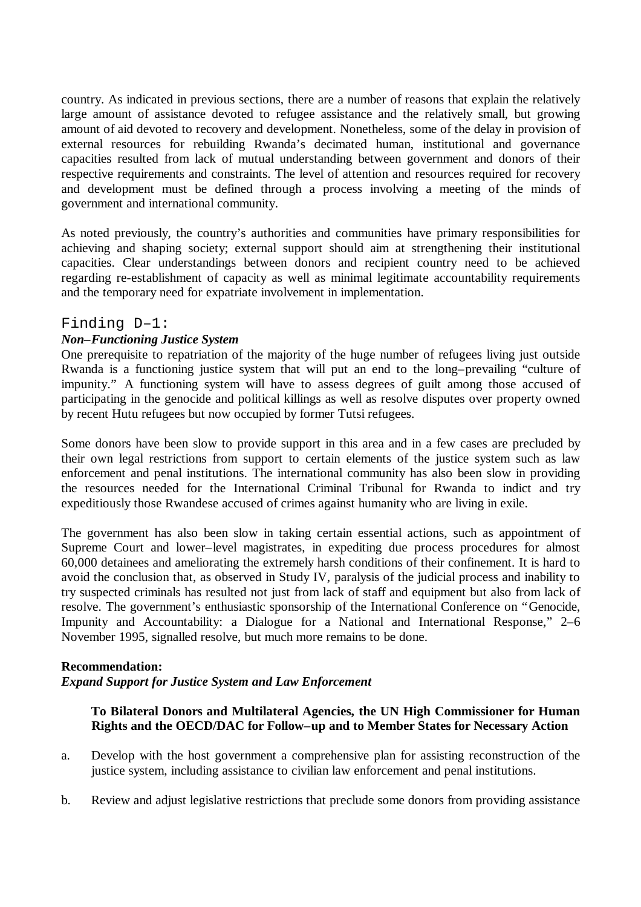country. As indicated in previous sections, there are a number of reasons that explain the relatively large amount of assistance devoted to refugee assistance and the relatively small, but growing amount of aid devoted to recovery and development. Nonetheless, some of the delay in provision of external resources for rebuilding Rwanda's decimated human, institutional and governance capacities resulted from lack of mutual understanding between government and donors of their respective requirements and constraints. The level of attention and resources required for recovery and development must be defined through a process involving a meeting of the minds of government and international community.

As noted previously, the country's authorities and communities have primary responsibilities for achieving and shaping society; external support should aim at strengthening their institutional capacities. Clear understandings between donors and recipient country need to be achieved regarding re-establishment of capacity as well as minimal legitimate accountability requirements and the temporary need for expatriate involvement in implementation.

# Finding D–1:

## *Non–Functioning Justice System*

One prerequisite to repatriation of the majority of the huge number of refugees living just outside Rwanda is a functioning justice system that will put an end to the long–prevailing "culture of impunity." A functioning system will have to assess degrees of guilt among those accused of participating in the genocide and political killings as well as resolve disputes over property owned by recent Hutu refugees but now occupied by former Tutsi refugees.

Some donors have been slow to provide support in this area and in a few cases are precluded by their own legal restrictions from support to certain elements of the justice system such as law enforcement and penal institutions. The international community has also been slow in providing the resources needed for the International Criminal Tribunal for Rwanda to indict and try expeditiously those Rwandese accused of crimes against humanity who are living in exile.

The government has also been slow in taking certain essential actions, such as appointment of Supreme Court and lower–level magistrates, in expediting due process procedures for almost 60,000 detainees and ameliorating the extremely harsh conditions of their confinement. It is hard to avoid the conclusion that, as observed in Study IV, paralysis of the judicial process and inability to try suspected criminals has resulted not just from lack of staff and equipment but also from lack of resolve. The government's enthusiastic sponsorship of the International Conference on "Genocide, Impunity and Accountability: a Dialogue for a National and International Response," 2–6 November 1995, signalled resolve, but much more remains to be done.

#### **Recommendation:**

#### *Expand Support for Justice System and Law Enforcement*

## **To Bilateral Donors and Multilateral Agencies, the UN High Commissioner for Human Rights and the OECD/DAC for Follow–up and to Member States for Necessary Action**

- a. Develop with the host government a comprehensive plan for assisting reconstruction of the justice system, including assistance to civilian law enforcement and penal institutions.
- b. Review and adjust legislative restrictions that preclude some donors from providing assistance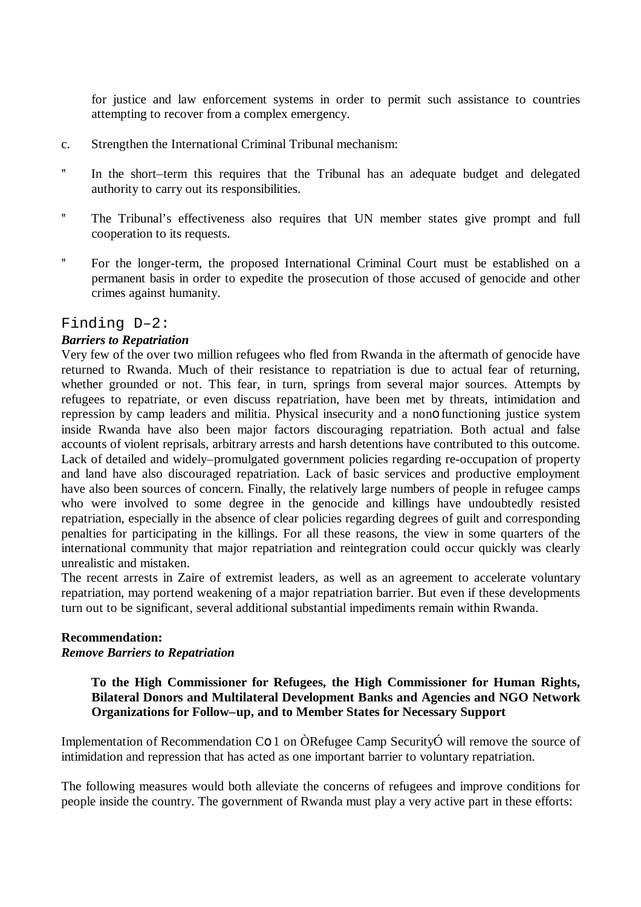for justice and law enforcement systems in order to permit such assistance to countries attempting to recover from a complex emergency.

- c. Strengthen the International Criminal Tribunal mechanism:
- ? In the short–term this requires that the Tribunal has an adequate budget and delegated authority to carry out its responsibilities.
- ? The Tribunal's effectiveness also requires that UN member states give prompt and full cooperation to its requests.
- ? For the longer-term, the proposed International Criminal Court must be established on a permanent basis in order to expedite the prosecution of those accused of genocide and other crimes against humanity.

## Finding D–2:

## *Barriers to Repatriation*

Very few of the over two million refugees who fled from Rwanda in the aftermath of genocide have returned to Rwanda. Much of their resistance to repatriation is due to actual fear of returning, whether grounded or not. This fear, in turn, springs from several major sources. Attempts by refugees to repatriate, or even discuss repatriation, have been met by threats, intimidation and repression by camp leaders and militia. Physical insecurity and a nono functioning justice system inside Rwanda have also been major factors discouraging repatriation. Both actual and false accounts of violent reprisals, arbitrary arrests and harsh detentions have contributed to this outcome. Lack of detailed and widely–promulgated government policies regarding re-occupation of property and land have also discouraged repatriation. Lack of basic services and productive employment have also been sources of concern. Finally, the relatively large numbers of people in refugee camps who were involved to some degree in the genocide and killings have undoubtedly resisted repatriation, especially in the absence of clear policies regarding degrees of guilt and corresponding penalties for participating in the killings. For all these reasons, the view in some quarters of the international community that major repatriation and reintegration could occur quickly was clearly unrealistic and mistaken.

The recent arrests in Zaire of extremist leaders, as well as an agreement to accelerate voluntary repatriation, may portend weakening of a major repatriation barrier. But even if these developments turn out to be significant, several additional substantial impediments remain within Rwanda.

#### **Recommendation:** *Remove Barriers to Repatriation*

## **To the High Commissioner for Refugees, the High Commissioner for Human Rights, Bilateral Donors and Multilateral Development Banks and Agencies and NGO Network Organizations for Follow–up, and to Member States for Necessary Support**

Implementation of Recommendation Co 1 on ÒRefugee Camp SecurityÓ will remove the source of intimidation and repression that has acted as one important barrier to voluntary repatriation.

The following measures would both alleviate the concerns of refugees and improve conditions for people inside the country. The government of Rwanda must play a very active part in these efforts: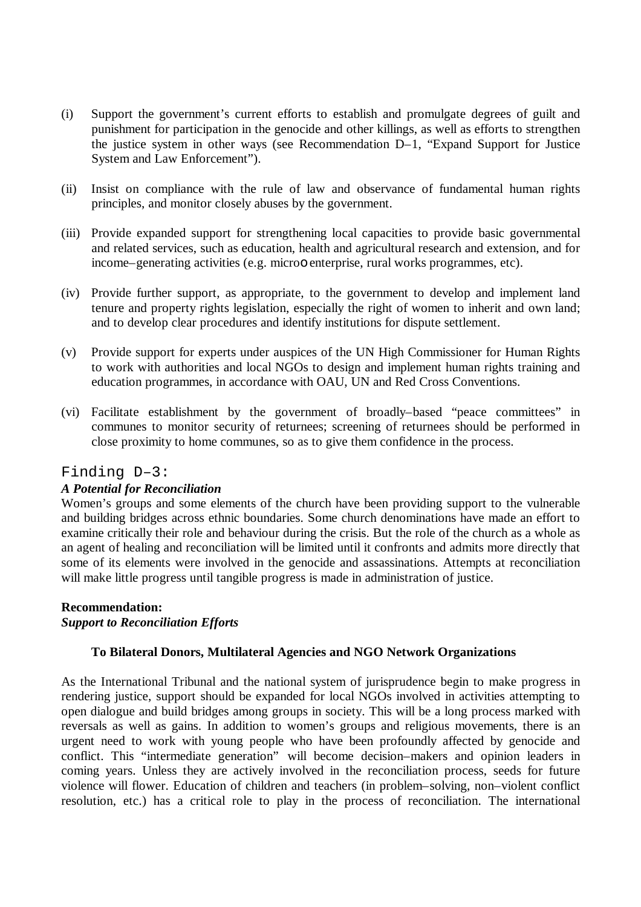- (i) Support the government's current efforts to establish and promulgate degrees of guilt and punishment for participation in the genocide and other killings, as well as efforts to strengthen the justice system in other ways (see Recommendation D–1, "Expand Support for Justice System and Law Enforcement").
- (ii) Insist on compliance with the rule of law and observance of fundamental human rights principles, and monitor closely abuses by the government.
- (iii) Provide expanded support for strengthening local capacities to provide basic governmental and related services, such as education, health and agricultural research and extension, and for income–generating activities (e.g. microo enterprise, rural works programmes, etc).
- (iv) Provide further support, as appropriate, to the government to develop and implement land tenure and property rights legislation, especially the right of women to inherit and own land; and to develop clear procedures and identify institutions for dispute settlement.
- (v) Provide support for experts under auspices of the UN High Commissioner for Human Rights to work with authorities and local NGOs to design and implement human rights training and education programmes, in accordance with OAU, UN and Red Cross Conventions.
- (vi) Facilitate establishment by the government of broadly–based "peace committees" in communes to monitor security of returnees; screening of returnees should be performed in close proximity to home communes, so as to give them confidence in the process.

# Finding D–3:

#### *A Potential for Reconciliation*

Women's groups and some elements of the church have been providing support to the vulnerable and building bridges across ethnic boundaries. Some church denominations have made an effort to examine critically their role and behaviour during the crisis. But the role of the church as a whole as an agent of healing and reconciliation will be limited until it confronts and admits more directly that some of its elements were involved in the genocide and assassinations. Attempts at reconciliation will make little progress until tangible progress is made in administration of justice.

# **Recommendation:**

#### *Support to Reconciliation Efforts*

#### **To Bilateral Donors, Multilateral Agencies and NGO Network Organizations**

As the International Tribunal and the national system of jurisprudence begin to make progress in rendering justice, support should be expanded for local NGOs involved in activities attempting to open dialogue and build bridges among groups in society. This will be a long process marked with reversals as well as gains. In addition to women's groups and religious movements, there is an urgent need to work with young people who have been profoundly affected by genocide and conflict. This "intermediate generation" will become decision–makers and opinion leaders in coming years. Unless they are actively involved in the reconciliation process, seeds for future violence will flower. Education of children and teachers (in problem–solving, non–violent conflict resolution, etc.) has a critical role to play in the process of reconciliation. The international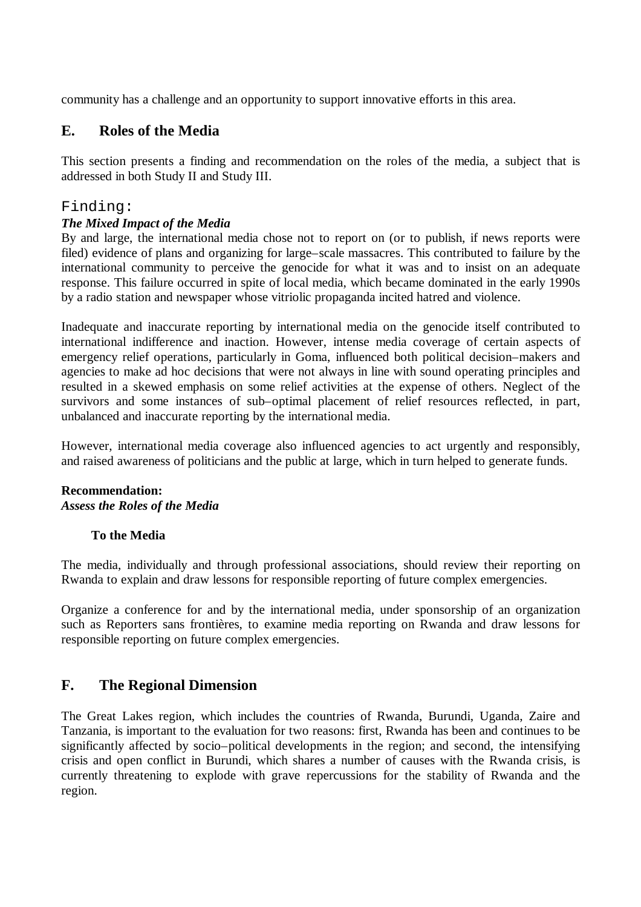community has a challenge and an opportunity to support innovative efforts in this area.

# **E. Roles of the Media**

This section presents a finding and recommendation on the roles of the media, a subject that is addressed in both Study II and Study III.

# Finding:

# *The Mixed Impact of the Media*

By and large, the international media chose not to report on (or to publish, if news reports were filed) evidence of plans and organizing for large–scale massacres. This contributed to failure by the international community to perceive the genocide for what it was and to insist on an adequate response. This failure occurred in spite of local media, which became dominated in the early 1990s by a radio station and newspaper whose vitriolic propaganda incited hatred and violence.

Inadequate and inaccurate reporting by international media on the genocide itself contributed to international indifference and inaction. However, intense media coverage of certain aspects of emergency relief operations, particularly in Goma, influenced both political decision–makers and agencies to make ad hoc decisions that were not always in line with sound operating principles and resulted in a skewed emphasis on some relief activities at the expense of others. Neglect of the survivors and some instances of sub–optimal placement of relief resources reflected, in part, unbalanced and inaccurate reporting by the international media.

However, international media coverage also influenced agencies to act urgently and responsibly, and raised awareness of politicians and the public at large, which in turn helped to generate funds.

# **Recommendation:** *Assess the Roles of the Media*

# **To the Media**

The media, individually and through professional associations, should review their reporting on Rwanda to explain and draw lessons for responsible reporting of future complex emergencies.

Organize a conference for and by the international media, under sponsorship of an organization such as Reporters sans frontières, to examine media reporting on Rwanda and draw lessons for responsible reporting on future complex emergencies.

# **F. The Regional Dimension**

The Great Lakes region, which includes the countries of Rwanda, Burundi, Uganda, Zaire and Tanzania, is important to the evaluation for two reasons: first, Rwanda has been and continues to be significantly affected by socio–political developments in the region; and second, the intensifying crisis and open conflict in Burundi, which shares a number of causes with the Rwanda crisis, is currently threatening to explode with grave repercussions for the stability of Rwanda and the region.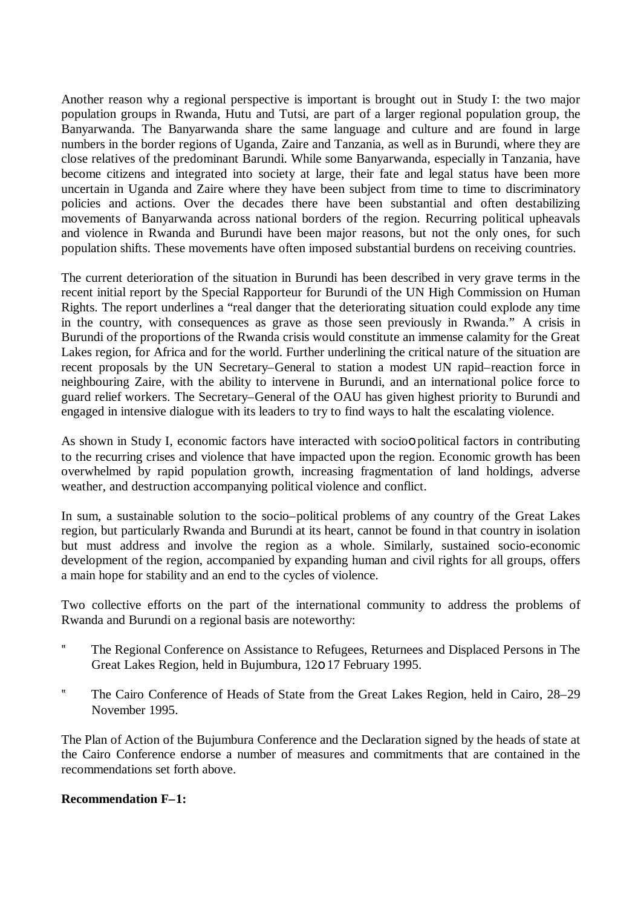Another reason why a regional perspective is important is brought out in Study I: the two major population groups in Rwanda, Hutu and Tutsi, are part of a larger regional population group, the Banyarwanda. The Banyarwanda share the same language and culture and are found in large numbers in the border regions of Uganda, Zaire and Tanzania, as well as in Burundi, where they are close relatives of the predominant Barundi. While some Banyarwanda, especially in Tanzania, have become citizens and integrated into society at large, their fate and legal status have been more uncertain in Uganda and Zaire where they have been subject from time to time to discriminatory policies and actions. Over the decades there have been substantial and often destabilizing movements of Banyarwanda across national borders of the region. Recurring political upheavals and violence in Rwanda and Burundi have been major reasons, but not the only ones, for such population shifts. These movements have often imposed substantial burdens on receiving countries.

The current deterioration of the situation in Burundi has been described in very grave terms in the recent initial report by the Special Rapporteur for Burundi of the UN High Commission on Human Rights. The report underlines a "real danger that the deteriorating situation could explode any time in the country, with consequences as grave as those seen previously in Rwanda." A crisis in Burundi of the proportions of the Rwanda crisis would constitute an immense calamity for the Great Lakes region, for Africa and for the world. Further underlining the critical nature of the situation are recent proposals by the UN Secretary–General to station a modest UN rapid–reaction force in neighbouring Zaire, with the ability to intervene in Burundi, and an international police force to guard relief workers. The Secretary–General of the OAU has given highest priority to Burundi and engaged in intensive dialogue with its leaders to try to find ways to halt the escalating violence.

As shown in Study I, economic factors have interacted with socioo political factors in contributing to the recurring crises and violence that have impacted upon the region. Economic growth has been overwhelmed by rapid population growth, increasing fragmentation of land holdings, adverse weather, and destruction accompanying political violence and conflict.

In sum, a sustainable solution to the socio–political problems of any country of the Great Lakes region, but particularly Rwanda and Burundi at its heart, cannot be found in that country in isolation but must address and involve the region as a whole. Similarly, sustained socio-economic development of the region, accompanied by expanding human and civil rights for all groups, offers a main hope for stability and an end to the cycles of violence.

Two collective efforts on the part of the international community to address the problems of Rwanda and Burundi on a regional basis are noteworthy:

- ? The Regional Conference on Assistance to Refugees, Returnees and Displaced Persons in The Great Lakes Region, held in Bujumbura, 12o 17 February 1995.
- ? The Cairo Conference of Heads of State from the Great Lakes Region, held in Cairo, 28–29 November 1995.

The Plan of Action of the Bujumbura Conference and the Declaration signed by the heads of state at the Cairo Conference endorse a number of measures and commitments that are contained in the recommendations set forth above.

#### **Recommendation F–1:**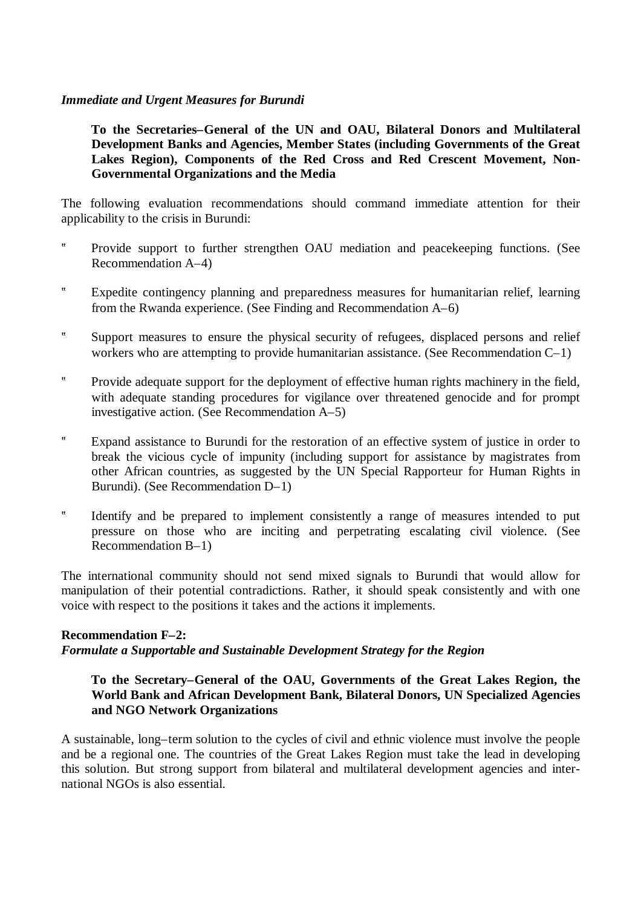#### *Immediate and Urgent Measures for Burundi*

**To the Secretaries–General of the UN and OAU, Bilateral Donors and Multilateral Development Banks and Agencies, Member States (including Governments of the Great Lakes Region), Components of the Red Cross and Red Crescent Movement, Non-Governmental Organizations and the Media**

The following evaluation recommendations should command immediate attention for their applicability to the crisis in Burundi:

- ? Provide support to further strengthen OAU mediation and peacekeeping functions. (See Recommendation A–4)
- ? Expedite contingency planning and preparedness measures for humanitarian relief, learning from the Rwanda experience. (See Finding and Recommendation A–6)
- ? Support measures to ensure the physical security of refugees, displaced persons and relief workers who are attempting to provide humanitarian assistance. (See Recommendation C–1)
- ? Provide adequate support for the deployment of effective human rights machinery in the field, with adequate standing procedures for vigilance over threatened genocide and for prompt investigative action. (See Recommendation A–5)
- ? Expand assistance to Burundi for the restoration of an effective system of justice in order to break the vicious cycle of impunity (including support for assistance by magistrates from other African countries, as suggested by the UN Special Rapporteur for Human Rights in Burundi). (See Recommendation D–1)
- ? Identify and be prepared to implement consistently a range of measures intended to put pressure on those who are inciting and perpetrating escalating civil violence. (See Recommendation B–1)

The international community should not send mixed signals to Burundi that would allow for manipulation of their potential contradictions. Rather, it should speak consistently and with one voice with respect to the positions it takes and the actions it implements.

#### **Recommendation F–2:**

#### *Formulate a Supportable and Sustainable Development Strategy for the Region*

## **To the Secretary–General of the OAU, Governments of the Great Lakes Region, the World Bank and African Development Bank, Bilateral Donors, UN Specialized Agencies and NGO Network Organizations**

A sustainable, long–term solution to the cycles of civil and ethnic violence must involve the people and be a regional one. The countries of the Great Lakes Region must take the lead in developing this solution. But strong support from bilateral and multilateral development agencies and international NGOs is also essential.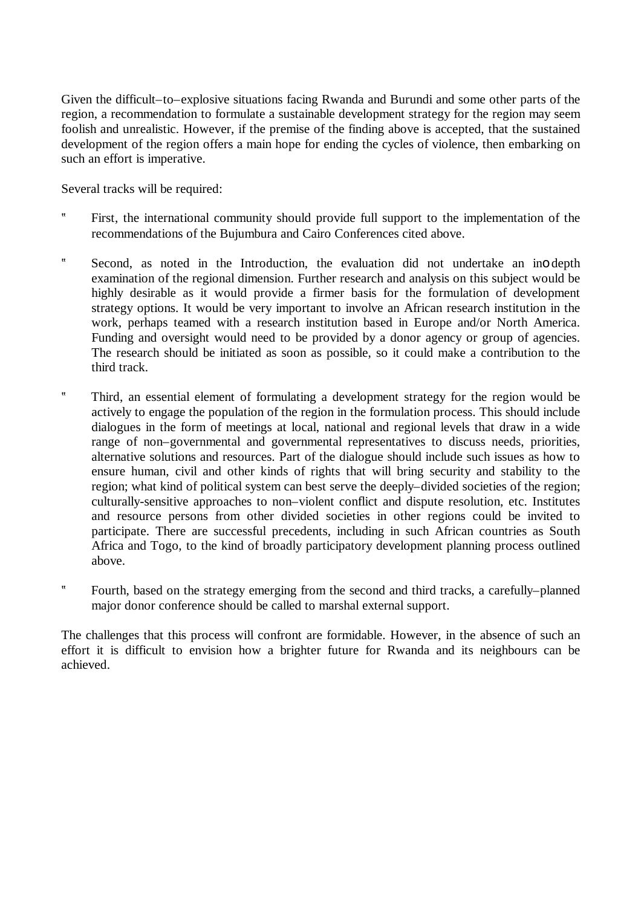Given the difficult–to–explosive situations facing Rwanda and Burundi and some other parts of the region, a recommendation to formulate a sustainable development strategy for the region may seem foolish and unrealistic. However, if the premise of the finding above is accepted, that the sustained development of the region offers a main hope for ending the cycles of violence, then embarking on such an effort is imperative.

Several tracks will be required:

- ? First, the international community should provide full support to the implementation of the recommendations of the Bujumbura and Cairo Conferences cited above.
- ? Second, as noted in the Introduction, the evaluation did not undertake an ino depth examination of the regional dimension. Further research and analysis on this subject would be highly desirable as it would provide a firmer basis for the formulation of development strategy options. It would be very important to involve an African research institution in the work, perhaps teamed with a research institution based in Europe and/or North America. Funding and oversight would need to be provided by a donor agency or group of agencies. The research should be initiated as soon as possible, so it could make a contribution to the third track.
- ? Third, an essential element of formulating a development strategy for the region would be actively to engage the population of the region in the formulation process. This should include dialogues in the form of meetings at local, national and regional levels that draw in a wide range of non–governmental and governmental representatives to discuss needs, priorities, alternative solutions and resources. Part of the dialogue should include such issues as how to ensure human, civil and other kinds of rights that will bring security and stability to the region; what kind of political system can best serve the deeply–divided societies of the region; culturally-sensitive approaches to non–violent conflict and dispute resolution, etc. Institutes and resource persons from other divided societies in other regions could be invited to participate. There are successful precedents, including in such African countries as South Africa and Togo, to the kind of broadly participatory development planning process outlined above.
- ? Fourth, based on the strategy emerging from the second and third tracks, a carefully–planned major donor conference should be called to marshal external support.

The challenges that this process will confront are formidable. However, in the absence of such an effort it is difficult to envision how a brighter future for Rwanda and its neighbours can be achieved.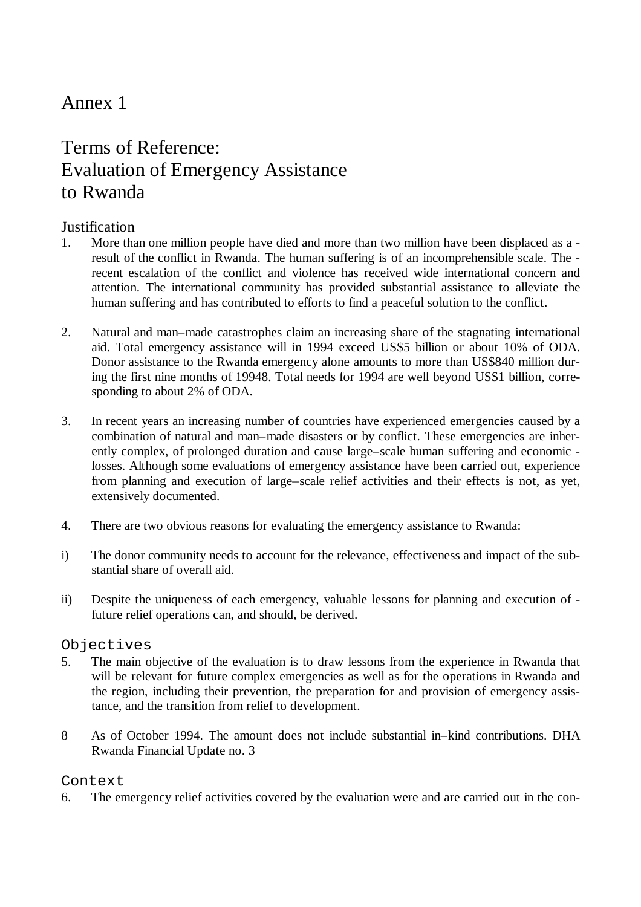### Annex 1

### Terms of Reference: Evaluation of Emergency Assistance to Rwanda

### **Justification**

- 1. More than one million people have died and more than two million have been displaced as a result of the conflict in Rwanda. The human suffering is of an incomprehensible scale. The recent escalation of the conflict and violence has received wide international concern and attention. The international community has provided substantial assistance to alleviate the human suffering and has contributed to efforts to find a peaceful solution to the conflict.
- 2. Natural and man–made catastrophes claim an increasing share of the stagnating international aid. Total emergency assistance will in 1994 exceed US\$5 billion or about 10% of ODA. Donor assistance to the Rwanda emergency alone amounts to more than US\$840 million during the first nine months of 19948. Total needs for 1994 are well beyond US\$1 billion, corresponding to about 2% of ODA.
- 3. In recent years an increasing number of countries have experienced emergencies caused by a combination of natural and man–made disasters or by conflict. These emergencies are inherently complex, of prolonged duration and cause large–scale human suffering and economic losses. Although some evaluations of emergency assistance have been carried out, experience from planning and execution of large–scale relief activities and their effects is not, as yet, extensively documented.
- 4. There are two obvious reasons for evaluating the emergency assistance to Rwanda:
- i) The donor community needs to account for the relevance, effectiveness and impact of the substantial share of overall aid.
- ii) Despite the uniqueness of each emergency, valuable lessons for planning and execution of future relief operations can, and should, be derived.

### Objectives

- 5. The main objective of the evaluation is to draw lessons from the experience in Rwanda that will be relevant for future complex emergencies as well as for the operations in Rwanda and the region, including their prevention, the preparation for and provision of emergency assistance, and the transition from relief to development.
- 8 As of October 1994. The amount does not include substantial in–kind contributions. DHA Rwanda Financial Update no. 3

### Context

6. The emergency relief activities covered by the evaluation were and are carried out in the con-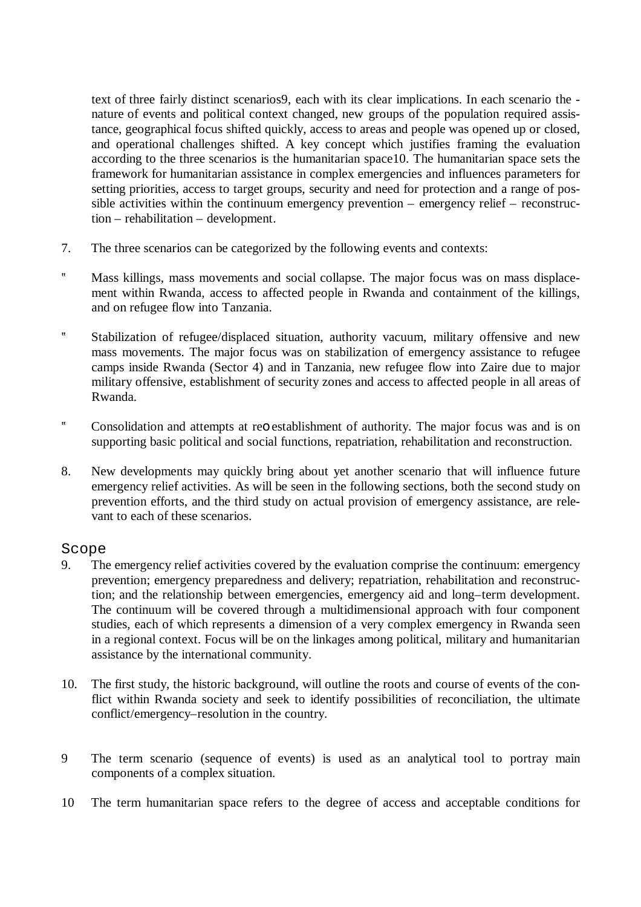text of three fairly distinct scenarios9, each with its clear implications. In each scenario the nature of events and political context changed, new groups of the population required assistance, geographical focus shifted quickly, access to areas and people was opened up or closed, and operational challenges shifted. A key concept which justifies framing the evaluation according to the three scenarios is the humanitarian space10. The humanitarian space sets the framework for humanitarian assistance in complex emergencies and influences parameters for setting priorities, access to target groups, security and need for protection and a range of possible activities within the continuum emergency prevention – emergency relief – reconstruction – rehabilitation – development.

- 7. The three scenarios can be categorized by the following events and contexts:
- ? Mass killings, mass movements and social collapse. The major focus was on mass displacement within Rwanda, access to affected people in Rwanda and containment of the killings, and on refugee flow into Tanzania.
- ? Stabilization of refugee/displaced situation, authority vacuum, military offensive and new mass movements. The major focus was on stabilization of emergency assistance to refugee camps inside Rwanda (Sector 4) and in Tanzania, new refugee flow into Zaire due to major military offensive, establishment of security zones and access to affected people in all areas of Rwanda.
- ? Consolidation and attempts at reo establishment of authority. The major focus was and is on supporting basic political and social functions, repatriation, rehabilitation and reconstruction.
- 8. New developments may quickly bring about yet another scenario that will influence future emergency relief activities. As will be seen in the following sections, both the second study on prevention efforts, and the third study on actual provision of emergency assistance, are relevant to each of these scenarios.

### Scope

- 9. The emergency relief activities covered by the evaluation comprise the continuum: emergency prevention; emergency preparedness and delivery; repatriation, rehabilitation and reconstruction; and the relationship between emergencies, emergency aid and long–term development. The continuum will be covered through a multidimensional approach with four component studies, each of which represents a dimension of a very complex emergency in Rwanda seen in a regional context. Focus will be on the linkages among political, military and humanitarian assistance by the international community.
- 10. The first study, the historic background, will outline the roots and course of events of the conflict within Rwanda society and seek to identify possibilities of reconciliation, the ultimate conflict/emergency–resolution in the country.
- 9 The term scenario (sequence of events) is used as an analytical tool to portray main components of a complex situation.
- 10 The term humanitarian space refers to the degree of access and acceptable conditions for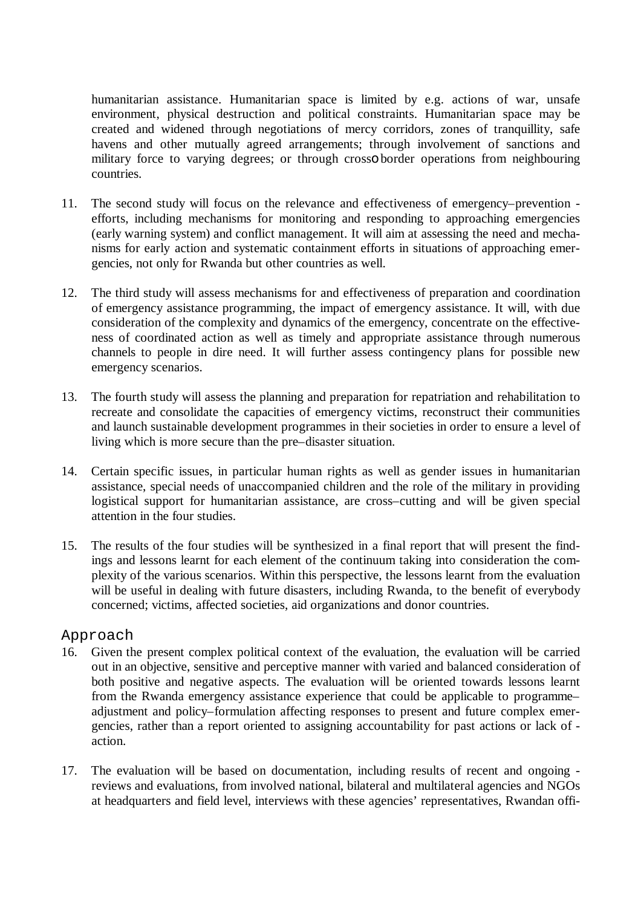humanitarian assistance. Humanitarian space is limited by e.g. actions of war, unsafe environment, physical destruction and political constraints. Humanitarian space may be created and widened through negotiations of mercy corridors, zones of tranquillity, safe havens and other mutually agreed arrangements; through involvement of sanctions and military force to varying degrees; or through crosso border operations from neighbouring countries.

- 11. The second study will focus on the relevance and effectiveness of emergency–prevention efforts, including mechanisms for monitoring and responding to approaching emergencies (early warning system) and conflict management. It will aim at assessing the need and mechanisms for early action and systematic containment efforts in situations of approaching emergencies, not only for Rwanda but other countries as well.
- 12. The third study will assess mechanisms for and effectiveness of preparation and coordination of emergency assistance programming, the impact of emergency assistance. It will, with due consideration of the complexity and dynamics of the emergency, concentrate on the effectiveness of coordinated action as well as timely and appropriate assistance through numerous channels to people in dire need. It will further assess contingency plans for possible new emergency scenarios.
- 13. The fourth study will assess the planning and preparation for repatriation and rehabilitation to recreate and consolidate the capacities of emergency victims, reconstruct their communities and launch sustainable development programmes in their societies in order to ensure a level of living which is more secure than the pre–disaster situation.
- 14. Certain specific issues, in particular human rights as well as gender issues in humanitarian assistance, special needs of unaccompanied children and the role of the military in providing logistical support for humanitarian assistance, are cross–cutting and will be given special attention in the four studies.
- 15. The results of the four studies will be synthesized in a final report that will present the findings and lessons learnt for each element of the continuum taking into consideration the complexity of the various scenarios. Within this perspective, the lessons learnt from the evaluation will be useful in dealing with future disasters, including Rwanda, to the benefit of everybody concerned; victims, affected societies, aid organizations and donor countries.

### Approach

- 16. Given the present complex political context of the evaluation, the evaluation will be carried out in an objective, sensitive and perceptive manner with varied and balanced consideration of both positive and negative aspects. The evaluation will be oriented towards lessons learnt from the Rwanda emergency assistance experience that could be applicable to programme– adjustment and policy–formulation affecting responses to present and future complex emergencies, rather than a report oriented to assigning accountability for past actions or lack of action.
- 17. The evaluation will be based on documentation, including results of recent and ongoing reviews and evaluations, from involved national, bilateral and multilateral agencies and NGOs at headquarters and field level, interviews with these agencies' representatives, Rwandan offi-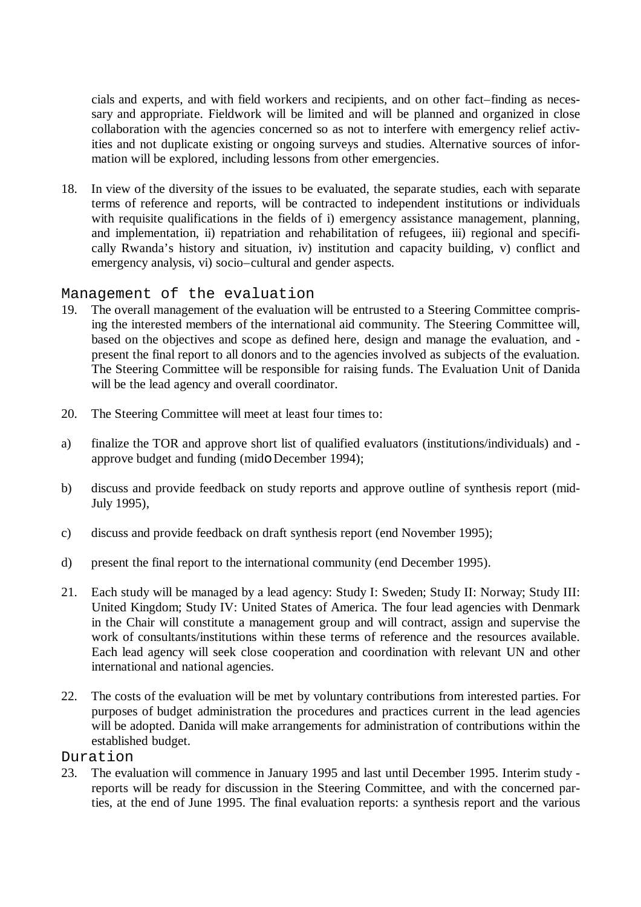cials and experts, and with field workers and recipients, and on other fact–finding as necessary and appropriate. Fieldwork will be limited and will be planned and organized in close collaboration with the agencies concerned so as not to interfere with emergency relief activities and not duplicate existing or ongoing surveys and studies. Alternative sources of information will be explored, including lessons from other emergencies.

18. In view of the diversity of the issues to be evaluated, the separate studies, each with separate terms of reference and reports, will be contracted to independent institutions or individuals with requisite qualifications in the fields of i) emergency assistance management, planning, and implementation, ii) repatriation and rehabilitation of refugees, iii) regional and specifically Rwanda's history and situation, iv) institution and capacity building, v) conflict and emergency analysis, vi) socio–cultural and gender aspects.

#### Management of the evaluation

- 19. The overall management of the evaluation will be entrusted to a Steering Committee comprising the interested members of the international aid community. The Steering Committee will, based on the objectives and scope as defined here, design and manage the evaluation, and present the final report to all donors and to the agencies involved as subjects of the evaluation. The Steering Committee will be responsible for raising funds. The Evaluation Unit of Danida will be the lead agency and overall coordinator.
- 20. The Steering Committee will meet at least four times to:
- a) finalize the TOR and approve short list of qualified evaluators (institutions/individuals) and approve budget and funding (mido December 1994);
- b) discuss and provide feedback on study reports and approve outline of synthesis report (mid-July 1995),
- c) discuss and provide feedback on draft synthesis report (end November 1995);
- d) present the final report to the international community (end December 1995).
- 21. Each study will be managed by a lead agency: Study I: Sweden; Study II: Norway; Study III: United Kingdom; Study IV: United States of America. The four lead agencies with Denmark in the Chair will constitute a management group and will contract, assign and supervise the work of consultants/institutions within these terms of reference and the resources available. Each lead agency will seek close cooperation and coordination with relevant UN and other international and national agencies.
- 22. The costs of the evaluation will be met by voluntary contributions from interested parties. For purposes of budget administration the procedures and practices current in the lead agencies will be adopted. Danida will make arrangements for administration of contributions within the established budget.

#### Duration

23. The evaluation will commence in January 1995 and last until December 1995. Interim study reports will be ready for discussion in the Steering Committee, and with the concerned parties, at the end of June 1995. The final evaluation reports: a synthesis report and the various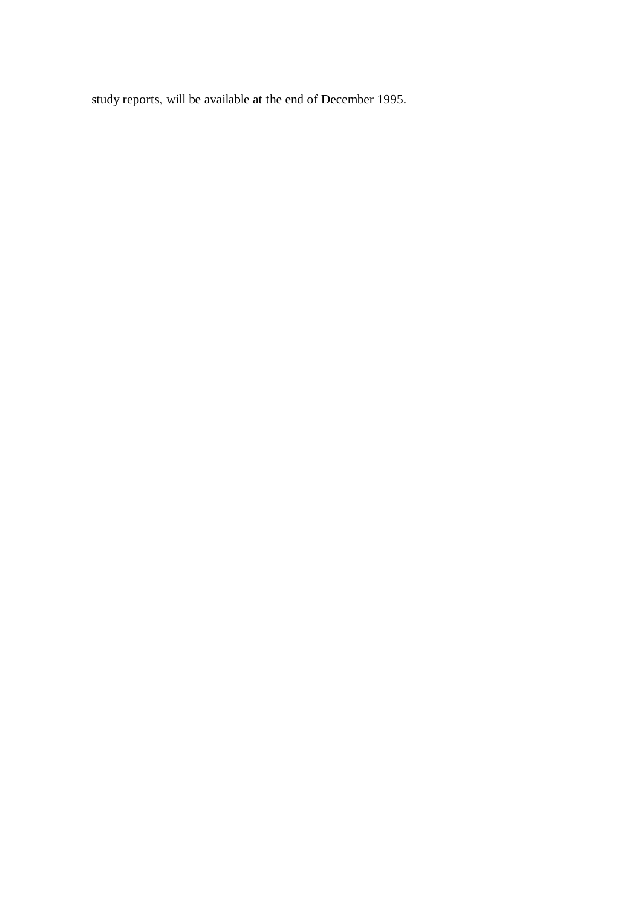study reports, will be available at the end of December 1995.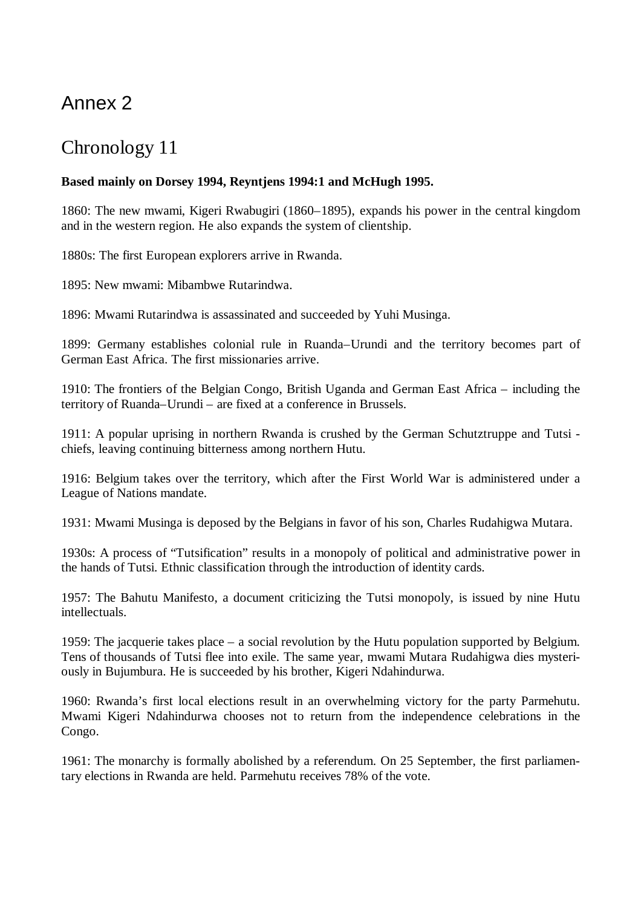## Annex 2

### Chronology 11

### **Based mainly on Dorsey 1994, Reyntjens 1994:1 and McHugh 1995.**

1860: The new mwami, Kigeri Rwabugiri (1860–1895), expands his power in the central kingdom and in the western region. He also expands the system of clientship.

1880s: The first European explorers arrive in Rwanda.

1895: New mwami: Mibambwe Rutarindwa.

1896: Mwami Rutarindwa is assassinated and succeeded by Yuhi Musinga.

1899: Germany establishes colonial rule in Ruanda–Urundi and the territory becomes part of German East Africa. The first missionaries arrive.

1910: The frontiers of the Belgian Congo, British Uganda and German East Africa – including the territory of Ruanda–Urundi – are fixed at a conference in Brussels.

1911: A popular uprising in northern Rwanda is crushed by the German Schutztruppe and Tutsi chiefs, leaving continuing bitterness among northern Hutu.

1916: Belgium takes over the territory, which after the First World War is administered under a League of Nations mandate.

1931: Mwami Musinga is deposed by the Belgians in favor of his son, Charles Rudahigwa Mutara.

1930s: A process of "Tutsification" results in a monopoly of political and administrative power in the hands of Tutsi. Ethnic classification through the introduction of identity cards.

1957: The Bahutu Manifesto, a document criticizing the Tutsi monopoly, is issued by nine Hutu intellectuals.

1959: The jacquerie takes place – a social revolution by the Hutu population supported by Belgium. Tens of thousands of Tutsi flee into exile. The same year, mwami Mutara Rudahigwa dies mysteriously in Bujumbura. He is succeeded by his brother, Kigeri Ndahindurwa.

1960: Rwanda's first local elections result in an overwhelming victory for the party Parmehutu. Mwami Kigeri Ndahindurwa chooses not to return from the independence celebrations in the Congo.

1961: The monarchy is formally abolished by a referendum. On 25 September, the first parliamentary elections in Rwanda are held. Parmehutu receives 78% of the vote.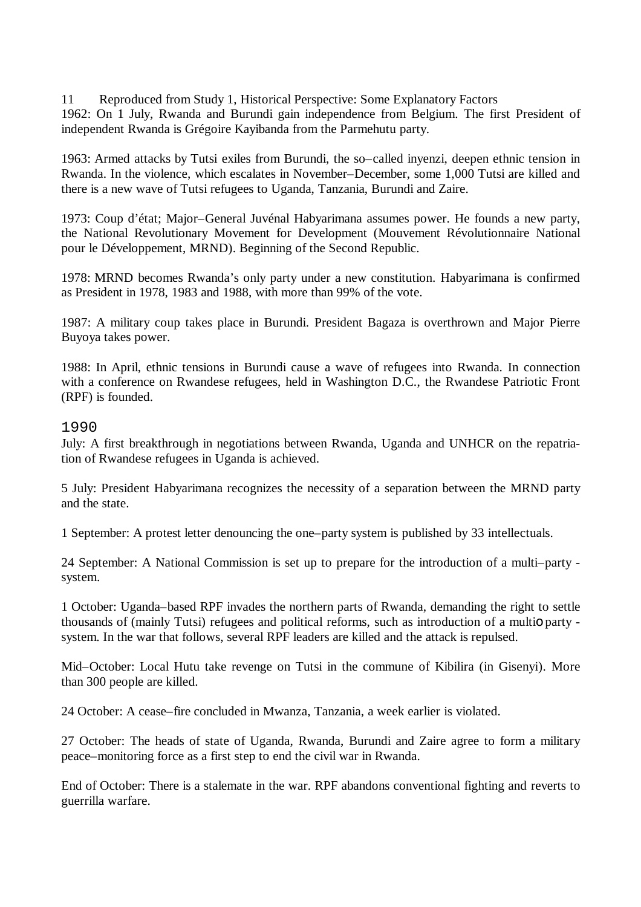11 Reproduced from Study 1, Historical Perspective: Some Explanatory Factors

1962: On 1 July, Rwanda and Burundi gain independence from Belgium. The first President of independent Rwanda is Grégoire Kayibanda from the Parmehutu party.

1963: Armed attacks by Tutsi exiles from Burundi, the so–called inyenzi, deepen ethnic tension in Rwanda. In the violence, which escalates in November–December, some 1,000 Tutsi are killed and there is a new wave of Tutsi refugees to Uganda, Tanzania, Burundi and Zaire.

1973: Coup d'état; Major–General Juvénal Habyarimana assumes power. He founds a new party, the National Revolutionary Movement for Development (Mouvement Révolutionnaire National pour le Développement, MRND). Beginning of the Second Republic.

1978: MRND becomes Rwanda's only party under a new constitution. Habyarimana is confirmed as President in 1978, 1983 and 1988, with more than 99% of the vote.

1987: A military coup takes place in Burundi. President Bagaza is overthrown and Major Pierre Buyoya takes power.

1988: In April, ethnic tensions in Burundi cause a wave of refugees into Rwanda. In connection with a conference on Rwandese refugees, held in Washington D.C., the Rwandese Patriotic Front (RPF) is founded.

### 1990

July: A first breakthrough in negotiations between Rwanda, Uganda and UNHCR on the repatriation of Rwandese refugees in Uganda is achieved.

5 July: President Habyarimana recognizes the necessity of a separation between the MRND party and the state.

1 September: A protest letter denouncing the one–party system is published by 33 intellectuals.

24 September: A National Commission is set up to prepare for the introduction of a multi–party system.

1 October: Uganda–based RPF invades the northern parts of Rwanda, demanding the right to settle thousands of (mainly Tutsi) refugees and political reforms, such as introduction of a multio party system. In the war that follows, several RPF leaders are killed and the attack is repulsed.

Mid–October: Local Hutu take revenge on Tutsi in the commune of Kibilira (in Gisenyi). More than 300 people are killed.

24 October: A cease–fire concluded in Mwanza, Tanzania, a week earlier is violated.

27 October: The heads of state of Uganda, Rwanda, Burundi and Zaire agree to form a military peace–monitoring force as a first step to end the civil war in Rwanda.

End of October: There is a stalemate in the war. RPF abandons conventional fighting and reverts to guerrilla warfare.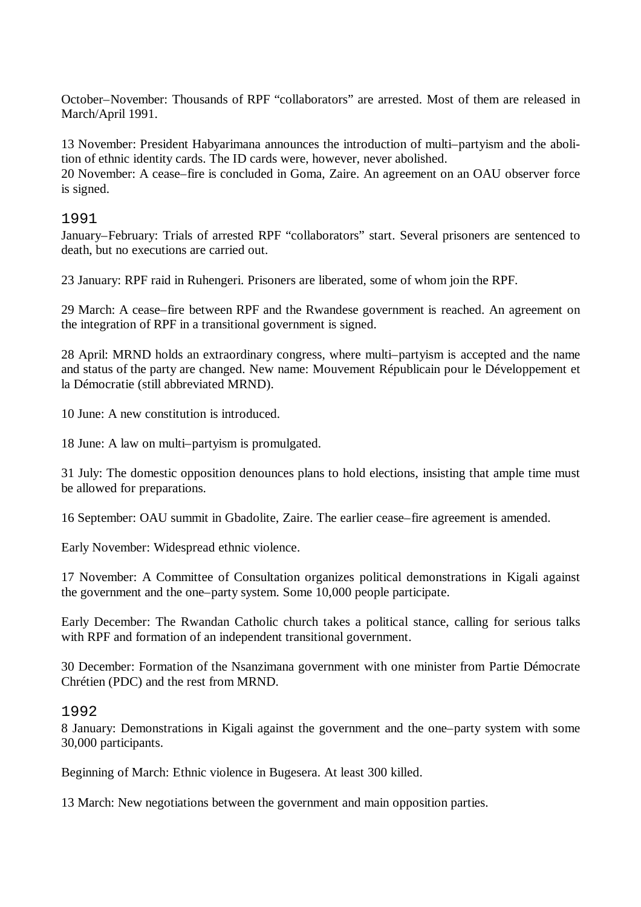October–November: Thousands of RPF "collaborators" are arrested. Most of them are released in March/April 1991.

13 November: President Habyarimana announces the introduction of multi–partyism and the abolition of ethnic identity cards. The ID cards were, however, never abolished.

20 November: A cease–fire is concluded in Goma, Zaire. An agreement on an OAU observer force is signed.

### 1991

January–February: Trials of arrested RPF "collaborators" start. Several prisoners are sentenced to death, but no executions are carried out.

23 January: RPF raid in Ruhengeri. Prisoners are liberated, some of whom join the RPF.

29 March: A cease–fire between RPF and the Rwandese government is reached. An agreement on the integration of RPF in a transitional government is signed.

28 April: MRND holds an extraordinary congress, where multi–partyism is accepted and the name and status of the party are changed. New name: Mouvement Républicain pour le Développement et la Démocratie (still abbreviated MRND).

10 June: A new constitution is introduced.

18 June: A law on multi–partyism is promulgated.

31 July: The domestic opposition denounces plans to hold elections, insisting that ample time must be allowed for preparations.

16 September: OAU summit in Gbadolite, Zaire. The earlier cease–fire agreement is amended.

Early November: Widespread ethnic violence.

17 November: A Committee of Consultation organizes political demonstrations in Kigali against the government and the one–party system. Some 10,000 people participate.

Early December: The Rwandan Catholic church takes a political stance, calling for serious talks with RPF and formation of an independent transitional government.

30 December: Formation of the Nsanzimana government with one minister from Partie Démocrate Chrétien (PDC) and the rest from MRND.

1992

8 January: Demonstrations in Kigali against the government and the one–party system with some 30,000 participants.

Beginning of March: Ethnic violence in Bugesera. At least 300 killed.

13 March: New negotiations between the government and main opposition parties.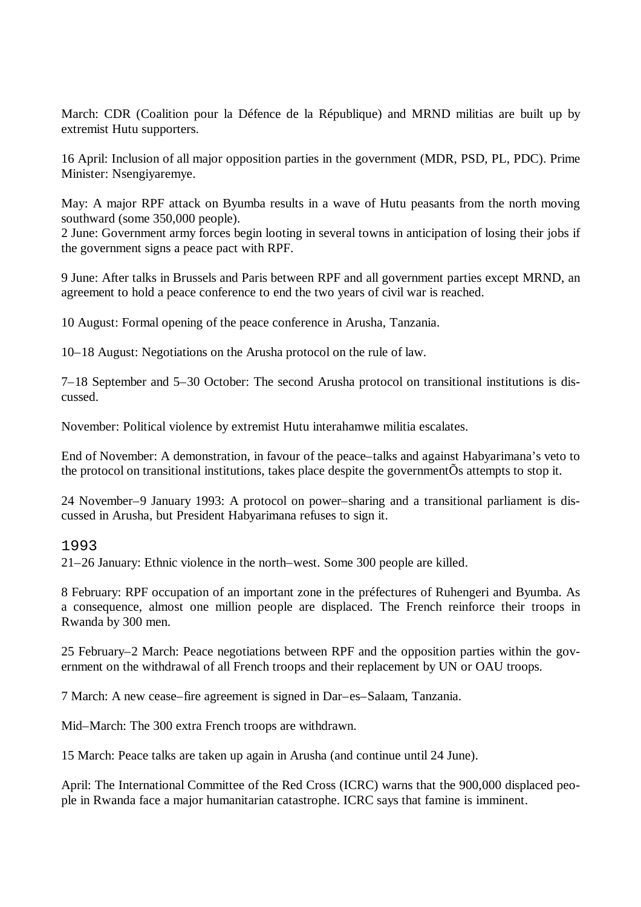March: CDR (Coalition pour la Défence de la République) and MRND militias are built up by extremist Hutu supporters.

16 April: Inclusion of all major opposition parties in the government (MDR, PSD, PL, PDC). Prime Minister: Nsengiyaremye.

May: A major RPF attack on Byumba results in a wave of Hutu peasants from the north moving southward (some 350,000 people).

2 June: Government army forces begin looting in several towns in anticipation of losing their jobs if the government signs a peace pact with RPF.

9 June: After talks in Brussels and Paris between RPF and all government parties except MRND, an agreement to hold a peace conference to end the two years of civil war is reached.

10 August: Formal opening of the peace conference in Arusha, Tanzania.

10–18 August: Negotiations on the Arusha protocol on the rule of law.

7–18 September and 5–30 October: The second Arusha protocol on transitional institutions is discussed.

November: Political violence by extremist Hutu interahamwe militia escalates.

End of November: A demonstration, in favour of the peace–talks and against Habyarimana's veto to the protocol on transitional institutions, takes place despite the governmentÕs attempts to stop it.

24 November–9 January 1993: A protocol on power–sharing and a transitional parliament is discussed in Arusha, but President Habyarimana refuses to sign it.

### 1993

21–26 January: Ethnic violence in the north–west. Some 300 people are killed.

8 February: RPF occupation of an important zone in the préfectures of Ruhengeri and Byumba. As a consequence, almost one million people are displaced. The French reinforce their troops in Rwanda by 300 men.

25 February–2 March: Peace negotiations between RPF and the opposition parties within the government on the withdrawal of all French troops and their replacement by UN or OAU troops.

7 March: A new cease–fire agreement is signed in Dar–es–Salaam, Tanzania.

Mid–March: The 300 extra French troops are withdrawn.

15 March: Peace talks are taken up again in Arusha (and continue until 24 June).

April: The International Committee of the Red Cross (ICRC) warns that the 900,000 displaced people in Rwanda face a major humanitarian catastrophe. ICRC says that famine is imminent.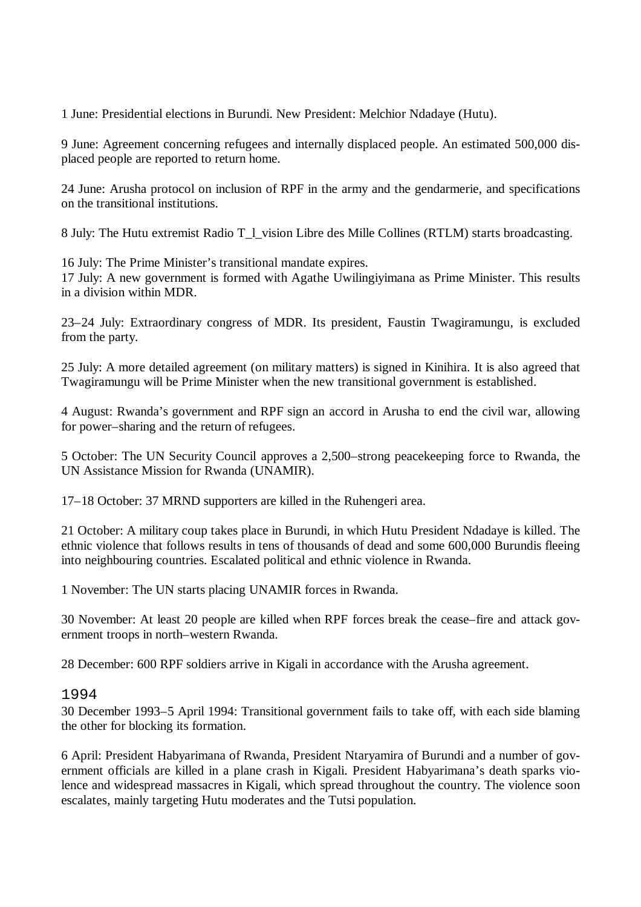1 June: Presidential elections in Burundi. New President: Melchior Ndadaye (Hutu).

9 June: Agreement concerning refugees and internally displaced people. An estimated 500,000 displaced people are reported to return home.

24 June: Arusha protocol on inclusion of RPF in the army and the gendarmerie, and specifications on the transitional institutions.

8 July: The Hutu extremist Radio T\_l\_vision Libre des Mille Collines (RTLM) starts broadcasting.

16 July: The Prime Minister's transitional mandate expires. 17 July: A new government is formed with Agathe Uwilingiyimana as Prime Minister. This results in a division within MDR.

23–24 July: Extraordinary congress of MDR. Its president, Faustin Twagiramungu, is excluded from the party.

25 July: A more detailed agreement (on military matters) is signed in Kinihira. It is also agreed that Twagiramungu will be Prime Minister when the new transitional government is established.

4 August: Rwanda's government and RPF sign an accord in Arusha to end the civil war, allowing for power–sharing and the return of refugees.

5 October: The UN Security Council approves a 2,500–strong peacekeeping force to Rwanda, the UN Assistance Mission for Rwanda (UNAMIR).

17–18 October: 37 MRND supporters are killed in the Ruhengeri area.

21 October: A military coup takes place in Burundi, in which Hutu President Ndadaye is killed. The ethnic violence that follows results in tens of thousands of dead and some 600,000 Burundis fleeing into neighbouring countries. Escalated political and ethnic violence in Rwanda.

1 November: The UN starts placing UNAMIR forces in Rwanda.

30 November: At least 20 people are killed when RPF forces break the cease–fire and attack government troops in north–western Rwanda.

28 December: 600 RPF soldiers arrive in Kigali in accordance with the Arusha agreement.

#### 1994

30 December 1993–5 April 1994: Transitional government fails to take off, with each side blaming the other for blocking its formation.

6 April: President Habyarimana of Rwanda, President Ntaryamira of Burundi and a number of government officials are killed in a plane crash in Kigali. President Habyarimana's death sparks violence and widespread massacres in Kigali, which spread throughout the country. The violence soon escalates, mainly targeting Hutu moderates and the Tutsi population.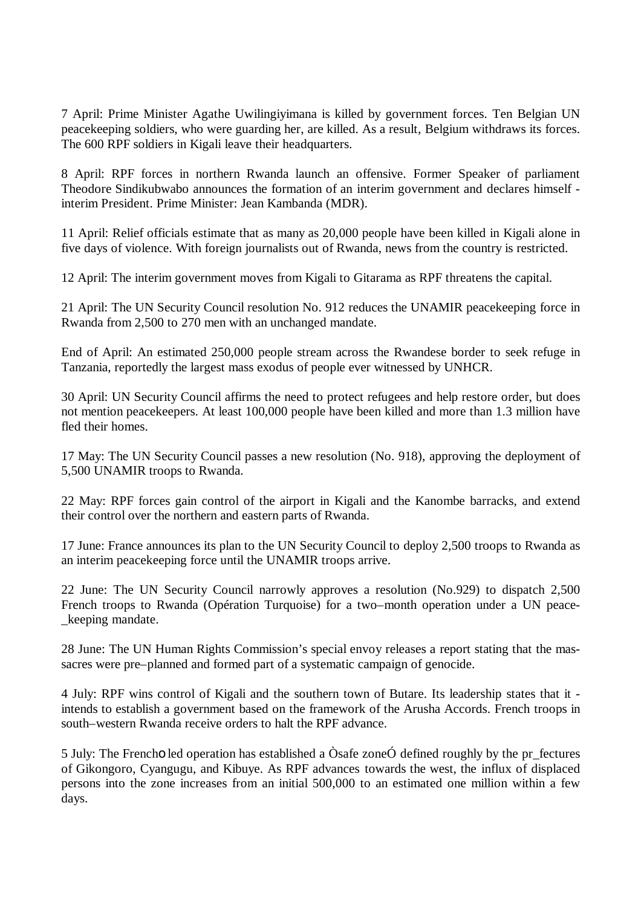7 April: Prime Minister Agathe Uwilingiyimana is killed by government forces. Ten Belgian UN peacekeeping soldiers, who were guarding her, are killed. As a result, Belgium withdraws its forces. The 600 RPF soldiers in Kigali leave their headquarters.

8 April: RPF forces in northern Rwanda launch an offensive. Former Speaker of parliament Theodore Sindikubwabo announces the formation of an interim government and declares himself interim President. Prime Minister: Jean Kambanda (MDR).

11 April: Relief officials estimate that as many as 20,000 people have been killed in Kigali alone in five days of violence. With foreign journalists out of Rwanda, news from the country is restricted.

12 April: The interim government moves from Kigali to Gitarama as RPF threatens the capital.

21 April: The UN Security Council resolution No. 912 reduces the UNAMIR peacekeeping force in Rwanda from 2,500 to 270 men with an unchanged mandate.

End of April: An estimated 250,000 people stream across the Rwandese border to seek refuge in Tanzania, reportedly the largest mass exodus of people ever witnessed by UNHCR.

30 April: UN Security Council affirms the need to protect refugees and help restore order, but does not mention peacekeepers. At least 100,000 people have been killed and more than 1.3 million have fled their homes.

17 May: The UN Security Council passes a new resolution (No. 918), approving the deployment of 5,500 UNAMIR troops to Rwanda.

22 May: RPF forces gain control of the airport in Kigali and the Kanombe barracks, and extend their control over the northern and eastern parts of Rwanda.

17 June: France announces its plan to the UN Security Council to deploy 2,500 troops to Rwanda as an interim peacekeeping force until the UNAMIR troops arrive.

22 June: The UN Security Council narrowly approves a resolution (No.929) to dispatch 2,500 French troops to Rwanda (Opération Turquoise) for a two–month operation under a UN peace keeping mandate.

28 June: The UN Human Rights Commission's special envoy releases a report stating that the massacres were pre–planned and formed part of a systematic campaign of genocide.

4 July: RPF wins control of Kigali and the southern town of Butare. Its leadership states that it intends to establish a government based on the framework of the Arusha Accords. French troops in south–western Rwanda receive orders to halt the RPF advance.

5 July: The Frencho led operation has established a  $\hat{O}$ safe zone $\hat{O}$  defined roughly by the pr\_fectures of Gikongoro, Cyangugu, and Kibuye. As RPF advances towards the west, the influx of displaced persons into the zone increases from an initial 500,000 to an estimated one million within a few days.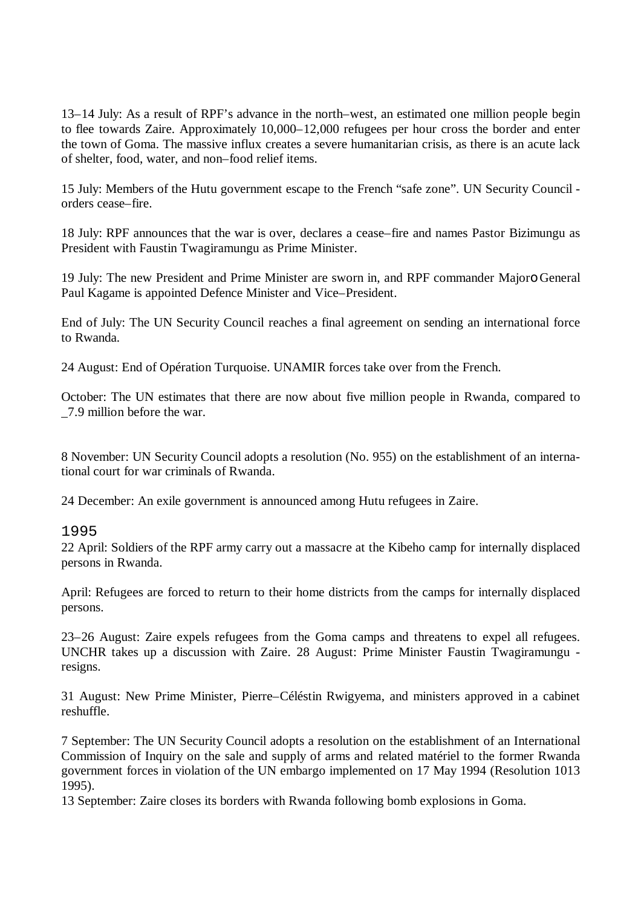13–14 July: As a result of RPF's advance in the north–west, an estimated one million people begin to flee towards Zaire. Approximately 10,000–12,000 refugees per hour cross the border and enter the town of Goma. The massive influx creates a severe humanitarian crisis, as there is an acute lack of shelter, food, water, and non–food relief items.

15 July: Members of the Hutu government escape to the French "safe zone". UN Security Council orders cease–fire.

18 July: RPF announces that the war is over, declares a cease–fire and names Pastor Bizimungu as President with Faustin Twagiramungu as Prime Minister.

19 July: The new President and Prime Minister are sworn in, and RPF commander Majoro General Paul Kagame is appointed Defence Minister and Vice–President.

End of July: The UN Security Council reaches a final agreement on sending an international force to Rwanda.

24 August: End of Opération Turquoise. UNAMIR forces take over from the French.

October: The UN estimates that there are now about five million people in Rwanda, compared to \_7.9 million before the war.

8 November: UN Security Council adopts a resolution (No. 955) on the establishment of an international court for war criminals of Rwanda.

24 December: An exile government is announced among Hutu refugees in Zaire.

1995

22 April: Soldiers of the RPF army carry out a massacre at the Kibeho camp for internally displaced persons in Rwanda.

April: Refugees are forced to return to their home districts from the camps for internally displaced persons.

23–26 August: Zaire expels refugees from the Goma camps and threatens to expel all refugees. UNCHR takes up a discussion with Zaire. 28 August: Prime Minister Faustin Twagiramungu resigns.

31 August: New Prime Minister, Pierre–Céléstin Rwigyema, and ministers approved in a cabinet reshuffle.

7 September: The UN Security Council adopts a resolution on the establishment of an International Commission of Inquiry on the sale and supply of arms and related matériel to the former Rwanda government forces in violation of the UN embargo implemented on 17 May 1994 (Resolution 1013 1995).

13 September: Zaire closes its borders with Rwanda following bomb explosions in Goma.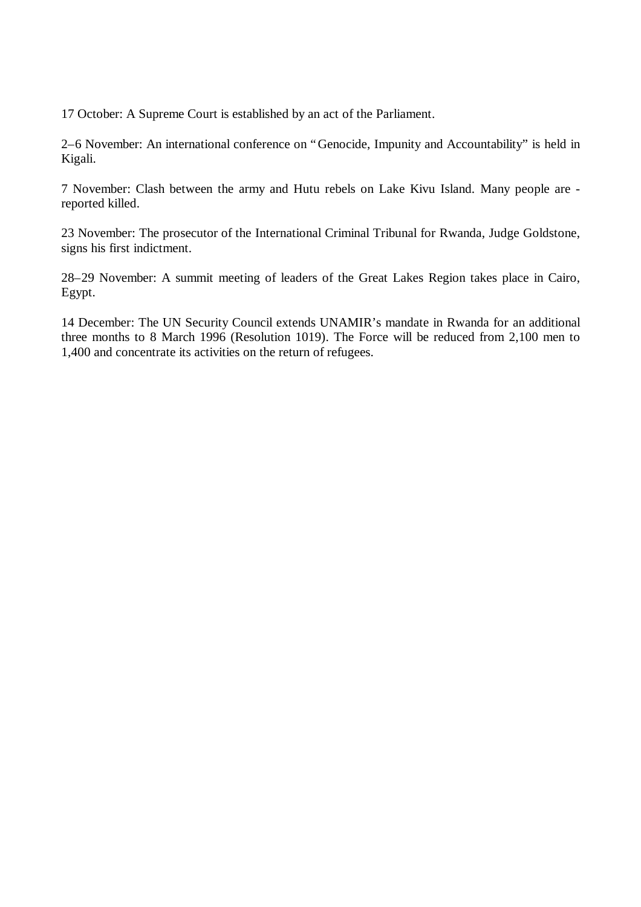17 October: A Supreme Court is established by an act of the Parliament.

2–6 November: An international conference on "Genocide, Impunity and Accountability" is held in Kigali.

7 November: Clash between the army and Hutu rebels on Lake Kivu Island. Many people are reported killed.

23 November: The prosecutor of the International Criminal Tribunal for Rwanda, Judge Goldstone, signs his first indictment.

28–29 November: A summit meeting of leaders of the Great Lakes Region takes place in Cairo, Egypt.

14 December: The UN Security Council extends UNAMIR's mandate in Rwanda for an additional three months to 8 March 1996 (Resolution 1019). The Force will be reduced from 2,100 men to 1,400 and concentrate its activities on the return of refugees.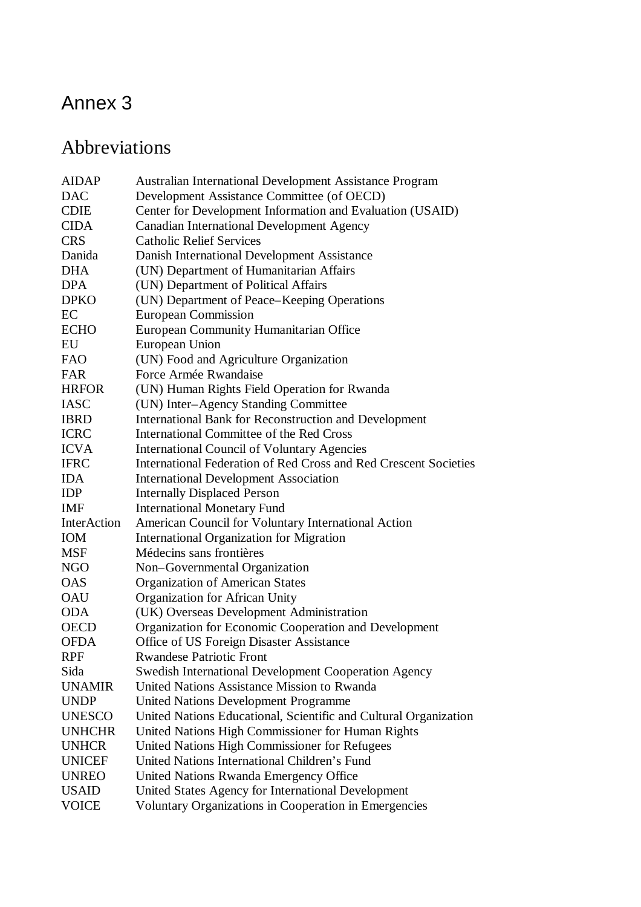# Annex 3

## Abbreviations

| <b>AIDAP</b>  | <b>Australian International Development Assistance Program</b>   |
|---------------|------------------------------------------------------------------|
| <b>DAC</b>    | Development Assistance Committee (of OECD)                       |
| <b>CDIE</b>   | Center for Development Information and Evaluation (USAID)        |
| <b>CIDA</b>   | <b>Canadian International Development Agency</b>                 |
| <b>CRS</b>    | <b>Catholic Relief Services</b>                                  |
| Danida        | Danish International Development Assistance                      |
| <b>DHA</b>    | (UN) Department of Humanitarian Affairs                          |
| <b>DPA</b>    | (UN) Department of Political Affairs                             |
| <b>DPKO</b>   | (UN) Department of Peace-Keeping Operations                      |
| EC            | <b>European Commission</b>                                       |
| <b>ECHO</b>   | European Community Humanitarian Office                           |
| EU            | European Union                                                   |
| <b>FAO</b>    | (UN) Food and Agriculture Organization                           |
| <b>FAR</b>    | Force Armée Rwandaise                                            |
| <b>HRFOR</b>  | (UN) Human Rights Field Operation for Rwanda                     |
| <b>IASC</b>   | (UN) Inter-Agency Standing Committee                             |
| <b>IBRD</b>   | International Bank for Reconstruction and Development            |
| <b>ICRC</b>   | International Committee of the Red Cross                         |
| <b>ICVA</b>   | <b>International Council of Voluntary Agencies</b>               |
| <b>IFRC</b>   | International Federation of Red Cross and Red Crescent Societies |
| <b>IDA</b>    | <b>International Development Association</b>                     |
| <b>IDP</b>    | <b>Internally Displaced Person</b>                               |
| <b>IMF</b>    | <b>International Monetary Fund</b>                               |
| InterAction   | American Council for Voluntary International Action              |
| <b>IOM</b>    | <b>International Organization for Migration</b>                  |
| <b>MSF</b>    | Médecins sans frontières                                         |
| <b>NGO</b>    | Non-Governmental Organization                                    |
| <b>OAS</b>    | <b>Organization of American States</b>                           |
| <b>OAU</b>    | Organization for African Unity                                   |
| <b>ODA</b>    | (UK) Overseas Development Administration                         |
| <b>OECD</b>   | Organization for Economic Cooperation and Development            |
| <b>OFDA</b>   | Office of US Foreign Disaster Assistance                         |
| <b>RPF</b>    | <b>Rwandese Patriotic Front</b>                                  |
| Sida          | <b>Swedish International Development Cooperation Agency</b>      |
| <b>UNAMIR</b> | United Nations Assistance Mission to Rwanda                      |
| <b>UNDP</b>   | <b>United Nations Development Programme</b>                      |
| <b>UNESCO</b> | United Nations Educational, Scientific and Cultural Organization |
| <b>UNHCHR</b> | United Nations High Commissioner for Human Rights                |
| <b>UNHCR</b>  | United Nations High Commissioner for Refugees                    |
| <b>UNICEF</b> | United Nations International Children's Fund                     |
| <b>UNREO</b>  | United Nations Rwanda Emergency Office                           |
| <b>USAID</b>  | United States Agency for International Development               |
| <b>VOICE</b>  | Voluntary Organizations in Cooperation in Emergencies            |
|               |                                                                  |